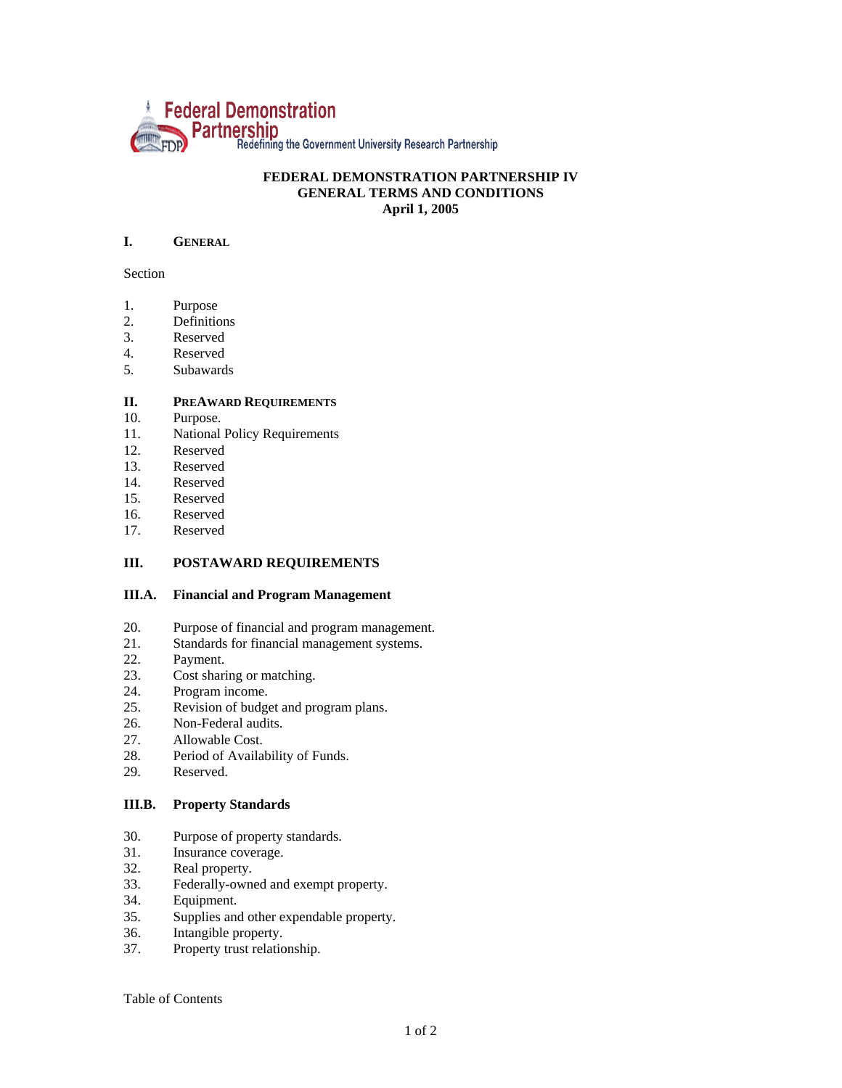

## **FEDERAL DEMONSTRATION PARTNERSHIP IV GENERAL TERMS AND CONDITIONS April 1, 2005**

# **I. GENERAL**

## Section

- 1. Purpose
- 2. Definitions
- 3. Reserved
- 4. Reserved
- 5. Subawards

### **II. PREAWARD REQUIREMENTS**

- 10. Purpose.
- 11. National Policy Requirements
- 12. Reserved
- 13. Reserved
- 14. Reserved
- 15. Reserved
- 16. Reserved
- 17. Reserved

## **III. POSTAWARD REQUIREMENTS**

### **III.A. Financial and Program Management**

- 20. Purpose of financial and program management.
- 21. Standards for financial management systems.<br>22. Payment.
- Payment.
- 23. Cost sharing or matching.
- 24. Program income.
- 25. Revision of budget and program plans.
- 26. Non-Federal audits.
- 27. Allowable Cost.<br>28. Period of Availa
- Period of Availability of Funds.
- 29. Reserved.

## **III.B. Property Standards**

- 30. Purpose of property standards.
- 31. Insurance coverage.
- 32. Real property.
- 33. Federally-owned and exempt property.
- 34. Equipment.
- 35. Supplies and other expendable property.
- 36. Intangible property.
- 37. Property trust relationship.

Table of Contents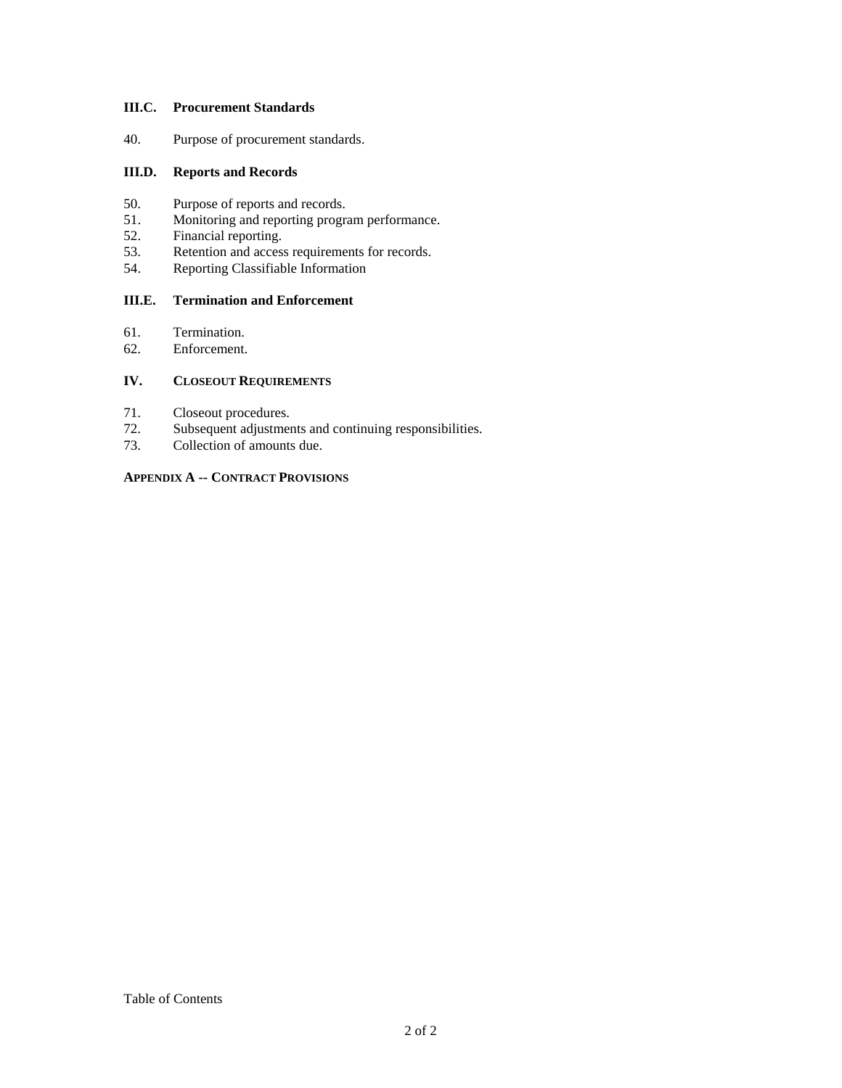## **III.C. Procurement Standards**

40. Purpose of procurement standards.

## **III.D. Reports and Records**

- 50. Purpose of reports and records.
- 51. Monitoring and reporting program performance.
- 52. Financial reporting.<br>53. Retention and access
- Retention and access requirements for records.
- 54. Reporting Classifiable Information

## **III.E. Termination and Enforcement**

- 61. Termination.
- 62. Enforcement.

# **IV. CLOSEOUT REQUIREMENTS**

- 71. Closeout procedures.
- 72. Subsequent adjustments and continuing responsibilities.
- 73. Collection of amounts due.

## **APPENDIX A -- CONTRACT PROVISIONS**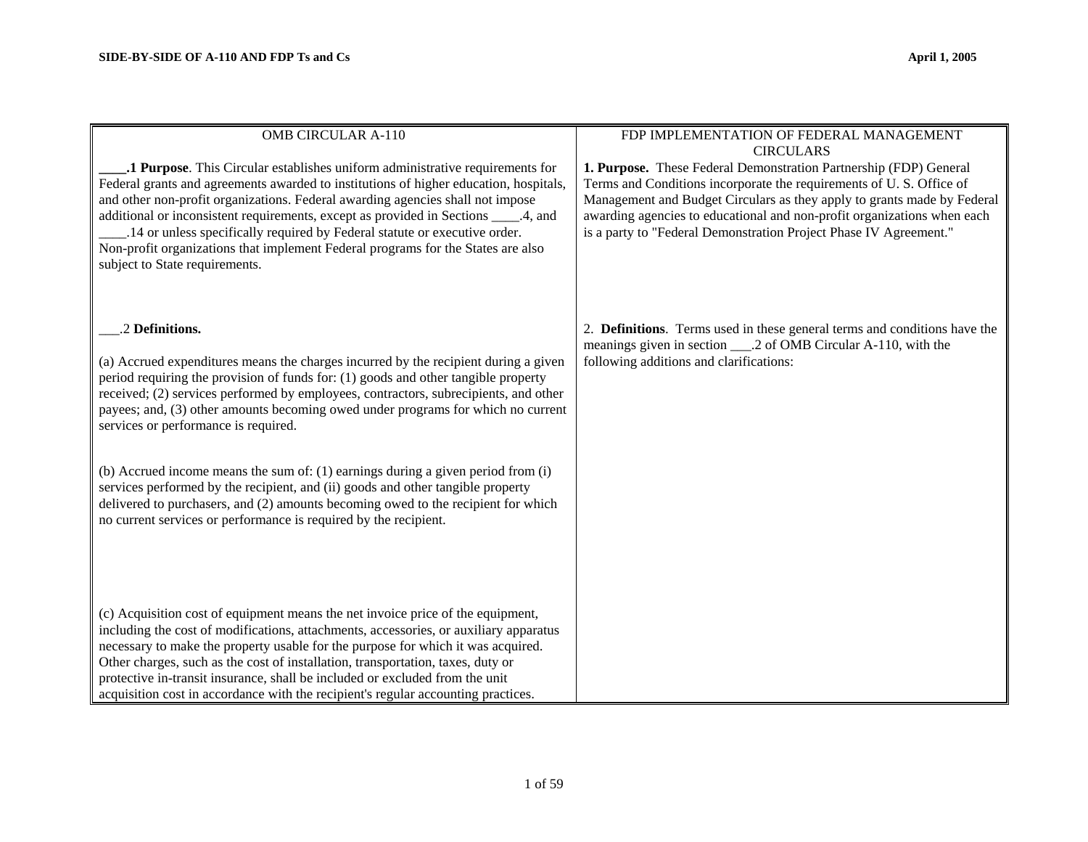| <b>OMB CIRCULAR A-110</b>                                                                                                                                                                                                                                                                                                                                                                                                                                                                                                                                                                                                                                                                                                                        | FDP IMPLEMENTATION OF FEDERAL MANAGEMENT                                                                                                                                                                                                                                                                                                                                                |
|--------------------------------------------------------------------------------------------------------------------------------------------------------------------------------------------------------------------------------------------------------------------------------------------------------------------------------------------------------------------------------------------------------------------------------------------------------------------------------------------------------------------------------------------------------------------------------------------------------------------------------------------------------------------------------------------------------------------------------------------------|-----------------------------------------------------------------------------------------------------------------------------------------------------------------------------------------------------------------------------------------------------------------------------------------------------------------------------------------------------------------------------------------|
| .1 Purpose. This Circular establishes uniform administrative requirements for<br>Federal grants and agreements awarded to institutions of higher education, hospitals,<br>and other non-profit organizations. Federal awarding agencies shall not impose<br>additional or inconsistent requirements, except as provided in Sections ______.4, and<br>.14 or unless specifically required by Federal statute or executive order.<br>Non-profit organizations that implement Federal programs for the States are also<br>subject to State requirements.                                                                                                                                                                                            | <b>CIRCULARS</b><br>1. Purpose. These Federal Demonstration Partnership (FDP) General<br>Terms and Conditions incorporate the requirements of U.S. Office of<br>Management and Budget Circulars as they apply to grants made by Federal<br>awarding agencies to educational and non-profit organizations when each<br>is a party to "Federal Demonstration Project Phase IV Agreement." |
| .2 Definitions.<br>(a) Accrued expenditures means the charges incurred by the recipient during a given<br>period requiring the provision of funds for: (1) goods and other tangible property<br>received; (2) services performed by employees, contractors, subrecipients, and other<br>payees; and, (3) other amounts becoming owed under programs for which no current<br>services or performance is required.<br>(b) Accrued income means the sum of: (1) earnings during a given period from (i)<br>services performed by the recipient, and (ii) goods and other tangible property<br>delivered to purchasers, and (2) amounts becoming owed to the recipient for which<br>no current services or performance is required by the recipient. | 2. Definitions. Terms used in these general terms and conditions have the<br>meanings given in section _____. 2 of OMB Circular A-110, with the<br>following additions and clarifications:                                                                                                                                                                                              |
| (c) Acquisition cost of equipment means the net invoice price of the equipment,<br>including the cost of modifications, attachments, accessories, or auxiliary apparatus<br>necessary to make the property usable for the purpose for which it was acquired.<br>Other charges, such as the cost of installation, transportation, taxes, duty or<br>protective in-transit insurance, shall be included or excluded from the unit<br>acquisition cost in accordance with the recipient's regular accounting practices.                                                                                                                                                                                                                             |                                                                                                                                                                                                                                                                                                                                                                                         |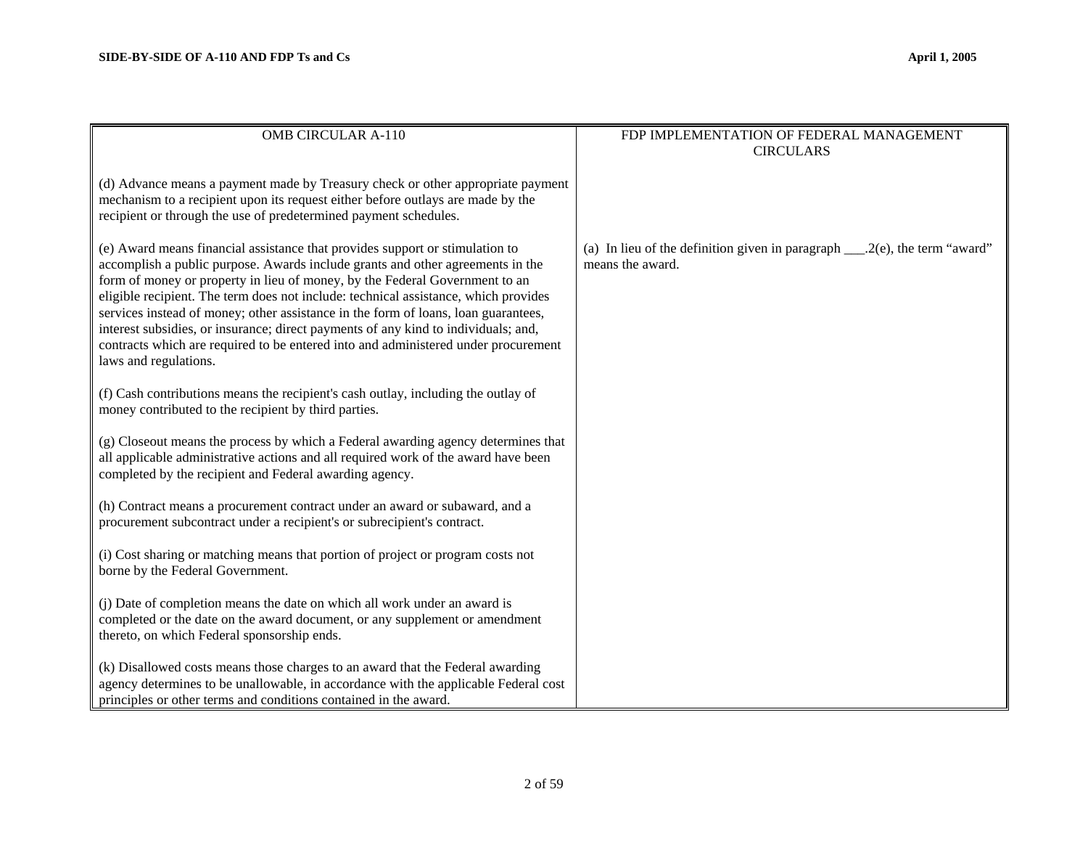| <b>OMB CIRCULAR A-110</b>                                                                                                                                                                                                                                                                                                                                                                                                                                                                                                                                                                                                       | FDP IMPLEMENTATION OF FEDERAL MANAGEMENT                                                           |
|---------------------------------------------------------------------------------------------------------------------------------------------------------------------------------------------------------------------------------------------------------------------------------------------------------------------------------------------------------------------------------------------------------------------------------------------------------------------------------------------------------------------------------------------------------------------------------------------------------------------------------|----------------------------------------------------------------------------------------------------|
|                                                                                                                                                                                                                                                                                                                                                                                                                                                                                                                                                                                                                                 | <b>CIRCULARS</b>                                                                                   |
| (d) Advance means a payment made by Treasury check or other appropriate payment<br>mechanism to a recipient upon its request either before outlays are made by the<br>recipient or through the use of predetermined payment schedules.                                                                                                                                                                                                                                                                                                                                                                                          |                                                                                                    |
| (e) Award means financial assistance that provides support or stimulation to<br>accomplish a public purpose. Awards include grants and other agreements in the<br>form of money or property in lieu of money, by the Federal Government to an<br>eligible recipient. The term does not include: technical assistance, which provides<br>services instead of money; other assistance in the form of loans, loan guarantees,<br>interest subsidies, or insurance; direct payments of any kind to individuals; and,<br>contracts which are required to be entered into and administered under procurement<br>laws and regulations. | (a) In lieu of the definition given in paragraph $\_\_2$ (e), the term "award"<br>means the award. |
| (f) Cash contributions means the recipient's cash outlay, including the outlay of<br>money contributed to the recipient by third parties.                                                                                                                                                                                                                                                                                                                                                                                                                                                                                       |                                                                                                    |
| (g) Closeout means the process by which a Federal awarding agency determines that<br>all applicable administrative actions and all required work of the award have been<br>completed by the recipient and Federal awarding agency.                                                                                                                                                                                                                                                                                                                                                                                              |                                                                                                    |
| (h) Contract means a procurement contract under an award or subaward, and a<br>procurement subcontract under a recipient's or subrecipient's contract.                                                                                                                                                                                                                                                                                                                                                                                                                                                                          |                                                                                                    |
| (i) Cost sharing or matching means that portion of project or program costs not<br>borne by the Federal Government.                                                                                                                                                                                                                                                                                                                                                                                                                                                                                                             |                                                                                                    |
| (j) Date of completion means the date on which all work under an award is<br>completed or the date on the award document, or any supplement or amendment<br>thereto, on which Federal sponsorship ends.                                                                                                                                                                                                                                                                                                                                                                                                                         |                                                                                                    |
| (k) Disallowed costs means those charges to an award that the Federal awarding<br>agency determines to be unallowable, in accordance with the applicable Federal cost<br>principles or other terms and conditions contained in the award.                                                                                                                                                                                                                                                                                                                                                                                       |                                                                                                    |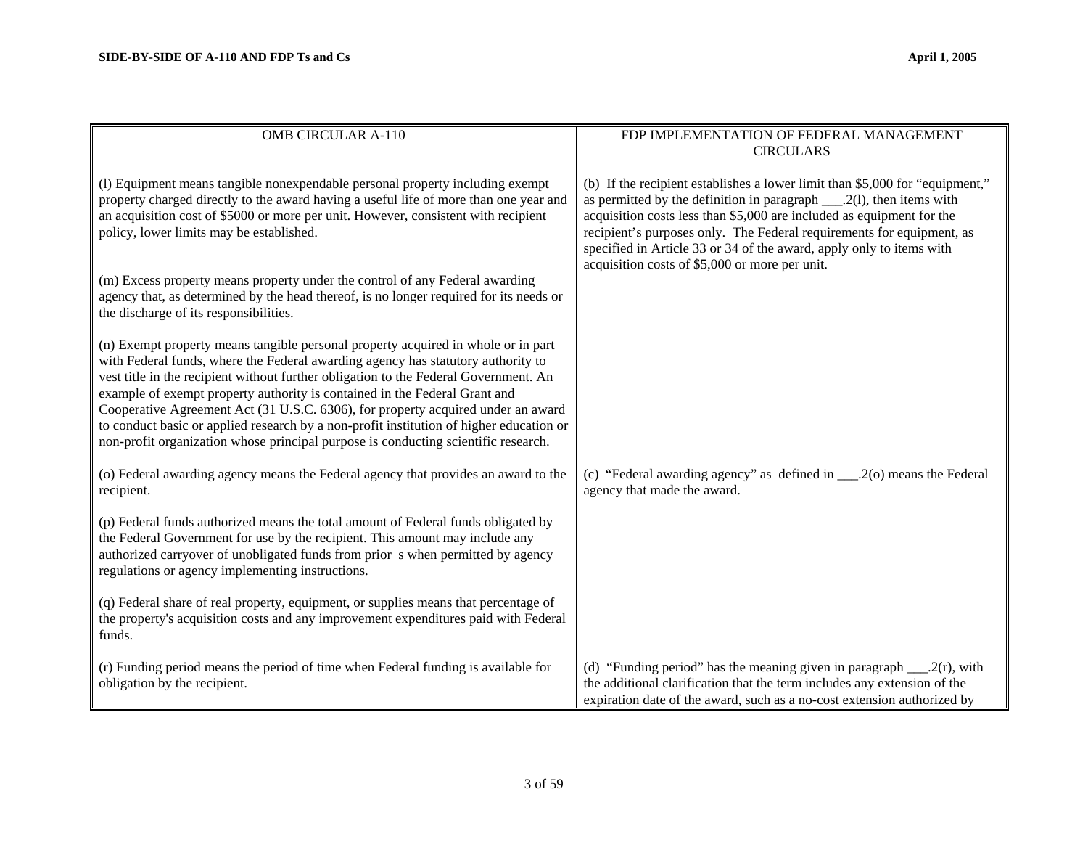| <b>OMB CIRCULAR A-110</b>                                                                                                                                                                                                                                                                                                                                                                                                                                                                                                                                                                                        | FDP IMPLEMENTATION OF FEDERAL MANAGEMENT<br><b>CIRCULARS</b>                                                                                                                                                                                                                                                                                                                                                                         |
|------------------------------------------------------------------------------------------------------------------------------------------------------------------------------------------------------------------------------------------------------------------------------------------------------------------------------------------------------------------------------------------------------------------------------------------------------------------------------------------------------------------------------------------------------------------------------------------------------------------|--------------------------------------------------------------------------------------------------------------------------------------------------------------------------------------------------------------------------------------------------------------------------------------------------------------------------------------------------------------------------------------------------------------------------------------|
| (l) Equipment means tangible nonexpendable personal property including exempt<br>property charged directly to the award having a useful life of more than one year and<br>an acquisition cost of \$5000 or more per unit. However, consistent with recipient<br>policy, lower limits may be established.                                                                                                                                                                                                                                                                                                         | (b) If the recipient establishes a lower limit than \$5,000 for "equipment,"<br>as permitted by the definition in paragraph $\_\_2(1)$ , then items with<br>acquisition costs less than \$5,000 are included as equipment for the<br>recipient's purposes only. The Federal requirements for equipment, as<br>specified in Article 33 or 34 of the award, apply only to items with<br>acquisition costs of \$5,000 or more per unit. |
| (m) Excess property means property under the control of any Federal awarding<br>agency that, as determined by the head thereof, is no longer required for its needs or<br>the discharge of its responsibilities.                                                                                                                                                                                                                                                                                                                                                                                                 |                                                                                                                                                                                                                                                                                                                                                                                                                                      |
| (n) Exempt property means tangible personal property acquired in whole or in part<br>with Federal funds, where the Federal awarding agency has statutory authority to<br>vest title in the recipient without further obligation to the Federal Government. An<br>example of exempt property authority is contained in the Federal Grant and<br>Cooperative Agreement Act (31 U.S.C. 6306), for property acquired under an award<br>to conduct basic or applied research by a non-profit institution of higher education or<br>non-profit organization whose principal purpose is conducting scientific research. |                                                                                                                                                                                                                                                                                                                                                                                                                                      |
| (o) Federal awarding agency means the Federal agency that provides an award to the<br>recipient.                                                                                                                                                                                                                                                                                                                                                                                                                                                                                                                 | (c) "Federal awarding agency" as defined in $\_\_2(0)$ means the Federal<br>agency that made the award.                                                                                                                                                                                                                                                                                                                              |
| (p) Federal funds authorized means the total amount of Federal funds obligated by<br>the Federal Government for use by the recipient. This amount may include any<br>authorized carryover of unobligated funds from prior s when permitted by agency<br>regulations or agency implementing instructions.                                                                                                                                                                                                                                                                                                         |                                                                                                                                                                                                                                                                                                                                                                                                                                      |
| (q) Federal share of real property, equipment, or supplies means that percentage of<br>the property's acquisition costs and any improvement expenditures paid with Federal<br>funds.                                                                                                                                                                                                                                                                                                                                                                                                                             |                                                                                                                                                                                                                                                                                                                                                                                                                                      |
| (r) Funding period means the period of time when Federal funding is available for<br>obligation by the recipient.                                                                                                                                                                                                                                                                                                                                                                                                                                                                                                | (d) "Funding period" has the meaning given in paragraph $\_\_2(2(r))$ , with<br>the additional clarification that the term includes any extension of the<br>expiration date of the award, such as a no-cost extension authorized by                                                                                                                                                                                                  |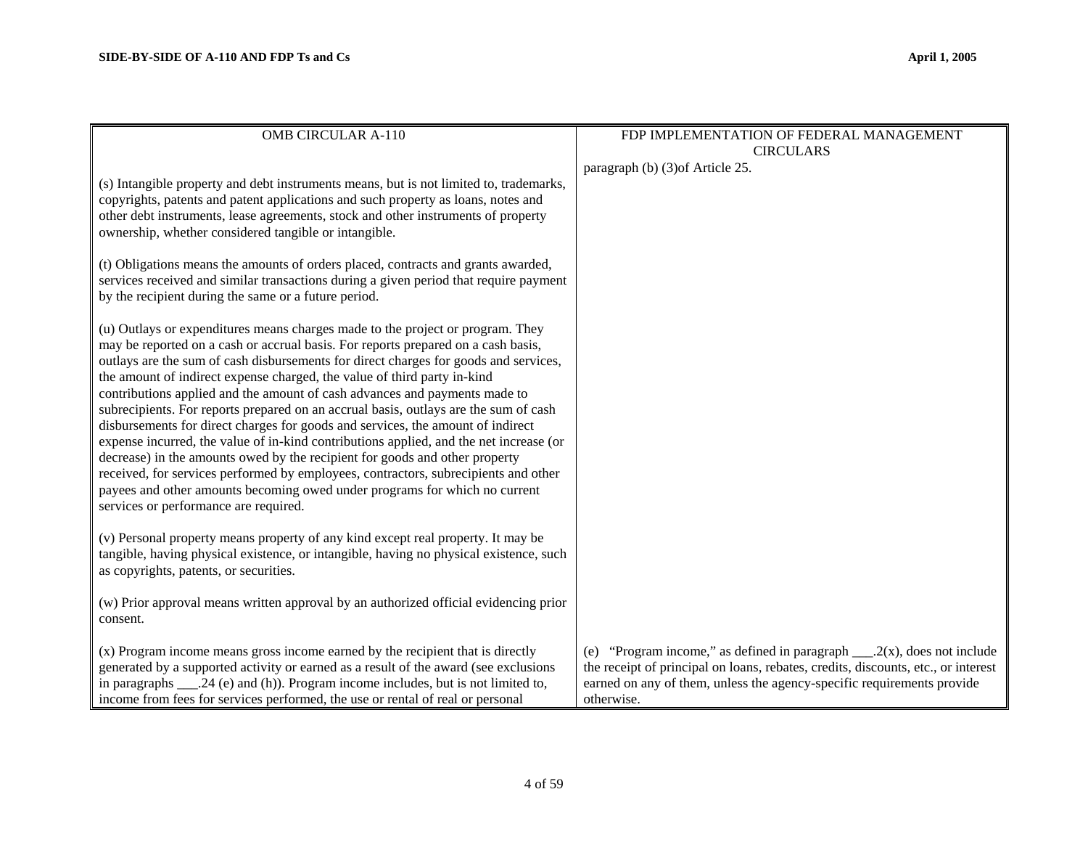| <b>OMB CIRCULAR A-110</b>                                                              | FDP IMPLEMENTATION OF FEDERAL MANAGEMENT                                          |
|----------------------------------------------------------------------------------------|-----------------------------------------------------------------------------------|
|                                                                                        | <b>CIRCULARS</b>                                                                  |
|                                                                                        | paragraph (b) (3) of Article 25.                                                  |
| (s) Intangible property and debt instruments means, but is not limited to, trademarks, |                                                                                   |
| copyrights, patents and patent applications and such property as loans, notes and      |                                                                                   |
| other debt instruments, lease agreements, stock and other instruments of property      |                                                                                   |
| ownership, whether considered tangible or intangible.                                  |                                                                                   |
|                                                                                        |                                                                                   |
| (t) Obligations means the amounts of orders placed, contracts and grants awarded,      |                                                                                   |
| services received and similar transactions during a given period that require payment  |                                                                                   |
| by the recipient during the same or a future period.                                   |                                                                                   |
|                                                                                        |                                                                                   |
|                                                                                        |                                                                                   |
| (u) Outlays or expenditures means charges made to the project or program. They         |                                                                                   |
| may be reported on a cash or accrual basis. For reports prepared on a cash basis,      |                                                                                   |
| outlays are the sum of cash disbursements for direct charges for goods and services,   |                                                                                   |
| the amount of indirect expense charged, the value of third party in-kind               |                                                                                   |
| contributions applied and the amount of cash advances and payments made to             |                                                                                   |
| subrecipients. For reports prepared on an accrual basis, outlays are the sum of cash   |                                                                                   |
| disbursements for direct charges for goods and services, the amount of indirect        |                                                                                   |
| expense incurred, the value of in-kind contributions applied, and the net increase (or |                                                                                   |
| decrease) in the amounts owed by the recipient for goods and other property            |                                                                                   |
| received, for services performed by employees, contractors, subrecipients and other    |                                                                                   |
| payees and other amounts becoming owed under programs for which no current             |                                                                                   |
| services or performance are required.                                                  |                                                                                   |
|                                                                                        |                                                                                   |
| (v) Personal property means property of any kind except real property. It may be       |                                                                                   |
|                                                                                        |                                                                                   |
| tangible, having physical existence, or intangible, having no physical existence, such |                                                                                   |
| as copyrights, patents, or securities.                                                 |                                                                                   |
|                                                                                        |                                                                                   |
| (w) Prior approval means written approval by an authorized official evidencing prior   |                                                                                   |
| consent.                                                                               |                                                                                   |
|                                                                                        |                                                                                   |
| (x) Program income means gross income earned by the recipient that is directly         | (e) "Program income," as defined in paragraph $\_\_2(x)$ , does not include       |
| generated by a supported activity or earned as a result of the award (see exclusions   | the receipt of principal on loans, rebates, credits, discounts, etc., or interest |
| in paragraphs ______ 24 (e) and (h)). Program income includes, but is not limited to,  | earned on any of them, unless the agency-specific requirements provide            |
| income from fees for services performed, the use or rental of real or personal         | otherwise.                                                                        |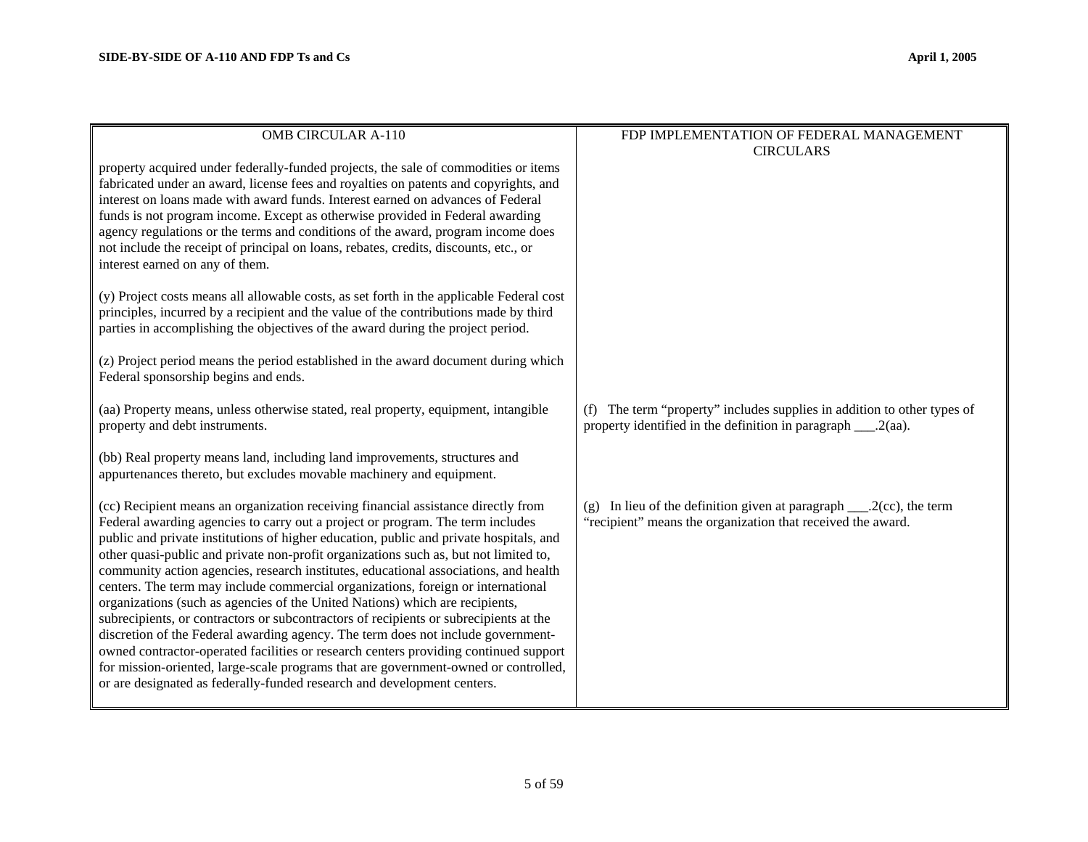| <b>OMB CIRCULAR A-110</b>                                                                                                                                                                                                                                                                                                                                                                                                                                                                                                                                                                                                                                                                                                                                                                                                                                                                                                                                                                                                                                | FDP IMPLEMENTATION OF FEDERAL MANAGEMENT                                                                                                      |
|----------------------------------------------------------------------------------------------------------------------------------------------------------------------------------------------------------------------------------------------------------------------------------------------------------------------------------------------------------------------------------------------------------------------------------------------------------------------------------------------------------------------------------------------------------------------------------------------------------------------------------------------------------------------------------------------------------------------------------------------------------------------------------------------------------------------------------------------------------------------------------------------------------------------------------------------------------------------------------------------------------------------------------------------------------|-----------------------------------------------------------------------------------------------------------------------------------------------|
|                                                                                                                                                                                                                                                                                                                                                                                                                                                                                                                                                                                                                                                                                                                                                                                                                                                                                                                                                                                                                                                          | <b>CIRCULARS</b>                                                                                                                              |
| property acquired under federally-funded projects, the sale of commodities or items<br>fabricated under an award, license fees and royalties on patents and copyrights, and<br>interest on loans made with award funds. Interest earned on advances of Federal<br>funds is not program income. Except as otherwise provided in Federal awarding<br>agency regulations or the terms and conditions of the award, program income does<br>not include the receipt of principal on loans, rebates, credits, discounts, etc., or<br>interest earned on any of them.                                                                                                                                                                                                                                                                                                                                                                                                                                                                                           |                                                                                                                                               |
| (y) Project costs means all allowable costs, as set forth in the applicable Federal cost<br>principles, incurred by a recipient and the value of the contributions made by third<br>parties in accomplishing the objectives of the award during the project period.                                                                                                                                                                                                                                                                                                                                                                                                                                                                                                                                                                                                                                                                                                                                                                                      |                                                                                                                                               |
| (z) Project period means the period established in the award document during which<br>Federal sponsorship begins and ends.                                                                                                                                                                                                                                                                                                                                                                                                                                                                                                                                                                                                                                                                                                                                                                                                                                                                                                                               |                                                                                                                                               |
| (aa) Property means, unless otherwise stated, real property, equipment, intangible<br>property and debt instruments.                                                                                                                                                                                                                                                                                                                                                                                                                                                                                                                                                                                                                                                                                                                                                                                                                                                                                                                                     | The term "property" includes supplies in addition to other types of<br>(f)<br>property identified in the definition in paragraph _____.2(aa). |
| (bb) Real property means land, including land improvements, structures and<br>appurtenances thereto, but excludes movable machinery and equipment.                                                                                                                                                                                                                                                                                                                                                                                                                                                                                                                                                                                                                                                                                                                                                                                                                                                                                                       |                                                                                                                                               |
| (cc) Recipient means an organization receiving financial assistance directly from<br>Federal awarding agencies to carry out a project or program. The term includes<br>public and private institutions of higher education, public and private hospitals, and<br>other quasi-public and private non-profit organizations such as, but not limited to,<br>community action agencies, research institutes, educational associations, and health<br>centers. The term may include commercial organizations, foreign or international<br>organizations (such as agencies of the United Nations) which are recipients,<br>subrecipients, or contractors or subcontractors of recipients or subrecipients at the<br>discretion of the Federal awarding agency. The term does not include government-<br>owned contractor-operated facilities or research centers providing continued support<br>for mission-oriented, large-scale programs that are government-owned or controlled,<br>or are designated as federally-funded research and development centers. | (g) In lieu of the definition given at paragraph $\_\_2$ (cc), the term<br>"recipient" means the organization that received the award.        |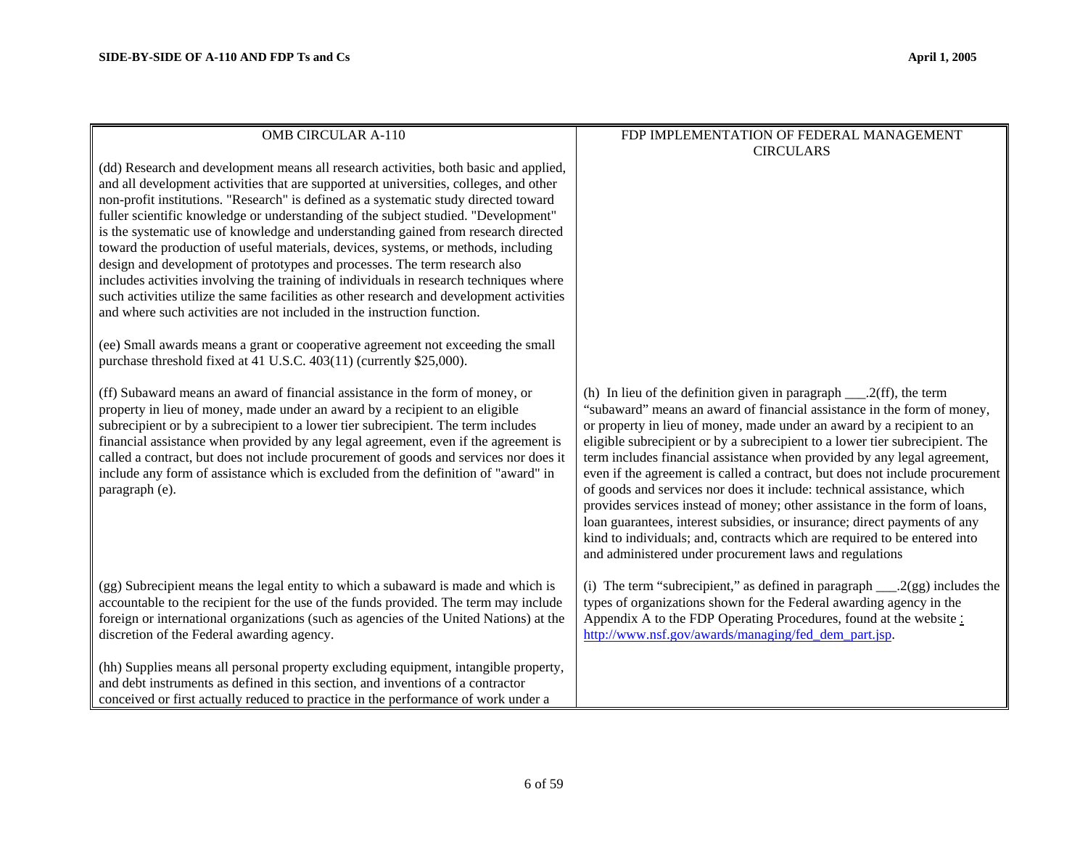| <b>OMB CIRCULAR A-110</b>                                                                                                                                                                                                                                                                                                                                                                                                                                                                                                                                                                                                                                                                                                                                                                                                                                                                                                                                                   | FDP IMPLEMENTATION OF FEDERAL MANAGEMENT                                                                                                                                                                                                                                                                                                                                                                                                                                                                                                                                                                                                                                                                                                                                                                                                                |
|-----------------------------------------------------------------------------------------------------------------------------------------------------------------------------------------------------------------------------------------------------------------------------------------------------------------------------------------------------------------------------------------------------------------------------------------------------------------------------------------------------------------------------------------------------------------------------------------------------------------------------------------------------------------------------------------------------------------------------------------------------------------------------------------------------------------------------------------------------------------------------------------------------------------------------------------------------------------------------|---------------------------------------------------------------------------------------------------------------------------------------------------------------------------------------------------------------------------------------------------------------------------------------------------------------------------------------------------------------------------------------------------------------------------------------------------------------------------------------------------------------------------------------------------------------------------------------------------------------------------------------------------------------------------------------------------------------------------------------------------------------------------------------------------------------------------------------------------------|
|                                                                                                                                                                                                                                                                                                                                                                                                                                                                                                                                                                                                                                                                                                                                                                                                                                                                                                                                                                             | <b>CIRCULARS</b>                                                                                                                                                                                                                                                                                                                                                                                                                                                                                                                                                                                                                                                                                                                                                                                                                                        |
| (dd) Research and development means all research activities, both basic and applied,<br>and all development activities that are supported at universities, colleges, and other<br>non-profit institutions. "Research" is defined as a systematic study directed toward<br>fuller scientific knowledge or understanding of the subject studied. "Development"<br>is the systematic use of knowledge and understanding gained from research directed<br>toward the production of useful materials, devices, systems, or methods, including<br>design and development of prototypes and processes. The term research also<br>includes activities involving the training of individuals in research techniques where<br>such activities utilize the same facilities as other research and development activities<br>and where such activities are not included in the instruction function.<br>(ee) Small awards means a grant or cooperative agreement not exceeding the small |                                                                                                                                                                                                                                                                                                                                                                                                                                                                                                                                                                                                                                                                                                                                                                                                                                                         |
| purchase threshold fixed at 41 U.S.C. 403(11) (currently \$25,000).                                                                                                                                                                                                                                                                                                                                                                                                                                                                                                                                                                                                                                                                                                                                                                                                                                                                                                         |                                                                                                                                                                                                                                                                                                                                                                                                                                                                                                                                                                                                                                                                                                                                                                                                                                                         |
| (ff) Subaward means an award of financial assistance in the form of money, or<br>property in lieu of money, made under an award by a recipient to an eligible<br>subrecipient or by a subrecipient to a lower tier subrecipient. The term includes<br>financial assistance when provided by any legal agreement, even if the agreement is<br>called a contract, but does not include procurement of goods and services nor does it<br>include any form of assistance which is excluded from the definition of "award" in<br>paragraph (e).                                                                                                                                                                                                                                                                                                                                                                                                                                  | (h) In lieu of the definition given in paragraph $\_\_\_2(ff)$ , the term<br>"subaward" means an award of financial assistance in the form of money,<br>or property in lieu of money, made under an award by a recipient to an<br>eligible subrecipient or by a subrecipient to a lower tier subrecipient. The<br>term includes financial assistance when provided by any legal agreement,<br>even if the agreement is called a contract, but does not include procurement<br>of goods and services nor does it include: technical assistance, which<br>provides services instead of money; other assistance in the form of loans,<br>loan guarantees, interest subsidies, or insurance; direct payments of any<br>kind to individuals; and, contracts which are required to be entered into<br>and administered under procurement laws and regulations |
| (gg) Subrecipient means the legal entity to which a subaward is made and which is<br>accountable to the recipient for the use of the funds provided. The term may include<br>foreign or international organizations (such as agencies of the United Nations) at the<br>discretion of the Federal awarding agency.                                                                                                                                                                                                                                                                                                                                                                                                                                                                                                                                                                                                                                                           | (i) The term "subrecipient," as defined in paragraph $\_\_$ . 2(gg) includes the<br>types of organizations shown for the Federal awarding agency in the<br>Appendix A to the FDP Operating Procedures, found at the website:<br>http://www.nsf.gov/awards/managing/fed dem part.jsp.                                                                                                                                                                                                                                                                                                                                                                                                                                                                                                                                                                    |
| (hh) Supplies means all personal property excluding equipment, intangible property,<br>and debt instruments as defined in this section, and inventions of a contractor<br>conceived or first actually reduced to practice in the performance of work under a                                                                                                                                                                                                                                                                                                                                                                                                                                                                                                                                                                                                                                                                                                                |                                                                                                                                                                                                                                                                                                                                                                                                                                                                                                                                                                                                                                                                                                                                                                                                                                                         |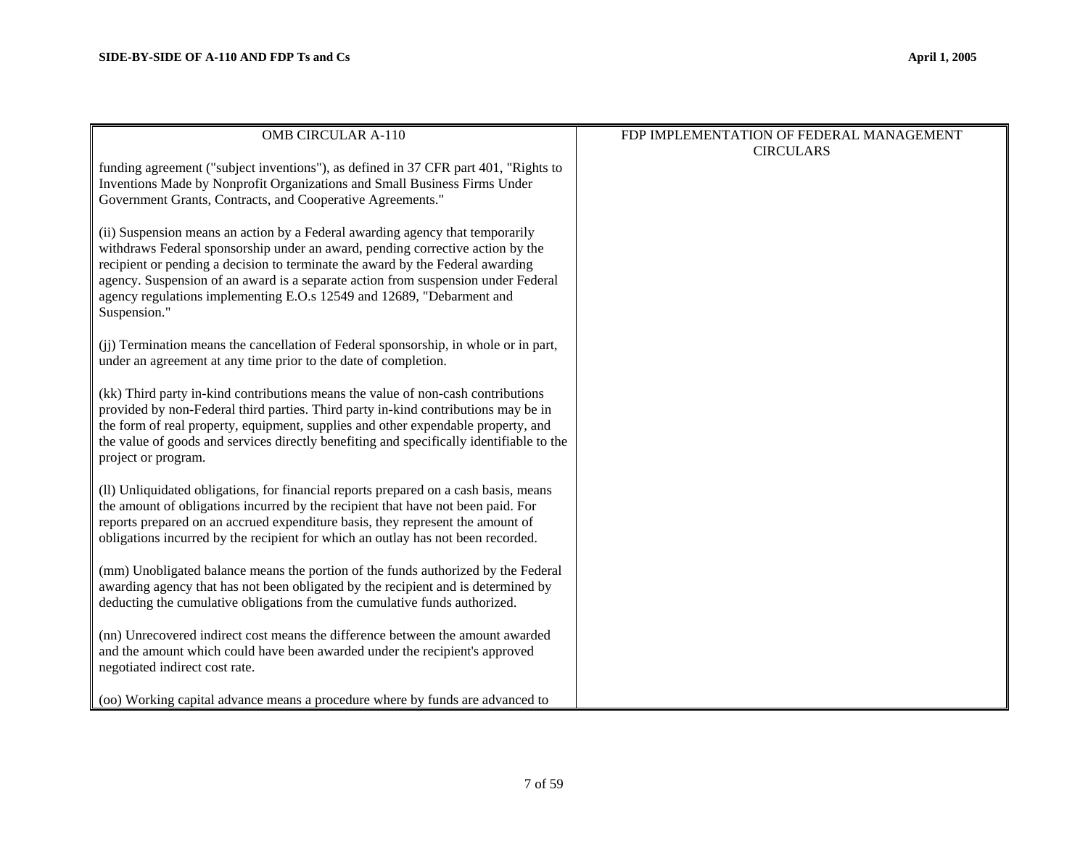| OMB CIRCULAR A-110                                                                                                                                                                                                                                                                                                                                                                                                              | FDP IMPLEMENTATION OF FEDERAL MANAGEMENT |
|---------------------------------------------------------------------------------------------------------------------------------------------------------------------------------------------------------------------------------------------------------------------------------------------------------------------------------------------------------------------------------------------------------------------------------|------------------------------------------|
|                                                                                                                                                                                                                                                                                                                                                                                                                                 | <b>CIRCULARS</b>                         |
| funding agreement ("subject inventions"), as defined in 37 CFR part 401, "Rights to<br>Inventions Made by Nonprofit Organizations and Small Business Firms Under<br>Government Grants, Contracts, and Cooperative Agreements."                                                                                                                                                                                                  |                                          |
| (ii) Suspension means an action by a Federal awarding agency that temporarily<br>withdraws Federal sponsorship under an award, pending corrective action by the<br>recipient or pending a decision to terminate the award by the Federal awarding<br>agency. Suspension of an award is a separate action from suspension under Federal<br>agency regulations implementing E.O.s 12549 and 12689, "Debarment and<br>Suspension." |                                          |
| (ij) Termination means the cancellation of Federal sponsorship, in whole or in part,<br>under an agreement at any time prior to the date of completion.                                                                                                                                                                                                                                                                         |                                          |
| (kk) Third party in-kind contributions means the value of non-cash contributions<br>provided by non-Federal third parties. Third party in-kind contributions may be in<br>the form of real property, equipment, supplies and other expendable property, and<br>the value of goods and services directly benefiting and specifically identifiable to the<br>project or program.                                                  |                                          |
| (ll) Unliquidated obligations, for financial reports prepared on a cash basis, means<br>the amount of obligations incurred by the recipient that have not been paid. For<br>reports prepared on an accrued expenditure basis, they represent the amount of<br>obligations incurred by the recipient for which an outlay has not been recorded.                                                                                  |                                          |
| (mm) Unobligated balance means the portion of the funds authorized by the Federal<br>awarding agency that has not been obligated by the recipient and is determined by<br>deducting the cumulative obligations from the cumulative funds authorized.                                                                                                                                                                            |                                          |
| (nn) Unrecovered indirect cost means the difference between the amount awarded<br>and the amount which could have been awarded under the recipient's approved<br>negotiated indirect cost rate.                                                                                                                                                                                                                                 |                                          |
| (oo) Working capital advance means a procedure where by funds are advanced to                                                                                                                                                                                                                                                                                                                                                   |                                          |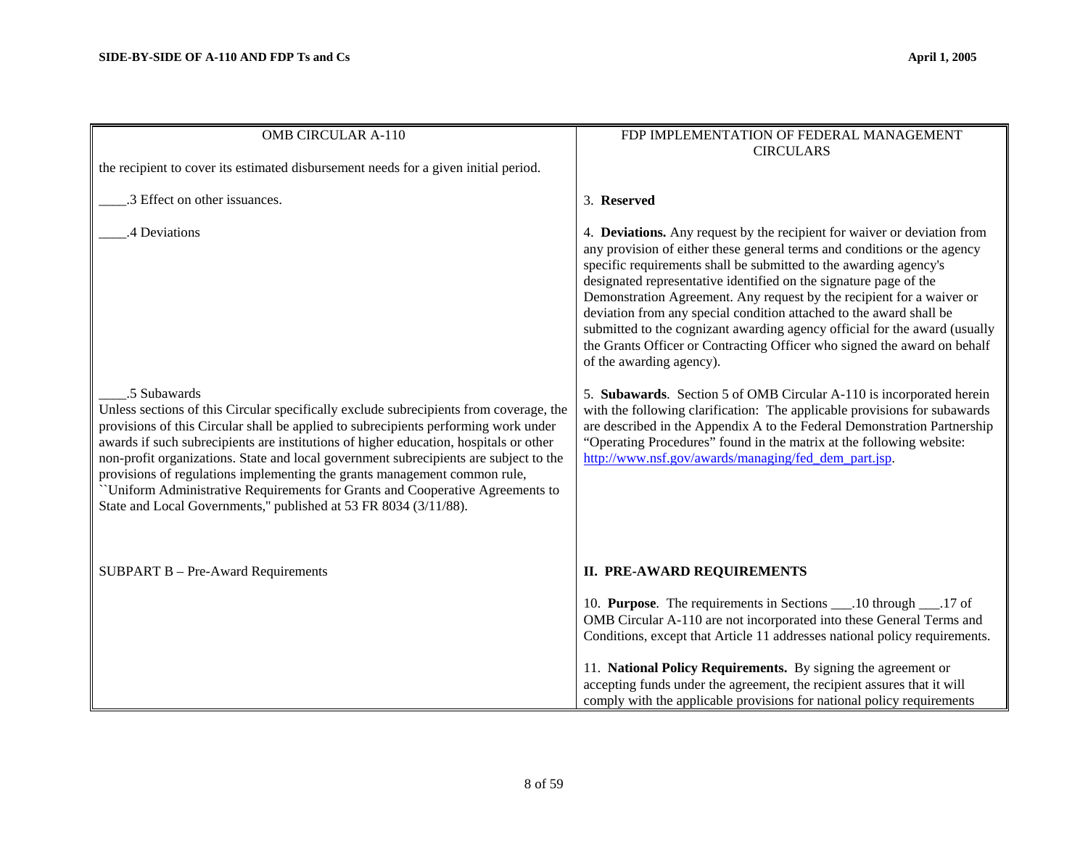| <b>OMB CIRCULAR A-110</b>                                                                                                                                                                                                                                                                                                                                                                                                                                                                                                                                                                                         | FDP IMPLEMENTATION OF FEDERAL MANAGEMENT                                                                                                                                                                                                                                                                                                                                                                                                                                                                                                                                                                                             |
|-------------------------------------------------------------------------------------------------------------------------------------------------------------------------------------------------------------------------------------------------------------------------------------------------------------------------------------------------------------------------------------------------------------------------------------------------------------------------------------------------------------------------------------------------------------------------------------------------------------------|--------------------------------------------------------------------------------------------------------------------------------------------------------------------------------------------------------------------------------------------------------------------------------------------------------------------------------------------------------------------------------------------------------------------------------------------------------------------------------------------------------------------------------------------------------------------------------------------------------------------------------------|
|                                                                                                                                                                                                                                                                                                                                                                                                                                                                                                                                                                                                                   | <b>CIRCULARS</b>                                                                                                                                                                                                                                                                                                                                                                                                                                                                                                                                                                                                                     |
| the recipient to cover its estimated disbursement needs for a given initial period.                                                                                                                                                                                                                                                                                                                                                                                                                                                                                                                               |                                                                                                                                                                                                                                                                                                                                                                                                                                                                                                                                                                                                                                      |
| .3 Effect on other issuances.                                                                                                                                                                                                                                                                                                                                                                                                                                                                                                                                                                                     | 3. Reserved                                                                                                                                                                                                                                                                                                                                                                                                                                                                                                                                                                                                                          |
| .4 Deviations                                                                                                                                                                                                                                                                                                                                                                                                                                                                                                                                                                                                     | 4. Deviations. Any request by the recipient for waiver or deviation from<br>any provision of either these general terms and conditions or the agency<br>specific requirements shall be submitted to the awarding agency's<br>designated representative identified on the signature page of the<br>Demonstration Agreement. Any request by the recipient for a waiver or<br>deviation from any special condition attached to the award shall be<br>submitted to the cognizant awarding agency official for the award (usually<br>the Grants Officer or Contracting Officer who signed the award on behalf<br>of the awarding agency). |
| .5 Subawards<br>Unless sections of this Circular specifically exclude subrecipients from coverage, the<br>provisions of this Circular shall be applied to subrecipients performing work under<br>awards if such subrecipients are institutions of higher education, hospitals or other<br>non-profit organizations. State and local government subrecipients are subject to the<br>provisions of regulations implementing the grants management common rule,<br>"Uniform Administrative Requirements for Grants and Cooperative Agreements to<br>State and Local Governments," published at 53 FR 8034 (3/11/88). | 5. Subawards. Section 5 of OMB Circular A-110 is incorporated herein<br>with the following clarification: The applicable provisions for subawards<br>are described in the Appendix A to the Federal Demonstration Partnership<br>"Operating Procedures" found in the matrix at the following website:<br>http://www.nsf.gov/awards/managing/fed dem part.jsp.                                                                                                                                                                                                                                                                        |
| SUBPART B - Pre-Award Requirements                                                                                                                                                                                                                                                                                                                                                                                                                                                                                                                                                                                | <b>II. PRE-AWARD REQUIREMENTS</b>                                                                                                                                                                                                                                                                                                                                                                                                                                                                                                                                                                                                    |
|                                                                                                                                                                                                                                                                                                                                                                                                                                                                                                                                                                                                                   | 10. Purpose. The requirements in Sections _____.10 through _____.17 of<br>OMB Circular A-110 are not incorporated into these General Terms and<br>Conditions, except that Article 11 addresses national policy requirements.                                                                                                                                                                                                                                                                                                                                                                                                         |
|                                                                                                                                                                                                                                                                                                                                                                                                                                                                                                                                                                                                                   | 11. National Policy Requirements. By signing the agreement or<br>accepting funds under the agreement, the recipient assures that it will<br>comply with the applicable provisions for national policy requirements                                                                                                                                                                                                                                                                                                                                                                                                                   |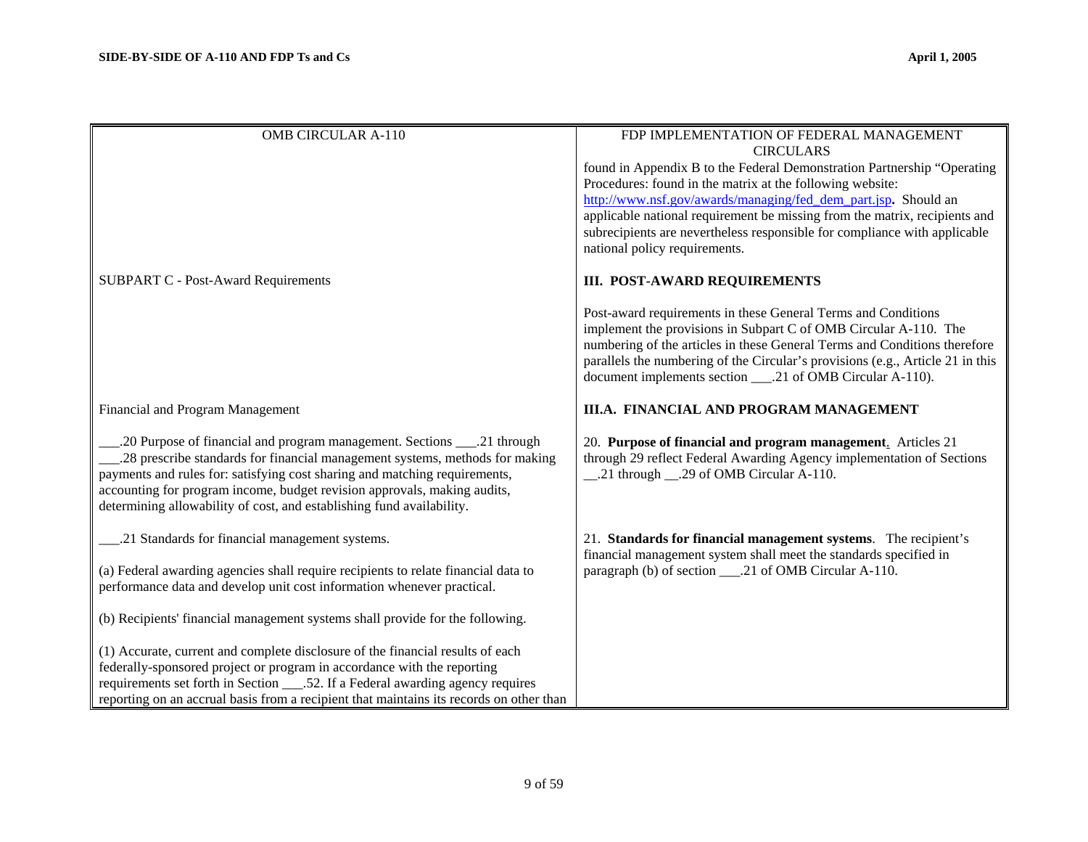| <b>OMB CIRCULAR A-110</b>                                                                                                                                                                                                                                                                                                                                                             | FDP IMPLEMENTATION OF FEDERAL MANAGEMENT                                                                                                                                                                                                                                                                                                                                                                               |
|---------------------------------------------------------------------------------------------------------------------------------------------------------------------------------------------------------------------------------------------------------------------------------------------------------------------------------------------------------------------------------------|------------------------------------------------------------------------------------------------------------------------------------------------------------------------------------------------------------------------------------------------------------------------------------------------------------------------------------------------------------------------------------------------------------------------|
|                                                                                                                                                                                                                                                                                                                                                                                       | <b>CIRCULARS</b><br>found in Appendix B to the Federal Demonstration Partnership "Operating<br>Procedures: found in the matrix at the following website:<br>http://www.nsf.gov/awards/managing/fed dem part.jsp. Should an<br>applicable national requirement be missing from the matrix, recipients and<br>subrecipients are nevertheless responsible for compliance with applicable<br>national policy requirements. |
| <b>SUBPART C - Post-Award Requirements</b>                                                                                                                                                                                                                                                                                                                                            | <b>III. POST-AWARD REQUIREMENTS</b>                                                                                                                                                                                                                                                                                                                                                                                    |
|                                                                                                                                                                                                                                                                                                                                                                                       | Post-award requirements in these General Terms and Conditions<br>implement the provisions in Subpart C of OMB Circular A-110. The<br>numbering of the articles in these General Terms and Conditions therefore<br>parallels the numbering of the Circular's provisions (e.g., Article 21 in this                                                                                                                       |
| Financial and Program Management                                                                                                                                                                                                                                                                                                                                                      | III.A. FINANCIAL AND PROGRAM MANAGEMENT                                                                                                                                                                                                                                                                                                                                                                                |
| 20 Purpose of financial and program management. Sections 21 through<br>28 prescribe standards for financial management systems, methods for making<br>payments and rules for: satisfying cost sharing and matching requirements,<br>accounting for program income, budget revision approvals, making audits,<br>determining allowability of cost, and establishing fund availability. | 20. Purpose of financial and program management. Articles 21<br>through 29 reflect Federal Awarding Agency implementation of Sections                                                                                                                                                                                                                                                                                  |
| 21 Standards for financial management systems.                                                                                                                                                                                                                                                                                                                                        | 21. Standards for financial management systems. The recipient's                                                                                                                                                                                                                                                                                                                                                        |
| (a) Federal awarding agencies shall require recipients to relate financial data to<br>performance data and develop unit cost information whenever practical.                                                                                                                                                                                                                          | financial management system shall meet the standards specified in<br>paragraph (b) of section ______ 21 of OMB Circular A-110.                                                                                                                                                                                                                                                                                         |
| (b) Recipients' financial management systems shall provide for the following.                                                                                                                                                                                                                                                                                                         |                                                                                                                                                                                                                                                                                                                                                                                                                        |
| (1) Accurate, current and complete disclosure of the financial results of each<br>federally-sponsored project or program in accordance with the reporting<br>reporting on an accrual basis from a recipient that maintains its records on other than                                                                                                                                  |                                                                                                                                                                                                                                                                                                                                                                                                                        |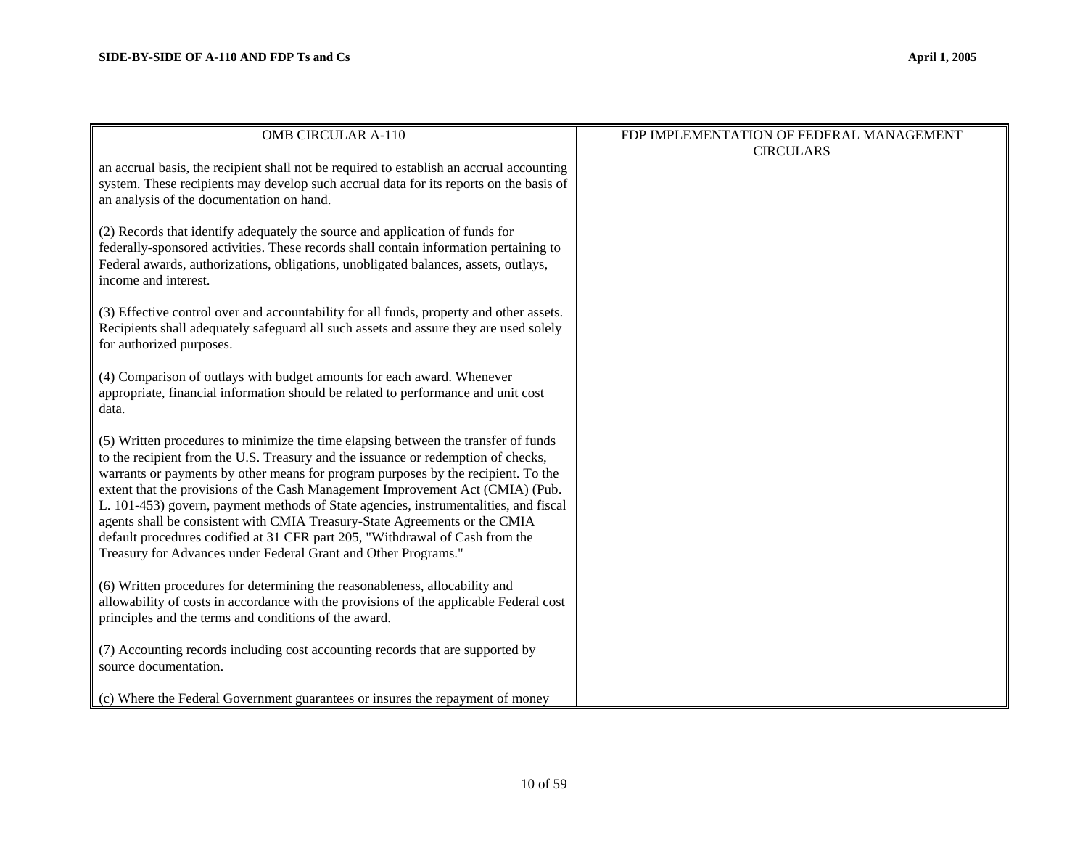| OMB CIRCULAR A-110                                                                                                                                                                                                                                                                                                                                                                                                                                                                                                                                                                                                                                                     | FDP IMPLEMENTATION OF FEDERAL MANAGEMENT |
|------------------------------------------------------------------------------------------------------------------------------------------------------------------------------------------------------------------------------------------------------------------------------------------------------------------------------------------------------------------------------------------------------------------------------------------------------------------------------------------------------------------------------------------------------------------------------------------------------------------------------------------------------------------------|------------------------------------------|
|                                                                                                                                                                                                                                                                                                                                                                                                                                                                                                                                                                                                                                                                        | <b>CIRCULARS</b>                         |
| an accrual basis, the recipient shall not be required to establish an accrual accounting<br>system. These recipients may develop such accrual data for its reports on the basis of<br>an analysis of the documentation on hand.                                                                                                                                                                                                                                                                                                                                                                                                                                        |                                          |
| (2) Records that identify adequately the source and application of funds for<br>federally-sponsored activities. These records shall contain information pertaining to<br>Federal awards, authorizations, obligations, unobligated balances, assets, outlays,<br>income and interest.                                                                                                                                                                                                                                                                                                                                                                                   |                                          |
| (3) Effective control over and accountability for all funds, property and other assets.<br>Recipients shall adequately safeguard all such assets and assure they are used solely<br>for authorized purposes.                                                                                                                                                                                                                                                                                                                                                                                                                                                           |                                          |
| (4) Comparison of outlays with budget amounts for each award. Whenever<br>appropriate, financial information should be related to performance and unit cost<br>data.                                                                                                                                                                                                                                                                                                                                                                                                                                                                                                   |                                          |
| (5) Written procedures to minimize the time elapsing between the transfer of funds<br>to the recipient from the U.S. Treasury and the issuance or redemption of checks,<br>warrants or payments by other means for program purposes by the recipient. To the<br>extent that the provisions of the Cash Management Improvement Act (CMIA) (Pub.<br>L. 101-453) govern, payment methods of State agencies, instrumentalities, and fiscal<br>agents shall be consistent with CMIA Treasury-State Agreements or the CMIA<br>default procedures codified at 31 CFR part 205, "Withdrawal of Cash from the<br>Treasury for Advances under Federal Grant and Other Programs." |                                          |
| (6) Written procedures for determining the reasonableness, allocability and<br>allowability of costs in accordance with the provisions of the applicable Federal cost<br>principles and the terms and conditions of the award.                                                                                                                                                                                                                                                                                                                                                                                                                                         |                                          |
| (7) Accounting records including cost accounting records that are supported by<br>source documentation.                                                                                                                                                                                                                                                                                                                                                                                                                                                                                                                                                                |                                          |
| (c) Where the Federal Government guarantees or insures the repayment of money                                                                                                                                                                                                                                                                                                                                                                                                                                                                                                                                                                                          |                                          |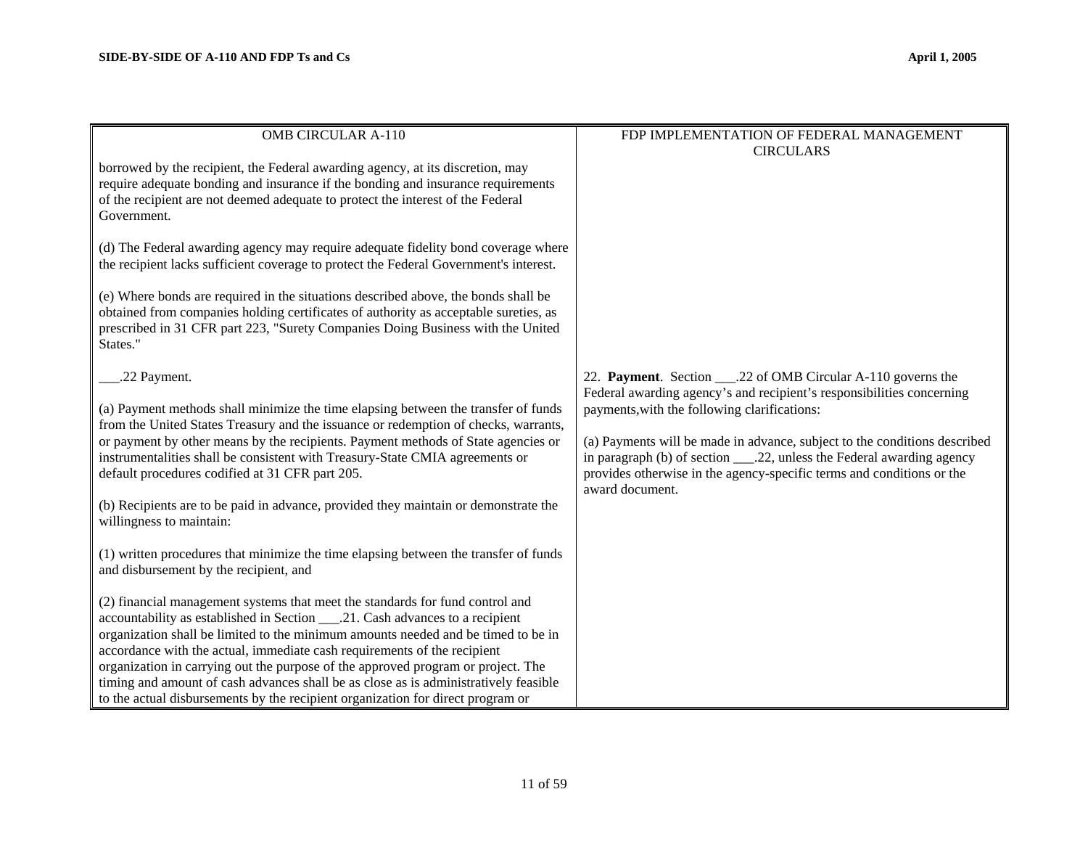| <b>OMB CIRCULAR A-110</b>                                                                                                                                                                                                                                                                                                                                                                                                                                                                                     | FDP IMPLEMENTATION OF FEDERAL MANAGEMENT                                                                                                                                                                                                                                                                                                                                    |
|---------------------------------------------------------------------------------------------------------------------------------------------------------------------------------------------------------------------------------------------------------------------------------------------------------------------------------------------------------------------------------------------------------------------------------------------------------------------------------------------------------------|-----------------------------------------------------------------------------------------------------------------------------------------------------------------------------------------------------------------------------------------------------------------------------------------------------------------------------------------------------------------------------|
|                                                                                                                                                                                                                                                                                                                                                                                                                                                                                                               | <b>CIRCULARS</b>                                                                                                                                                                                                                                                                                                                                                            |
| borrowed by the recipient, the Federal awarding agency, at its discretion, may<br>require adequate bonding and insurance if the bonding and insurance requirements<br>of the recipient are not deemed adequate to protect the interest of the Federal<br>Government.                                                                                                                                                                                                                                          |                                                                                                                                                                                                                                                                                                                                                                             |
| (d) The Federal awarding agency may require adequate fidelity bond coverage where<br>the recipient lacks sufficient coverage to protect the Federal Government's interest.                                                                                                                                                                                                                                                                                                                                    |                                                                                                                                                                                                                                                                                                                                                                             |
| (e) Where bonds are required in the situations described above, the bonds shall be<br>obtained from companies holding certificates of authority as acceptable sureties, as<br>prescribed in 31 CFR part 223, "Surety Companies Doing Business with the United<br>States."                                                                                                                                                                                                                                     |                                                                                                                                                                                                                                                                                                                                                                             |
| .22 Payment.                                                                                                                                                                                                                                                                                                                                                                                                                                                                                                  | 22. Payment. Section _____.22 of OMB Circular A-110 governs the                                                                                                                                                                                                                                                                                                             |
| (a) Payment methods shall minimize the time elapsing between the transfer of funds<br>from the United States Treasury and the issuance or redemption of checks, warrants,<br>or payment by other means by the recipients. Payment methods of State agencies or<br>instrumentalities shall be consistent with Treasury-State CMIA agreements or<br>default procedures codified at 31 CFR part 205.                                                                                                             | Federal awarding agency's and recipient's responsibilities concerning<br>payments, with the following clarifications:<br>(a) Payments will be made in advance, subject to the conditions described<br>in paragraph (b) of section ______.22, unless the Federal awarding agency<br>provides otherwise in the agency-specific terms and conditions or the<br>award document. |
| (b) Recipients are to be paid in advance, provided they maintain or demonstrate the<br>willingness to maintain:                                                                                                                                                                                                                                                                                                                                                                                               |                                                                                                                                                                                                                                                                                                                                                                             |
| (1) written procedures that minimize the time elapsing between the transfer of funds<br>and disbursement by the recipient, and                                                                                                                                                                                                                                                                                                                                                                                |                                                                                                                                                                                                                                                                                                                                                                             |
| (2) financial management systems that meet the standards for fund control and<br>organization shall be limited to the minimum amounts needed and be timed to be in<br>accordance with the actual, immediate cash requirements of the recipient<br>organization in carrying out the purpose of the approved program or project. The<br>timing and amount of cash advances shall be as close as is administratively feasible<br>to the actual disbursements by the recipient organization for direct program or |                                                                                                                                                                                                                                                                                                                                                                             |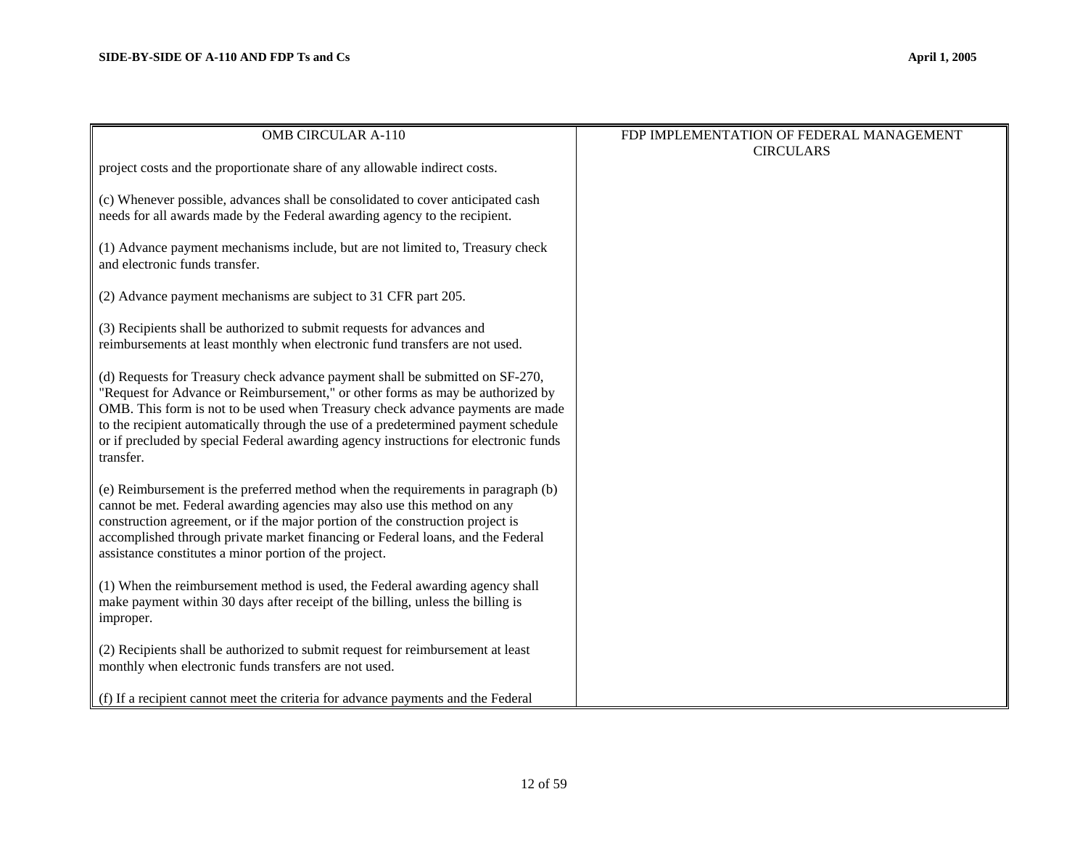| <b>OMB CIRCULAR A-110</b>                                                                                                                                    | FDP IMPLEMENTATION OF FEDERAL MANAGEMENT |
|--------------------------------------------------------------------------------------------------------------------------------------------------------------|------------------------------------------|
|                                                                                                                                                              | <b>CIRCULARS</b>                         |
| project costs and the proportionate share of any allowable indirect costs.                                                                                   |                                          |
|                                                                                                                                                              |                                          |
| (c) Whenever possible, advances shall be consolidated to cover anticipated cash                                                                              |                                          |
| needs for all awards made by the Federal awarding agency to the recipient.                                                                                   |                                          |
|                                                                                                                                                              |                                          |
| (1) Advance payment mechanisms include, but are not limited to, Treasury check                                                                               |                                          |
| and electronic funds transfer.                                                                                                                               |                                          |
|                                                                                                                                                              |                                          |
| (2) Advance payment mechanisms are subject to 31 CFR part 205.                                                                                               |                                          |
| (3) Recipients shall be authorized to submit requests for advances and                                                                                       |                                          |
| reimbursements at least monthly when electronic fund transfers are not used.                                                                                 |                                          |
|                                                                                                                                                              |                                          |
| (d) Requests for Treasury check advance payment shall be submitted on SF-270,                                                                                |                                          |
| "Request for Advance or Reimbursement," or other forms as may be authorized by                                                                               |                                          |
| OMB. This form is not to be used when Treasury check advance payments are made                                                                               |                                          |
| to the recipient automatically through the use of a predetermined payment schedule                                                                           |                                          |
| or if precluded by special Federal awarding agency instructions for electronic funds                                                                         |                                          |
| transfer.                                                                                                                                                    |                                          |
|                                                                                                                                                              |                                          |
| (e) Reimbursement is the preferred method when the requirements in paragraph (b)<br>cannot be met. Federal awarding agencies may also use this method on any |                                          |
| construction agreement, or if the major portion of the construction project is                                                                               |                                          |
| accomplished through private market financing or Federal loans, and the Federal                                                                              |                                          |
| assistance constitutes a minor portion of the project.                                                                                                       |                                          |
|                                                                                                                                                              |                                          |
| (1) When the reimbursement method is used, the Federal awarding agency shall                                                                                 |                                          |
| make payment within 30 days after receipt of the billing, unless the billing is                                                                              |                                          |
| improper.                                                                                                                                                    |                                          |
|                                                                                                                                                              |                                          |
| (2) Recipients shall be authorized to submit request for reimbursement at least                                                                              |                                          |
| monthly when electronic funds transfers are not used.                                                                                                        |                                          |
|                                                                                                                                                              |                                          |
| (f) If a recipient cannot meet the criteria for advance payments and the Federal                                                                             |                                          |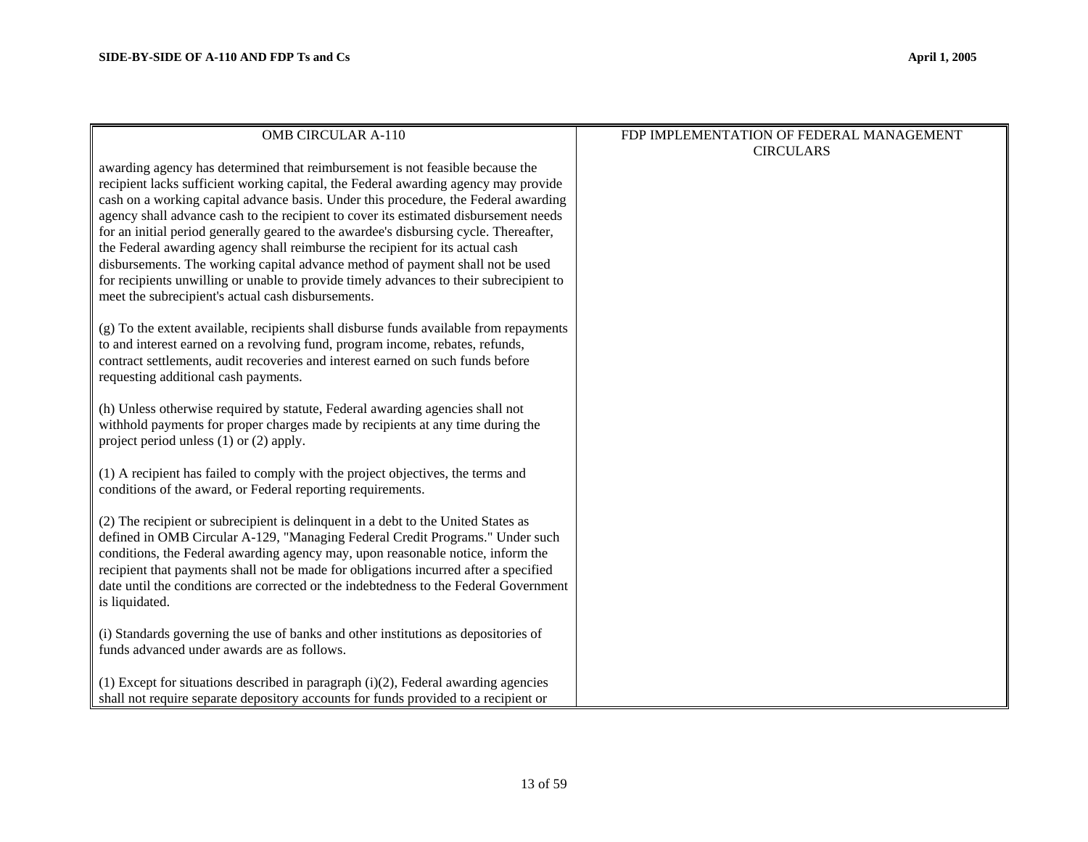| <b>OMB CIRCULAR A-110</b>                                                               | FDP IMPLEMENTATION OF FEDERAL MANAGEMENT |
|-----------------------------------------------------------------------------------------|------------------------------------------|
|                                                                                         | <b>CIRCULARS</b>                         |
| awarding agency has determined that reimbursement is not feasible because the           |                                          |
| recipient lacks sufficient working capital, the Federal awarding agency may provide     |                                          |
| cash on a working capital advance basis. Under this procedure, the Federal awarding     |                                          |
| agency shall advance cash to the recipient to cover its estimated disbursement needs    |                                          |
| for an initial period generally geared to the awardee's disbursing cycle. Thereafter,   |                                          |
| the Federal awarding agency shall reimburse the recipient for its actual cash           |                                          |
| disbursements. The working capital advance method of payment shall not be used          |                                          |
| for recipients unwilling or unable to provide timely advances to their subrecipient to  |                                          |
| meet the subrecipient's actual cash disbursements.                                      |                                          |
|                                                                                         |                                          |
| (g) To the extent available, recipients shall disburse funds available from repayments  |                                          |
| to and interest earned on a revolving fund, program income, rebates, refunds,           |                                          |
| contract settlements, audit recoveries and interest earned on such funds before         |                                          |
| requesting additional cash payments.                                                    |                                          |
| (h) Unless otherwise required by statute, Federal awarding agencies shall not           |                                          |
| withhold payments for proper charges made by recipients at any time during the          |                                          |
| project period unless (1) or (2) apply.                                                 |                                          |
|                                                                                         |                                          |
| (1) A recipient has failed to comply with the project objectives, the terms and         |                                          |
| conditions of the award, or Federal reporting requirements.                             |                                          |
|                                                                                         |                                          |
| (2) The recipient or subrecipient is delinquent in a debt to the United States as       |                                          |
| defined in OMB Circular A-129, "Managing Federal Credit Programs." Under such           |                                          |
| conditions, the Federal awarding agency may, upon reasonable notice, inform the         |                                          |
| recipient that payments shall not be made for obligations incurred after a specified    |                                          |
| date until the conditions are corrected or the indebtedness to the Federal Government   |                                          |
| is liquidated.                                                                          |                                          |
|                                                                                         |                                          |
| (i) Standards governing the use of banks and other institutions as depositories of      |                                          |
| funds advanced under awards are as follows.                                             |                                          |
| $(1)$ Except for situations described in paragraph $(i)(2)$ , Federal awarding agencies |                                          |
| shall not require separate depository accounts for funds provided to a recipient or     |                                          |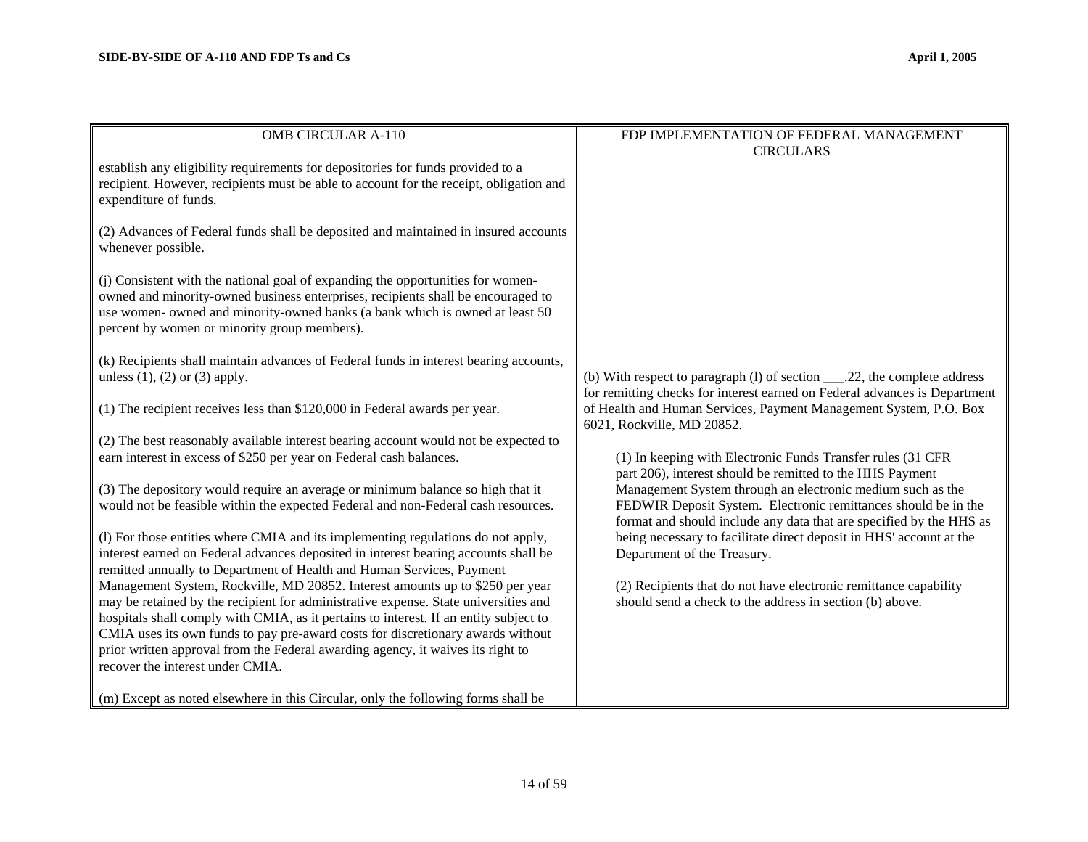| <b>OMB CIRCULAR A-110</b>                                                                                                                                                                                                                                                                           | FDP IMPLEMENTATION OF FEDERAL MANAGEMENT                                                           |
|-----------------------------------------------------------------------------------------------------------------------------------------------------------------------------------------------------------------------------------------------------------------------------------------------------|----------------------------------------------------------------------------------------------------|
|                                                                                                                                                                                                                                                                                                     | <b>CIRCULARS</b>                                                                                   |
| establish any eligibility requirements for depositories for funds provided to a<br>recipient. However, recipients must be able to account for the receipt, obligation and<br>expenditure of funds.                                                                                                  |                                                                                                    |
| (2) Advances of Federal funds shall be deposited and maintained in insured accounts<br>whenever possible.                                                                                                                                                                                           |                                                                                                    |
| (j) Consistent with the national goal of expanding the opportunities for women-<br>owned and minority-owned business enterprises, recipients shall be encouraged to<br>use women- owned and minority-owned banks (a bank which is owned at least 50<br>percent by women or minority group members). |                                                                                                    |
| (k) Recipients shall maintain advances of Federal funds in interest bearing accounts,                                                                                                                                                                                                               |                                                                                                    |
| unless $(1)$ , $(2)$ or $(3)$ apply.                                                                                                                                                                                                                                                                | (b) With respect to paragraph (l) of section _____.22, the complete address                        |
|                                                                                                                                                                                                                                                                                                     | for remitting checks for interest earned on Federal advances is Department                         |
| $(1)$ The recipient receives less than \$120,000 in Federal awards per year.                                                                                                                                                                                                                        | of Health and Human Services, Payment Management System, P.O. Box<br>6021, Rockville, MD 20852.    |
| (2) The best reasonably available interest bearing account would not be expected to                                                                                                                                                                                                                 |                                                                                                    |
| earn interest in excess of \$250 per year on Federal cash balances.                                                                                                                                                                                                                                 | (1) In keeping with Electronic Funds Transfer rules (31 CFR                                        |
|                                                                                                                                                                                                                                                                                                     | part 206), interest should be remitted to the HHS Payment                                          |
| (3) The depository would require an average or minimum balance so high that it                                                                                                                                                                                                                      | Management System through an electronic medium such as the                                         |
| would not be feasible within the expected Federal and non-Federal cash resources.                                                                                                                                                                                                                   | FEDWIR Deposit System. Electronic remittances should be in the                                     |
|                                                                                                                                                                                                                                                                                                     | format and should include any data that are specified by the HHS as                                |
| (l) For those entities where CMIA and its implementing regulations do not apply,<br>interest earned on Federal advances deposited in interest bearing accounts shall be<br>remitted annually to Department of Health and Human Services, Payment                                                    | being necessary to facilitate direct deposit in HHS' account at the<br>Department of the Treasury. |
| Management System, Rockville, MD 20852. Interest amounts up to \$250 per year                                                                                                                                                                                                                       | (2) Recipients that do not have electronic remittance capability                                   |
| may be retained by the recipient for administrative expense. State universities and                                                                                                                                                                                                                 | should send a check to the address in section (b) above.                                           |
| hospitals shall comply with CMIA, as it pertains to interest. If an entity subject to                                                                                                                                                                                                               |                                                                                                    |
| CMIA uses its own funds to pay pre-award costs for discretionary awards without                                                                                                                                                                                                                     |                                                                                                    |
| prior written approval from the Federal awarding agency, it waives its right to                                                                                                                                                                                                                     |                                                                                                    |
| recover the interest under CMIA.                                                                                                                                                                                                                                                                    |                                                                                                    |
| (m) Except as noted elsewhere in this Circular, only the following forms shall be                                                                                                                                                                                                                   |                                                                                                    |
|                                                                                                                                                                                                                                                                                                     |                                                                                                    |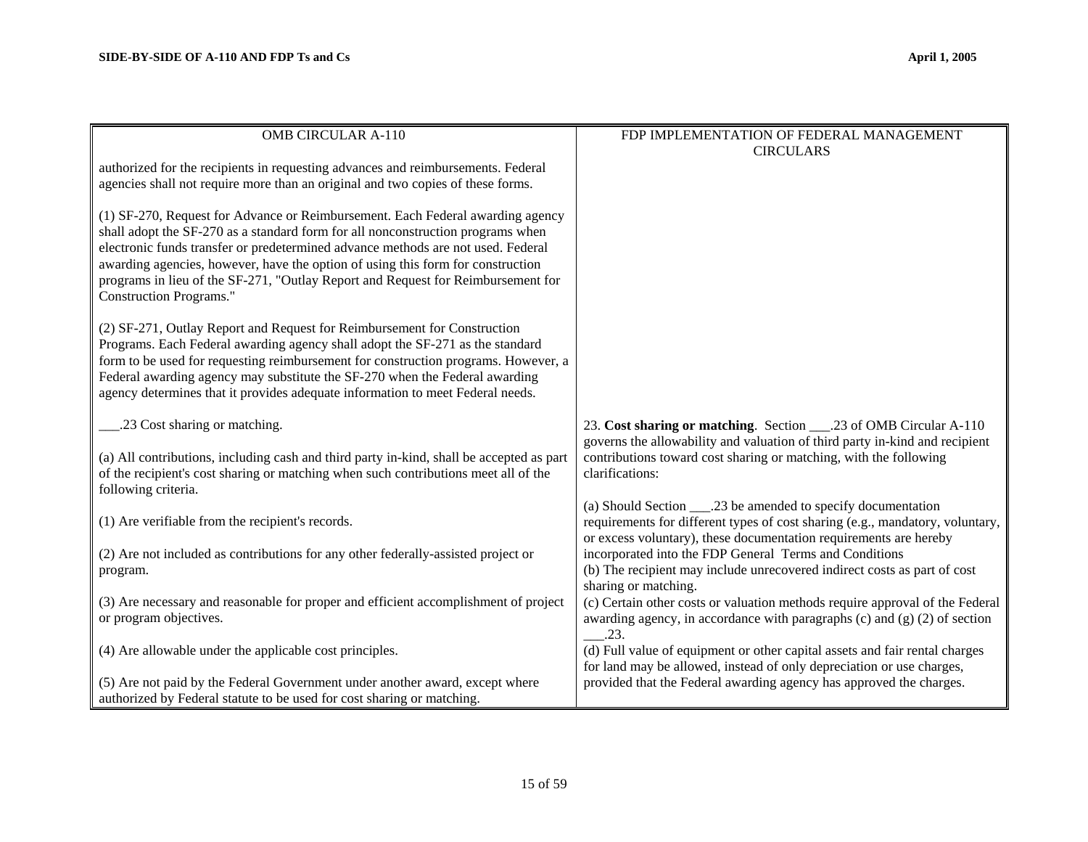| <b>OMB CIRCULAR A-110</b>                                                                                                                                                                                                                                                                                                                                                                                                                                      | FDP IMPLEMENTATION OF FEDERAL MANAGEMENT                                                                                                                   |
|----------------------------------------------------------------------------------------------------------------------------------------------------------------------------------------------------------------------------------------------------------------------------------------------------------------------------------------------------------------------------------------------------------------------------------------------------------------|------------------------------------------------------------------------------------------------------------------------------------------------------------|
|                                                                                                                                                                                                                                                                                                                                                                                                                                                                | <b>CIRCULARS</b>                                                                                                                                           |
| authorized for the recipients in requesting advances and reimbursements. Federal                                                                                                                                                                                                                                                                                                                                                                               |                                                                                                                                                            |
| agencies shall not require more than an original and two copies of these forms.                                                                                                                                                                                                                                                                                                                                                                                |                                                                                                                                                            |
| (1) SF-270, Request for Advance or Reimbursement. Each Federal awarding agency<br>shall adopt the SF-270 as a standard form for all nonconstruction programs when<br>electronic funds transfer or predetermined advance methods are not used. Federal<br>awarding agencies, however, have the option of using this form for construction<br>programs in lieu of the SF-271, "Outlay Report and Request for Reimbursement for<br><b>Construction Programs."</b> |                                                                                                                                                            |
| (2) SF-271, Outlay Report and Request for Reimbursement for Construction<br>Programs. Each Federal awarding agency shall adopt the SF-271 as the standard<br>form to be used for requesting reimbursement for construction programs. However, a<br>Federal awarding agency may substitute the SF-270 when the Federal awarding<br>agency determines that it provides adequate information to meet Federal needs.                                               |                                                                                                                                                            |
| .23 Cost sharing or matching.                                                                                                                                                                                                                                                                                                                                                                                                                                  | 23. Cost sharing or matching. Section _____.23 of OMB Circular A-110<br>governs the allowability and valuation of third party in-kind and recipient        |
| (a) All contributions, including cash and third party in-kind, shall be accepted as part<br>of the recipient's cost sharing or matching when such contributions meet all of the<br>following criteria.                                                                                                                                                                                                                                                         | contributions toward cost sharing or matching, with the following<br>clarifications:                                                                       |
|                                                                                                                                                                                                                                                                                                                                                                                                                                                                | (a) Should Section _____.23 be amended to specify documentation                                                                                            |
| (1) Are verifiable from the recipient's records.                                                                                                                                                                                                                                                                                                                                                                                                               | requirements for different types of cost sharing (e.g., mandatory, voluntary,<br>or excess voluntary), these documentation requirements are hereby         |
| (2) Are not included as contributions for any other federally-assisted project or<br>program.                                                                                                                                                                                                                                                                                                                                                                  | incorporated into the FDP General Terms and Conditions<br>(b) The recipient may include unrecovered indirect costs as part of cost<br>sharing or matching. |
| (3) Are necessary and reasonable for proper and efficient accomplishment of project                                                                                                                                                                                                                                                                                                                                                                            | (c) Certain other costs or valuation methods require approval of the Federal                                                                               |
| or program objectives.                                                                                                                                                                                                                                                                                                                                                                                                                                         | awarding agency, in accordance with paragraphs (c) and (g) (2) of section                                                                                  |
|                                                                                                                                                                                                                                                                                                                                                                                                                                                                | .23.                                                                                                                                                       |
| (4) Are allowable under the applicable cost principles.                                                                                                                                                                                                                                                                                                                                                                                                        | (d) Full value of equipment or other capital assets and fair rental charges<br>for land may be allowed, instead of only depreciation or use charges,       |
| (5) Are not paid by the Federal Government under another award, except where                                                                                                                                                                                                                                                                                                                                                                                   | provided that the Federal awarding agency has approved the charges.                                                                                        |
| authorized by Federal statute to be used for cost sharing or matching.                                                                                                                                                                                                                                                                                                                                                                                         |                                                                                                                                                            |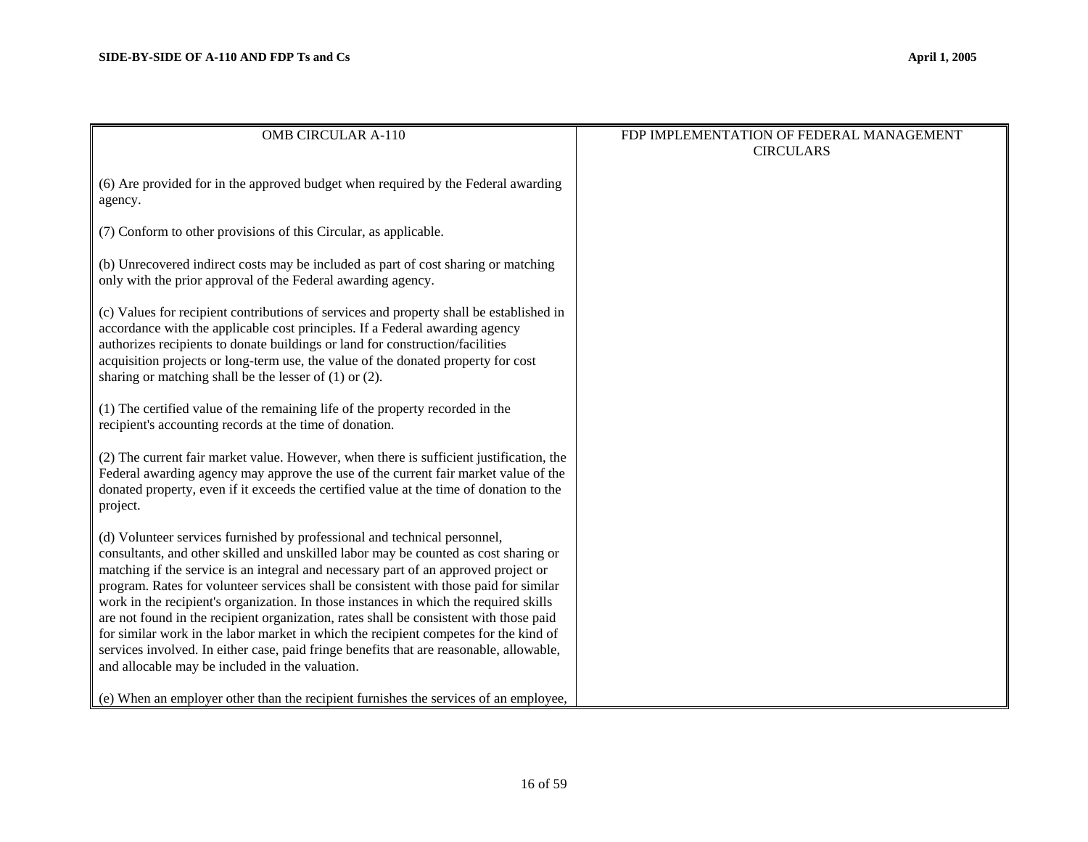| <b>OMB CIRCULAR A-110</b>                                                                                                                                                                                                                                                                                                                                                                                                                                                                                                                                                                                                                                                                                                                                                  | FDP IMPLEMENTATION OF FEDERAL MANAGEMENT |
|----------------------------------------------------------------------------------------------------------------------------------------------------------------------------------------------------------------------------------------------------------------------------------------------------------------------------------------------------------------------------------------------------------------------------------------------------------------------------------------------------------------------------------------------------------------------------------------------------------------------------------------------------------------------------------------------------------------------------------------------------------------------------|------------------------------------------|
|                                                                                                                                                                                                                                                                                                                                                                                                                                                                                                                                                                                                                                                                                                                                                                            | <b>CIRCULARS</b>                         |
| (6) Are provided for in the approved budget when required by the Federal awarding<br>agency.                                                                                                                                                                                                                                                                                                                                                                                                                                                                                                                                                                                                                                                                               |                                          |
| (7) Conform to other provisions of this Circular, as applicable.                                                                                                                                                                                                                                                                                                                                                                                                                                                                                                                                                                                                                                                                                                           |                                          |
| (b) Unrecovered indirect costs may be included as part of cost sharing or matching<br>only with the prior approval of the Federal awarding agency.                                                                                                                                                                                                                                                                                                                                                                                                                                                                                                                                                                                                                         |                                          |
| (c) Values for recipient contributions of services and property shall be established in<br>accordance with the applicable cost principles. If a Federal awarding agency<br>authorizes recipients to donate buildings or land for construction/facilities<br>acquisition projects or long-term use, the value of the donated property for cost<br>sharing or matching shall be the lesser of $(1)$ or $(2)$ .                                                                                                                                                                                                                                                                                                                                                               |                                          |
| (1) The certified value of the remaining life of the property recorded in the<br>recipient's accounting records at the time of donation.                                                                                                                                                                                                                                                                                                                                                                                                                                                                                                                                                                                                                                   |                                          |
| (2) The current fair market value. However, when there is sufficient justification, the<br>Federal awarding agency may approve the use of the current fair market value of the<br>donated property, even if it exceeds the certified value at the time of donation to the<br>project.                                                                                                                                                                                                                                                                                                                                                                                                                                                                                      |                                          |
| (d) Volunteer services furnished by professional and technical personnel,<br>consultants, and other skilled and unskilled labor may be counted as cost sharing or<br>matching if the service is an integral and necessary part of an approved project or<br>program. Rates for volunteer services shall be consistent with those paid for similar<br>work in the recipient's organization. In those instances in which the required skills<br>are not found in the recipient organization, rates shall be consistent with those paid<br>for similar work in the labor market in which the recipient competes for the kind of<br>services involved. In either case, paid fringe benefits that are reasonable, allowable,<br>and allocable may be included in the valuation. |                                          |
| (e) When an employer other than the recipient furnishes the services of an employee,                                                                                                                                                                                                                                                                                                                                                                                                                                                                                                                                                                                                                                                                                       |                                          |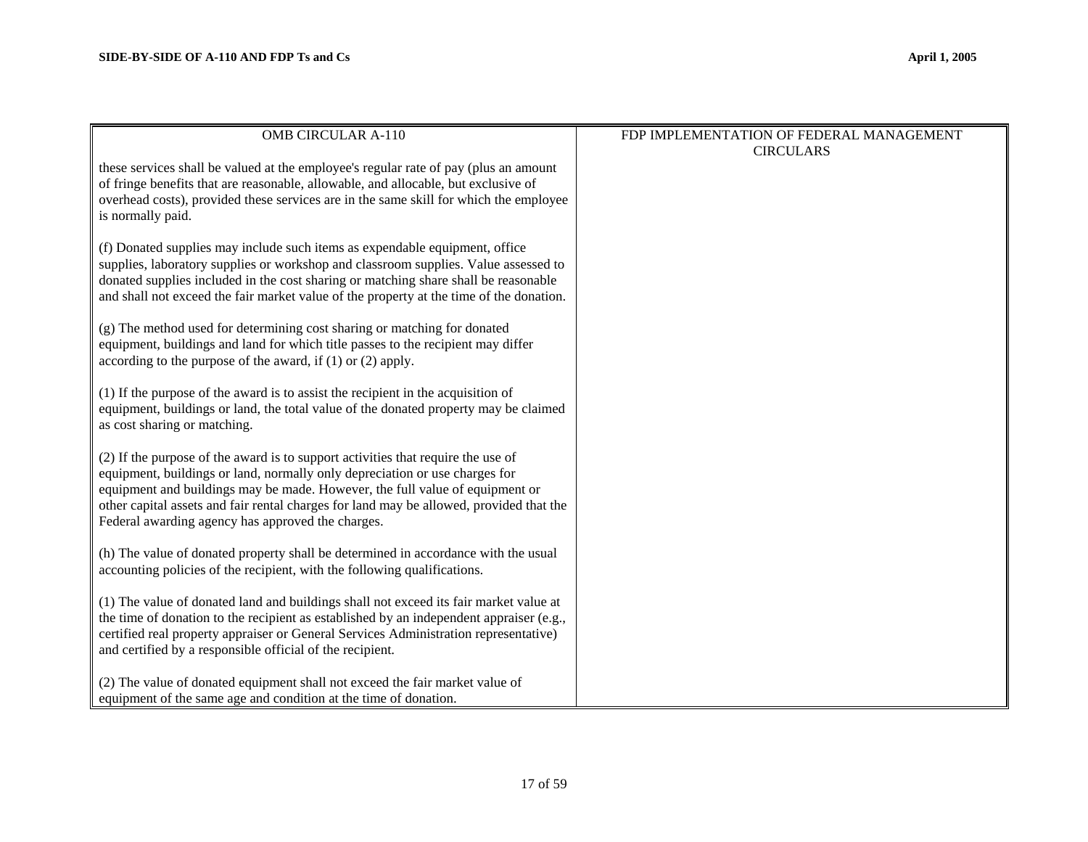| <b>OMB CIRCULAR A-110</b>                                                                                                                                                                                                                                                                                                                                                                       | FDP IMPLEMENTATION OF FEDERAL MANAGEMENT |
|-------------------------------------------------------------------------------------------------------------------------------------------------------------------------------------------------------------------------------------------------------------------------------------------------------------------------------------------------------------------------------------------------|------------------------------------------|
|                                                                                                                                                                                                                                                                                                                                                                                                 |                                          |
| these services shall be valued at the employee's regular rate of pay (plus an amount<br>of fringe benefits that are reasonable, allowable, and allocable, but exclusive of<br>overhead costs), provided these services are in the same skill for which the employee<br>is normally paid.                                                                                                        | <b>CIRCULARS</b>                         |
| (f) Donated supplies may include such items as expendable equipment, office<br>supplies, laboratory supplies or workshop and classroom supplies. Value assessed to<br>donated supplies included in the cost sharing or matching share shall be reasonable<br>and shall not exceed the fair market value of the property at the time of the donation.                                            |                                          |
| (g) The method used for determining cost sharing or matching for donated<br>equipment, buildings and land for which title passes to the recipient may differ<br>according to the purpose of the award, if $(1)$ or $(2)$ apply.                                                                                                                                                                 |                                          |
| (1) If the purpose of the award is to assist the recipient in the acquisition of<br>equipment, buildings or land, the total value of the donated property may be claimed<br>as cost sharing or matching.                                                                                                                                                                                        |                                          |
| (2) If the purpose of the award is to support activities that require the use of<br>equipment, buildings or land, normally only depreciation or use charges for<br>equipment and buildings may be made. However, the full value of equipment or<br>other capital assets and fair rental charges for land may be allowed, provided that the<br>Federal awarding agency has approved the charges. |                                          |
| (h) The value of donated property shall be determined in accordance with the usual<br>accounting policies of the recipient, with the following qualifications.                                                                                                                                                                                                                                  |                                          |
| (1) The value of donated land and buildings shall not exceed its fair market value at<br>the time of donation to the recipient as established by an independent appraiser (e.g.,<br>certified real property appraiser or General Services Administration representative)<br>and certified by a responsible official of the recipient.                                                           |                                          |
| (2) The value of donated equipment shall not exceed the fair market value of<br>equipment of the same age and condition at the time of donation.                                                                                                                                                                                                                                                |                                          |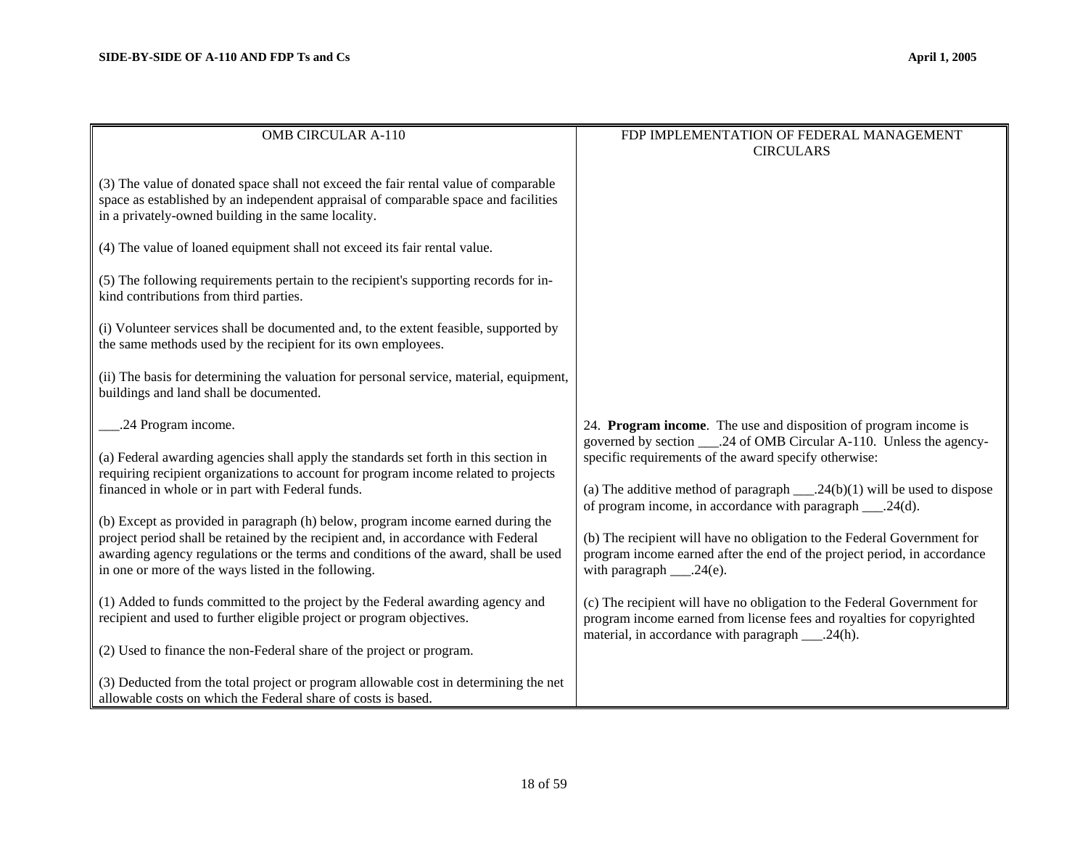| (3) The value of donated space shall not exceed the fair rental value of comparable<br>space as established by an independent appraisal of comparable space and facilities<br>in a privately-owned building in the same locality.<br>(4) The value of loaned equipment shall not exceed its fair rental value.                                                                                                                                                                                                                                                                                                                                                                                                                                                                                                                                                                                                                                                            | <b>CIRCULARS</b>                                                                                                                                                                                                                                                                                                                                                                                                                                                                                                                                                                                                                                                                                                                                        |
|---------------------------------------------------------------------------------------------------------------------------------------------------------------------------------------------------------------------------------------------------------------------------------------------------------------------------------------------------------------------------------------------------------------------------------------------------------------------------------------------------------------------------------------------------------------------------------------------------------------------------------------------------------------------------------------------------------------------------------------------------------------------------------------------------------------------------------------------------------------------------------------------------------------------------------------------------------------------------|---------------------------------------------------------------------------------------------------------------------------------------------------------------------------------------------------------------------------------------------------------------------------------------------------------------------------------------------------------------------------------------------------------------------------------------------------------------------------------------------------------------------------------------------------------------------------------------------------------------------------------------------------------------------------------------------------------------------------------------------------------|
| (5) The following requirements pertain to the recipient's supporting records for in-<br>kind contributions from third parties.<br>(i) Volunteer services shall be documented and, to the extent feasible, supported by<br>the same methods used by the recipient for its own employees.<br>(ii) The basis for determining the valuation for personal service, material, equipment,<br>buildings and land shall be documented.                                                                                                                                                                                                                                                                                                                                                                                                                                                                                                                                             |                                                                                                                                                                                                                                                                                                                                                                                                                                                                                                                                                                                                                                                                                                                                                         |
| _.24 Program income.<br>(a) Federal awarding agencies shall apply the standards set forth in this section in<br>requiring recipient organizations to account for program income related to projects<br>financed in whole or in part with Federal funds.<br>(b) Except as provided in paragraph (h) below, program income earned during the<br>project period shall be retained by the recipient and, in accordance with Federal<br>awarding agency regulations or the terms and conditions of the award, shall be used<br>in one or more of the ways listed in the following.<br>(1) Added to funds committed to the project by the Federal awarding agency and<br>recipient and used to further eligible project or program objectives.<br>(2) Used to finance the non-Federal share of the project or program.<br>(3) Deducted from the total project or program allowable cost in determining the net<br>allowable costs on which the Federal share of costs is based. | 24. Program income. The use and disposition of program income is<br>governed by section ____.24 of OMB Circular A-110. Unless the agency-<br>specific requirements of the award specify otherwise:<br>(a) The additive method of paragraph $\_\_$ . 24(b)(1) will be used to dispose<br>of program income, in accordance with paragraph _____.24(d).<br>(b) The recipient will have no obligation to the Federal Government for<br>program income earned after the end of the project period, in accordance<br>with paragraph $\_\_$ .24(e).<br>(c) The recipient will have no obligation to the Federal Government for<br>program income earned from license fees and royalties for copyrighted<br>material, in accordance with paragraph _____.24(h). |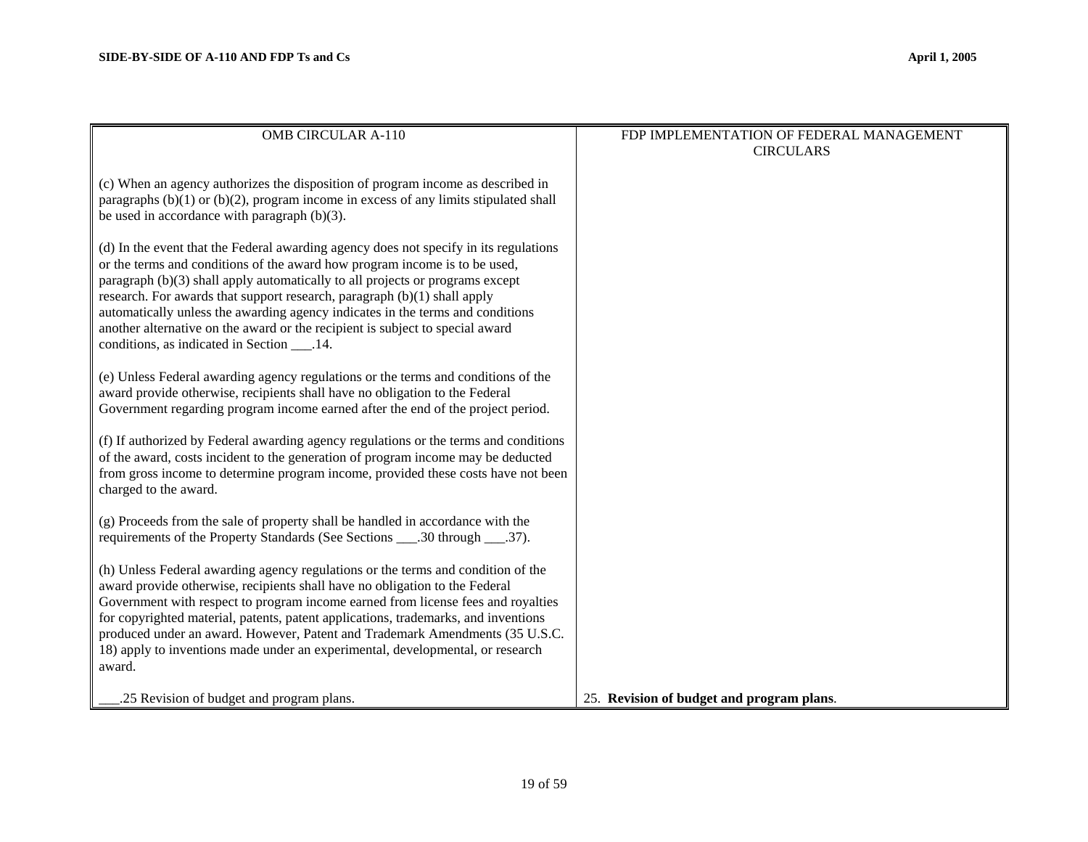| <b>OMB CIRCULAR A-110</b>                                                                                                     | FDP IMPLEMENTATION OF FEDERAL MANAGEMENT  |
|-------------------------------------------------------------------------------------------------------------------------------|-------------------------------------------|
|                                                                                                                               | <b>CIRCULARS</b>                          |
|                                                                                                                               |                                           |
| (c) When an agency authorizes the disposition of program income as described in                                               |                                           |
| paragraphs $(b)(1)$ or $(b)(2)$ , program income in excess of any limits stipulated shall                                     |                                           |
| be used in accordance with paragraph $(b)(3)$ .                                                                               |                                           |
|                                                                                                                               |                                           |
| (d) In the event that the Federal awarding agency does not specify in its regulations                                         |                                           |
| or the terms and conditions of the award how program income is to be used,                                                    |                                           |
| paragraph (b)(3) shall apply automatically to all projects or programs except                                                 |                                           |
| research. For awards that support research, paragraph (b)(1) shall apply                                                      |                                           |
| automatically unless the awarding agency indicates in the terms and conditions                                                |                                           |
| another alternative on the award or the recipient is subject to special award<br>conditions, as indicated in Section ____.14. |                                           |
|                                                                                                                               |                                           |
| (e) Unless Federal awarding agency regulations or the terms and conditions of the                                             |                                           |
| award provide otherwise, recipients shall have no obligation to the Federal                                                   |                                           |
| Government regarding program income earned after the end of the project period.                                               |                                           |
|                                                                                                                               |                                           |
| (f) If authorized by Federal awarding agency regulations or the terms and conditions                                          |                                           |
| of the award, costs incident to the generation of program income may be deducted                                              |                                           |
| from gross income to determine program income, provided these costs have not been                                             |                                           |
| charged to the award.                                                                                                         |                                           |
| (g) Proceeds from the sale of property shall be handled in accordance with the                                                |                                           |
| requirements of the Property Standards (See Sections _____.30 through _____.37).                                              |                                           |
|                                                                                                                               |                                           |
| (h) Unless Federal awarding agency regulations or the terms and condition of the                                              |                                           |
| award provide otherwise, recipients shall have no obligation to the Federal                                                   |                                           |
| Government with respect to program income earned from license fees and royalties                                              |                                           |
| for copyrighted material, patents, patent applications, trademarks, and inventions                                            |                                           |
| produced under an award. However, Patent and Trademark Amendments (35 U.S.C.                                                  |                                           |
| 18) apply to inventions made under an experimental, developmental, or research<br>award.                                      |                                           |
|                                                                                                                               |                                           |
| .25 Revision of budget and program plans.                                                                                     | 25. Revision of budget and program plans. |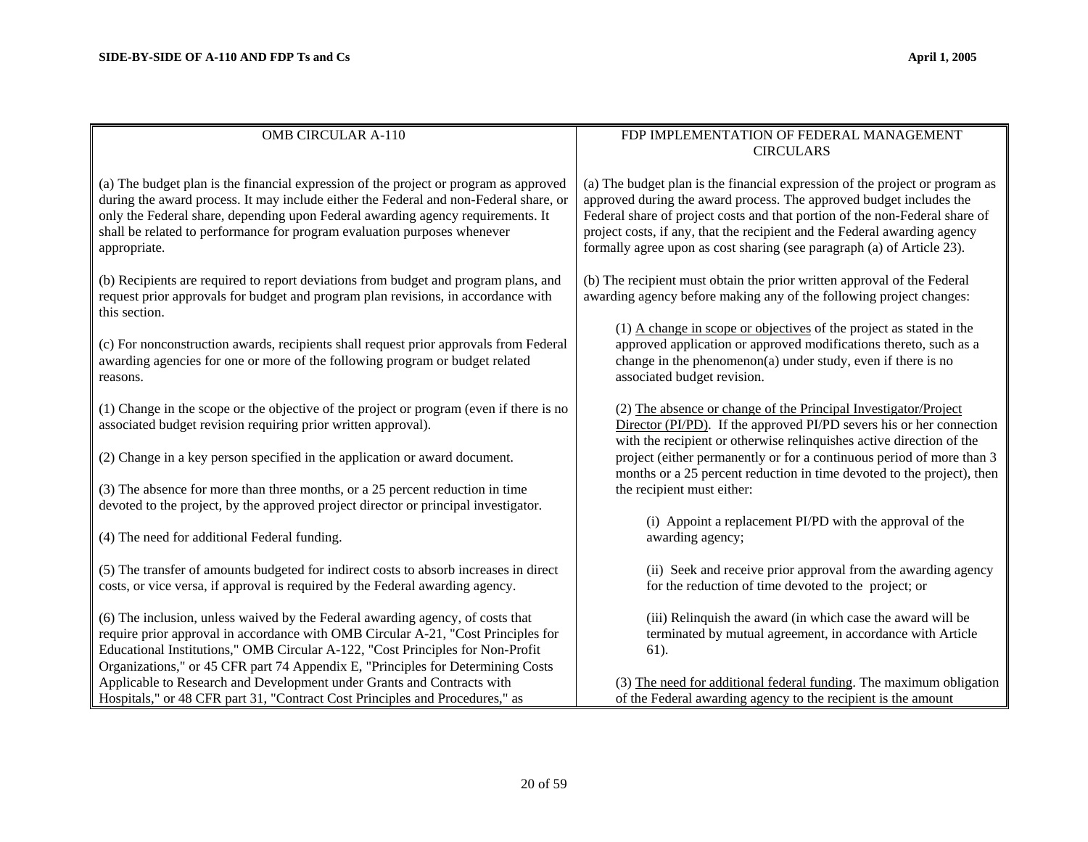| <b>OMB CIRCULAR A-110</b>                                                                                                                                                                                                                                                                                                                                     | FDP IMPLEMENTATION OF FEDERAL MANAGEMENT                                                                                                                                                                                                                                                                                                                                                  |
|---------------------------------------------------------------------------------------------------------------------------------------------------------------------------------------------------------------------------------------------------------------------------------------------------------------------------------------------------------------|-------------------------------------------------------------------------------------------------------------------------------------------------------------------------------------------------------------------------------------------------------------------------------------------------------------------------------------------------------------------------------------------|
|                                                                                                                                                                                                                                                                                                                                                               | <b>CIRCULARS</b>                                                                                                                                                                                                                                                                                                                                                                          |
| (a) The budget plan is the financial expression of the project or program as approved<br>during the award process. It may include either the Federal and non-Federal share, or<br>only the Federal share, depending upon Federal awarding agency requirements. It<br>shall be related to performance for program evaluation purposes whenever<br>appropriate. | (a) The budget plan is the financial expression of the project or program as<br>approved during the award process. The approved budget includes the<br>Federal share of project costs and that portion of the non-Federal share of<br>project costs, if any, that the recipient and the Federal awarding agency<br>formally agree upon as cost sharing (see paragraph (a) of Article 23). |
| (b) Recipients are required to report deviations from budget and program plans, and<br>request prior approvals for budget and program plan revisions, in accordance with<br>this section.                                                                                                                                                                     | (b) The recipient must obtain the prior written approval of the Federal<br>awarding agency before making any of the following project changes:                                                                                                                                                                                                                                            |
| (c) For nonconstruction awards, recipients shall request prior approvals from Federal<br>awarding agencies for one or more of the following program or budget related<br>reasons.                                                                                                                                                                             | $(1)$ A change in scope or objectives of the project as stated in the<br>approved application or approved modifications thereto, such as a<br>change in the phenomenon(a) under study, even if there is no<br>associated budget revision.                                                                                                                                                 |
| (1) Change in the scope or the objective of the project or program (even if there is no<br>associated budget revision requiring prior written approval).                                                                                                                                                                                                      | (2) The absence or change of the Principal Investigator/Project<br>Director (PI/PD). If the approved PI/PD severs his or her connection<br>with the recipient or otherwise relinquishes active direction of the                                                                                                                                                                           |
| (2) Change in a key person specified in the application or award document.                                                                                                                                                                                                                                                                                    | project (either permanently or for a continuous period of more than 3<br>months or a 25 percent reduction in time devoted to the project), then                                                                                                                                                                                                                                           |
| (3) The absence for more than three months, or a 25 percent reduction in time<br>devoted to the project, by the approved project director or principal investigator.                                                                                                                                                                                          | the recipient must either:                                                                                                                                                                                                                                                                                                                                                                |
| (4) The need for additional Federal funding.                                                                                                                                                                                                                                                                                                                  | (i) Appoint a replacement PI/PD with the approval of the<br>awarding agency;                                                                                                                                                                                                                                                                                                              |
| (5) The transfer of amounts budgeted for indirect costs to absorb increases in direct<br>costs, or vice versa, if approval is required by the Federal awarding agency.                                                                                                                                                                                        | (ii) Seek and receive prior approval from the awarding agency<br>for the reduction of time devoted to the project; or                                                                                                                                                                                                                                                                     |
| (6) The inclusion, unless waived by the Federal awarding agency, of costs that<br>require prior approval in accordance with OMB Circular A-21, "Cost Principles for<br>Educational Institutions," OMB Circular A-122, "Cost Principles for Non-Profit<br>Organizations," or 45 CFR part 74 Appendix E, "Principles for Determining Costs                      | (iii) Relinquish the award (in which case the award will be<br>terminated by mutual agreement, in accordance with Article<br>$61)$ .                                                                                                                                                                                                                                                      |
| Applicable to Research and Development under Grants and Contracts with                                                                                                                                                                                                                                                                                        | (3) The need for additional federal funding. The maximum obligation                                                                                                                                                                                                                                                                                                                       |
| Hospitals," or 48 CFR part 31, "Contract Cost Principles and Procedures," as                                                                                                                                                                                                                                                                                  | of the Federal awarding agency to the recipient is the amount                                                                                                                                                                                                                                                                                                                             |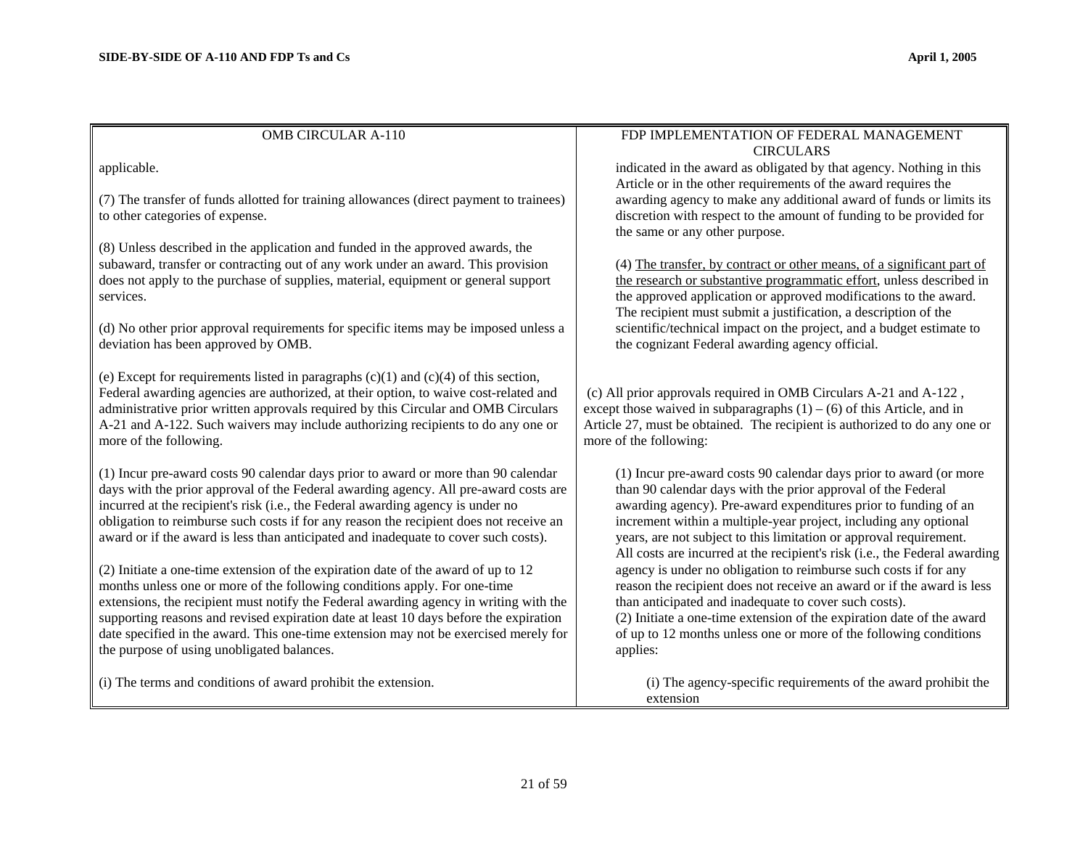| <b>OMB CIRCULAR A-110</b>                                                                                                                                                     | FDP IMPLEMENTATION OF FEDERAL MANAGEMENT<br><b>CIRCULARS</b>                                                                                           |
|-------------------------------------------------------------------------------------------------------------------------------------------------------------------------------|--------------------------------------------------------------------------------------------------------------------------------------------------------|
| applicable.                                                                                                                                                                   | indicated in the award as obligated by that agency. Nothing in this<br>Article or in the other requirements of the award requires the                  |
| (7) The transfer of funds allotted for training allowances (direct payment to trainees)                                                                                       | awarding agency to make any additional award of funds or limits its                                                                                    |
| to other categories of expense.                                                                                                                                               | discretion with respect to the amount of funding to be provided for<br>the same or any other purpose.                                                  |
| (8) Unless described in the application and funded in the approved awards, the                                                                                                |                                                                                                                                                        |
| subaward, transfer or contracting out of any work under an award. This provision<br>does not apply to the purchase of supplies, material, equipment or general support        | (4) The transfer, by contract or other means, of a significant part of<br>the research or substantive programmatic effort, unless described in         |
| services.                                                                                                                                                                     | the approved application or approved modifications to the award.                                                                                       |
| (d) No other prior approval requirements for specific items may be imposed unless a                                                                                           | The recipient must submit a justification, a description of the<br>scientific/technical impact on the project, and a budget estimate to                |
| deviation has been approved by OMB.                                                                                                                                           | the cognizant Federal awarding agency official.                                                                                                        |
| (e) Except for requirements listed in paragraphs $(c)(1)$ and $(c)(4)$ of this section,                                                                                       |                                                                                                                                                        |
| Federal awarding agencies are authorized, at their option, to waive cost-related and                                                                                          | (c) All prior approvals required in OMB Circulars A-21 and A-122,                                                                                      |
| administrative prior written approvals required by this Circular and OMB Circulars<br>A-21 and A-122. Such waivers may include authorizing recipients to do any one or        | except those waived in subparagraphs $(1) - (6)$ of this Article, and in<br>Article 27, must be obtained. The recipient is authorized to do any one or |
| more of the following.                                                                                                                                                        | more of the following:                                                                                                                                 |
| (1) Incur pre-award costs 90 calendar days prior to award or more than 90 calendar                                                                                            | (1) Incur pre-award costs 90 calendar days prior to award (or more                                                                                     |
| days with the prior approval of the Federal awarding agency. All pre-award costs are                                                                                          | than 90 calendar days with the prior approval of the Federal                                                                                           |
| incurred at the recipient's risk (i.e., the Federal awarding agency is under no<br>obligation to reimburse such costs if for any reason the recipient does not receive an     | awarding agency). Pre-award expenditures prior to funding of an<br>increment within a multiple-year project, including any optional                    |
| award or if the award is less than anticipated and inadequate to cover such costs).                                                                                           | years, are not subject to this limitation or approval requirement.                                                                                     |
| (2) Initiate a one-time extension of the expiration date of the award of up to 12                                                                                             | All costs are incurred at the recipient's risk (i.e., the Federal awarding<br>agency is under no obligation to reimburse such costs if for any         |
| months unless one or more of the following conditions apply. For one-time                                                                                                     | reason the recipient does not receive an award or if the award is less                                                                                 |
| extensions, the recipient must notify the Federal awarding agency in writing with the                                                                                         | than anticipated and inadequate to cover such costs).                                                                                                  |
| supporting reasons and revised expiration date at least 10 days before the expiration<br>date specified in the award. This one-time extension may not be exercised merely for | (2) Initiate a one-time extension of the expiration date of the award<br>of up to 12 months unless one or more of the following conditions             |
| the purpose of using unobligated balances.                                                                                                                                    | applies:                                                                                                                                               |
| (i) The terms and conditions of award prohibit the extension.                                                                                                                 | (i) The agency-specific requirements of the award prohibit the                                                                                         |
|                                                                                                                                                                               | extension                                                                                                                                              |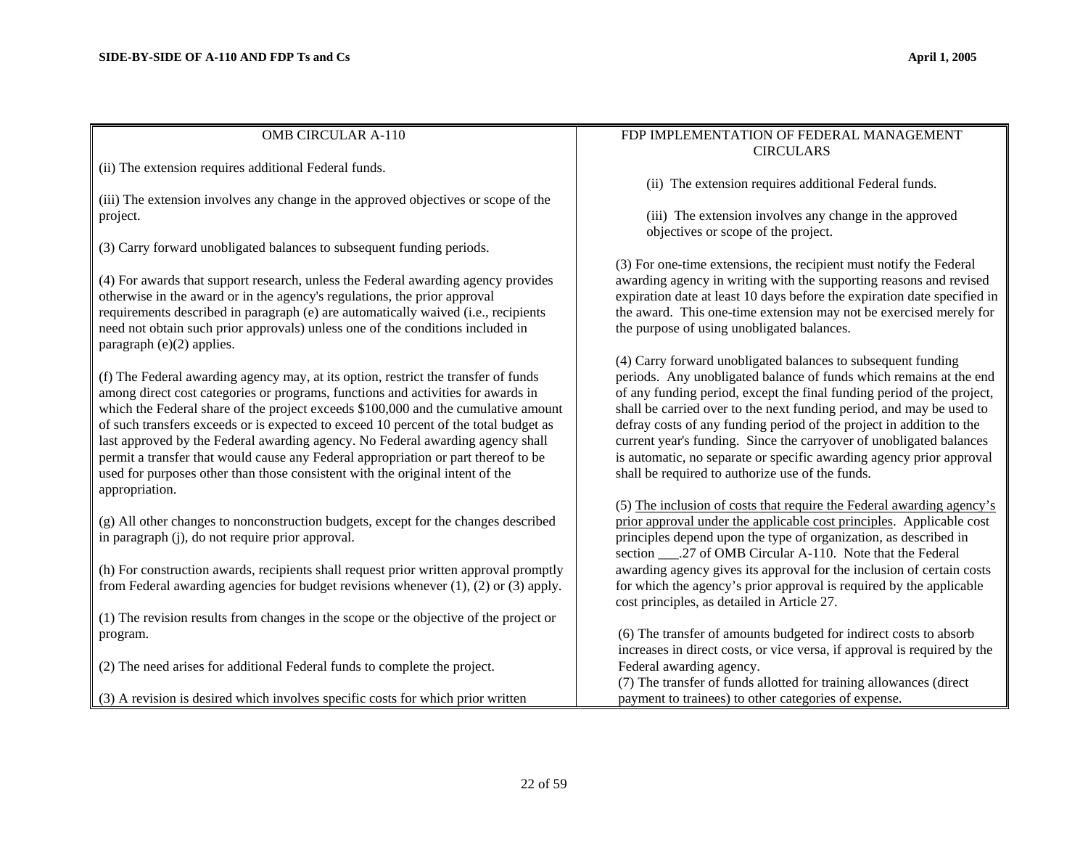(ii) The extension requires additional Federal funds.

(iii) The extension involves any change in the approved objectives or scope of the project.

(3) Carry forward unobligated balances to subsequent funding periods.

(4) For awards that support research, unless the Federal awarding agency provides otherwise in the award or in the agency's regulations, the prior approval requirements described in paragraph (e) are automatically waived (i.e., recipients need not obtain such prior approvals) unless one of the conditions included in paragraph (e)(2) applies.

(f) The Federal awarding agency may, at its option, restrict the transfer of funds among direct cost categories or programs, functions and activities for awards in which the Federal share of the project exceeds \$100,000 and the cumulative amount of such transfers exceeds or is expected to exceed 10 percent of the total budget as last approved by the Federal awarding agency. No Federal awarding agency shall permit a transfer that would cause any Federal appropriation or part thereof to be used for purposes other than those consistent with the original intent of the appropriation.

(g) All other changes to nonconstruction budgets, except for the changes described in paragraph (j), do not require prior approval.

(h) For construction awards, recipients shall request prior written approval promptly from Federal awarding agencies for budget revisions whenever (1), (2) or (3) apply.

(1) The revision results from changes in the scope or the objective of the project or program.

(2) The need arises for additional Federal funds to complete the project.

(3) A revision is desired which involves specific costs for which prior written

### OMB CIRCULAR A-110 FDP IMPLEMENTATION OF FEDERAL MANAGEMENT CIRCULARS

(ii) The extension requires additional Federal funds.

(iii) The extension involves any change in the approved objectives or scope of the project.

(3) For one-time extensions, the recipient must notify the Federal awarding agency in writing with the supporting reasons and revised expiration date at least 10 days before the expiration date specified in the award. This one-time extension may not be exercised merely for the purpose of using unobligated balances.

(4) Carry forward unobligated balances to subsequent funding periods. Any unobligated balance of funds which remains at the end of any funding period, except the final funding period of the project, shall be carried over to the next funding period, and may be used to defray costs of any funding period of the project in addition to the current year's funding. Since the carryover of unobligated balances is automatic, no separate or specific awarding agency prior approval shall be required to authorize use of the funds.

(5) The inclusion of costs that require the Federal awarding agency's prior approval under the applicable cost principles. Applicable cost principles depend upon the type of organization, as described in section .27 of OMB Circular A-110. Note that the Federal awarding agency gives its approval for the inclusion of certain costs for which the agency's prior approval is required by the applicable cost principles, as detailed in Article 27.

 (6) The transfer of amounts budgeted for indirect costs to absorb increases in direct costs, or vice versa, if approval is required by the Federal awarding agency.

(7) The transfer of funds allotted for training allowances (direct payment to trainees) to other categories of expense.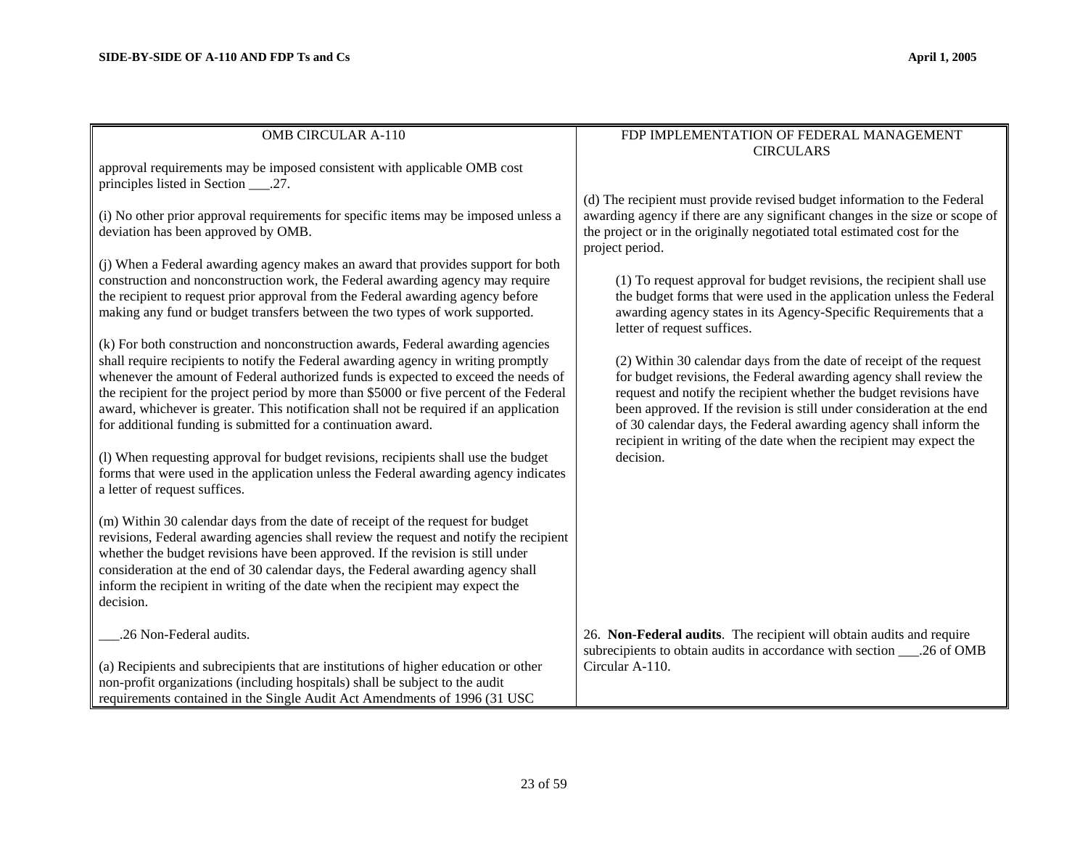| <b>OMB CIRCULAR A-110</b>                                                                                                                                                                                                                                                                                                                                                                                                                                                                                                                                                                                                                                                                                                        | FDP IMPLEMENTATION OF FEDERAL MANAGEMENT                                                                                                                                                                                                                                                                                                                                                                                                          |
|----------------------------------------------------------------------------------------------------------------------------------------------------------------------------------------------------------------------------------------------------------------------------------------------------------------------------------------------------------------------------------------------------------------------------------------------------------------------------------------------------------------------------------------------------------------------------------------------------------------------------------------------------------------------------------------------------------------------------------|---------------------------------------------------------------------------------------------------------------------------------------------------------------------------------------------------------------------------------------------------------------------------------------------------------------------------------------------------------------------------------------------------------------------------------------------------|
| approval requirements may be imposed consistent with applicable OMB cost                                                                                                                                                                                                                                                                                                                                                                                                                                                                                                                                                                                                                                                         | <b>CIRCULARS</b>                                                                                                                                                                                                                                                                                                                                                                                                                                  |
| (i) No other prior approval requirements for specific items may be imposed unless a<br>deviation has been approved by OMB.                                                                                                                                                                                                                                                                                                                                                                                                                                                                                                                                                                                                       | (d) The recipient must provide revised budget information to the Federal<br>awarding agency if there are any significant changes in the size or scope of<br>the project or in the originally negotiated total estimated cost for the<br>project period.                                                                                                                                                                                           |
| (j) When a Federal awarding agency makes an award that provides support for both<br>construction and nonconstruction work, the Federal awarding agency may require<br>the recipient to request prior approval from the Federal awarding agency before<br>making any fund or budget transfers between the two types of work supported.                                                                                                                                                                                                                                                                                                                                                                                            | (1) To request approval for budget revisions, the recipient shall use<br>the budget forms that were used in the application unless the Federal<br>awarding agency states in its Agency-Specific Requirements that a<br>letter of request suffices.                                                                                                                                                                                                |
| (k) For both construction and nonconstruction awards, Federal awarding agencies<br>shall require recipients to notify the Federal awarding agency in writing promptly<br>whenever the amount of Federal authorized funds is expected to exceed the needs of<br>the recipient for the project period by more than \$5000 or five percent of the Federal<br>award, whichever is greater. This notification shall not be required if an application<br>for additional funding is submitted for a continuation award.<br>(1) When requesting approval for budget revisions, recipients shall use the budget<br>forms that were used in the application unless the Federal awarding agency indicates<br>a letter of request suffices. | (2) Within 30 calendar days from the date of receipt of the request<br>for budget revisions, the Federal awarding agency shall review the<br>request and notify the recipient whether the budget revisions have<br>been approved. If the revision is still under consideration at the end<br>of 30 calendar days, the Federal awarding agency shall inform the<br>recipient in writing of the date when the recipient may expect the<br>decision. |
| (m) Within 30 calendar days from the date of receipt of the request for budget<br>revisions, Federal awarding agencies shall review the request and notify the recipient<br>whether the budget revisions have been approved. If the revision is still under<br>consideration at the end of 30 calendar days, the Federal awarding agency shall<br>inform the recipient in writing of the date when the recipient may expect the<br>decision.                                                                                                                                                                                                                                                                                     |                                                                                                                                                                                                                                                                                                                                                                                                                                                   |
| .26 Non-Federal audits.<br>(a) Recipients and subrecipients that are institutions of higher education or other<br>non-profit organizations (including hospitals) shall be subject to the audit<br>requirements contained in the Single Audit Act Amendments of 1996 (31 USC                                                                                                                                                                                                                                                                                                                                                                                                                                                      | 26. Non-Federal audits. The recipient will obtain audits and require<br>subrecipients to obtain audits in accordance with section ______ .26 of OMB<br>Circular A-110.                                                                                                                                                                                                                                                                            |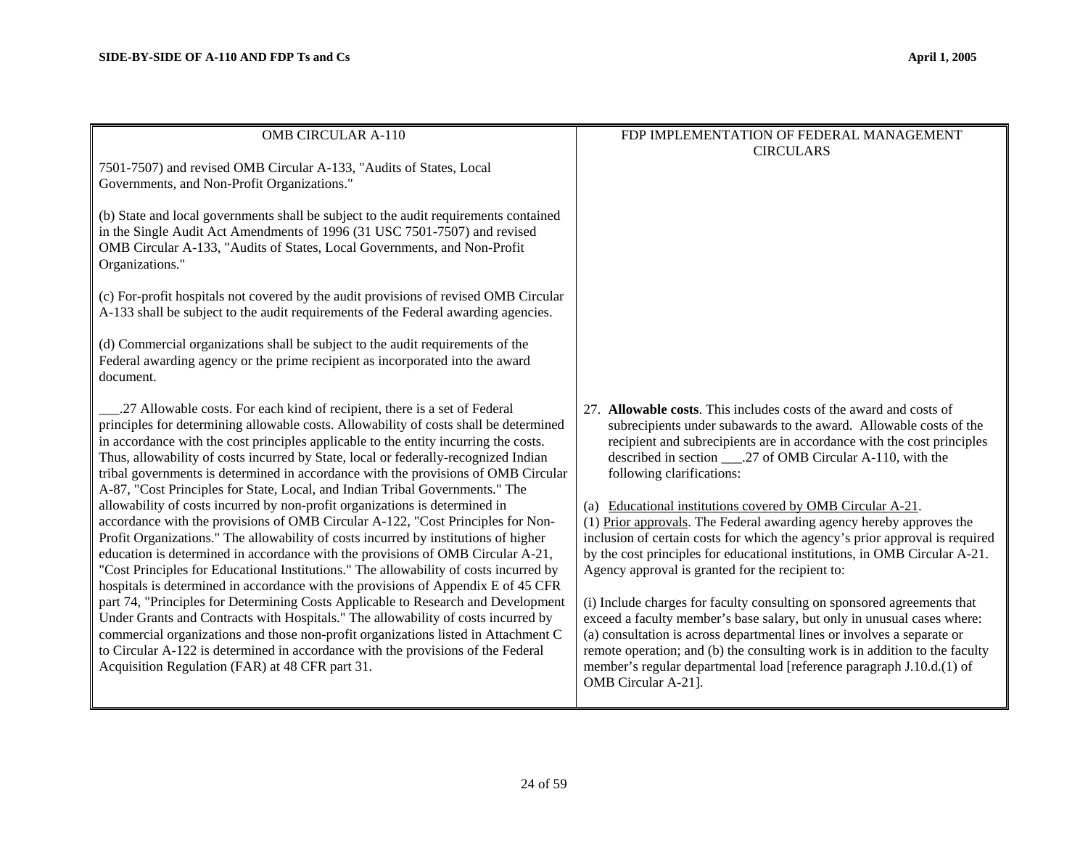| <b>OMB CIRCULAR A-110</b>                                                                                                                                                                                                                                                                                                                                                                                                                                                                                                                                                                                                                                                                                                                                                                                                                                                                                                                                                                                                                                                                                                                                                                                                                                                                                                                                                                                                                                 | FDP IMPLEMENTATION OF FEDERAL MANAGEMENT                                                                                                                                                                                                                                                                                                                                                                                                                                                                                                                                                                                                                                                                                                                                                                                                                                                                                                                                                                                                                                                   |
|-----------------------------------------------------------------------------------------------------------------------------------------------------------------------------------------------------------------------------------------------------------------------------------------------------------------------------------------------------------------------------------------------------------------------------------------------------------------------------------------------------------------------------------------------------------------------------------------------------------------------------------------------------------------------------------------------------------------------------------------------------------------------------------------------------------------------------------------------------------------------------------------------------------------------------------------------------------------------------------------------------------------------------------------------------------------------------------------------------------------------------------------------------------------------------------------------------------------------------------------------------------------------------------------------------------------------------------------------------------------------------------------------------------------------------------------------------------|--------------------------------------------------------------------------------------------------------------------------------------------------------------------------------------------------------------------------------------------------------------------------------------------------------------------------------------------------------------------------------------------------------------------------------------------------------------------------------------------------------------------------------------------------------------------------------------------------------------------------------------------------------------------------------------------------------------------------------------------------------------------------------------------------------------------------------------------------------------------------------------------------------------------------------------------------------------------------------------------------------------------------------------------------------------------------------------------|
| 7501-7507) and revised OMB Circular A-133, "Audits of States, Local<br>Governments, and Non-Profit Organizations."                                                                                                                                                                                                                                                                                                                                                                                                                                                                                                                                                                                                                                                                                                                                                                                                                                                                                                                                                                                                                                                                                                                                                                                                                                                                                                                                        | <b>CIRCULARS</b>                                                                                                                                                                                                                                                                                                                                                                                                                                                                                                                                                                                                                                                                                                                                                                                                                                                                                                                                                                                                                                                                           |
| (b) State and local governments shall be subject to the audit requirements contained<br>in the Single Audit Act Amendments of 1996 (31 USC 7501-7507) and revised<br>OMB Circular A-133, "Audits of States, Local Governments, and Non-Profit<br>Organizations."                                                                                                                                                                                                                                                                                                                                                                                                                                                                                                                                                                                                                                                                                                                                                                                                                                                                                                                                                                                                                                                                                                                                                                                          |                                                                                                                                                                                                                                                                                                                                                                                                                                                                                                                                                                                                                                                                                                                                                                                                                                                                                                                                                                                                                                                                                            |
| (c) For-profit hospitals not covered by the audit provisions of revised OMB Circular<br>A-133 shall be subject to the audit requirements of the Federal awarding agencies.                                                                                                                                                                                                                                                                                                                                                                                                                                                                                                                                                                                                                                                                                                                                                                                                                                                                                                                                                                                                                                                                                                                                                                                                                                                                                |                                                                                                                                                                                                                                                                                                                                                                                                                                                                                                                                                                                                                                                                                                                                                                                                                                                                                                                                                                                                                                                                                            |
| (d) Commercial organizations shall be subject to the audit requirements of the<br>Federal awarding agency or the prime recipient as incorporated into the award<br>document.                                                                                                                                                                                                                                                                                                                                                                                                                                                                                                                                                                                                                                                                                                                                                                                                                                                                                                                                                                                                                                                                                                                                                                                                                                                                              |                                                                                                                                                                                                                                                                                                                                                                                                                                                                                                                                                                                                                                                                                                                                                                                                                                                                                                                                                                                                                                                                                            |
| .27 Allowable costs. For each kind of recipient, there is a set of Federal<br>principles for determining allowable costs. Allowability of costs shall be determined<br>in accordance with the cost principles applicable to the entity incurring the costs.<br>Thus, allowability of costs incurred by State, local or federally-recognized Indian<br>tribal governments is determined in accordance with the provisions of OMB Circular<br>A-87, "Cost Principles for State, Local, and Indian Tribal Governments." The<br>allowability of costs incurred by non-profit organizations is determined in<br>accordance with the provisions of OMB Circular A-122, "Cost Principles for Non-<br>Profit Organizations." The allowability of costs incurred by institutions of higher<br>education is determined in accordance with the provisions of OMB Circular A-21,<br>"Cost Principles for Educational Institutions." The allowability of costs incurred by<br>hospitals is determined in accordance with the provisions of Appendix E of 45 CFR<br>part 74, "Principles for Determining Costs Applicable to Research and Development<br>Under Grants and Contracts with Hospitals." The allowability of costs incurred by<br>commercial organizations and those non-profit organizations listed in Attachment C<br>to Circular A-122 is determined in accordance with the provisions of the Federal<br>Acquisition Regulation (FAR) at 48 CFR part 31. | 27. Allowable costs. This includes costs of the award and costs of<br>subrecipients under subawards to the award. Allowable costs of the<br>recipient and subrecipients are in accordance with the cost principles<br>described in section ______ .27 of OMB Circular A-110, with the<br>following clarifications:<br>(a) Educational institutions covered by OMB Circular A-21.<br>(1) Prior approvals. The Federal awarding agency hereby approves the<br>inclusion of certain costs for which the agency's prior approval is required<br>by the cost principles for educational institutions, in OMB Circular A-21.<br>Agency approval is granted for the recipient to:<br>(i) Include charges for faculty consulting on sponsored agreements that<br>exceed a faculty member's base salary, but only in unusual cases where:<br>(a) consultation is across departmental lines or involves a separate or<br>remote operation; and (b) the consulting work is in addition to the faculty<br>member's regular departmental load [reference paragraph J.10.d.(1) of<br>OMB Circular A-21]. |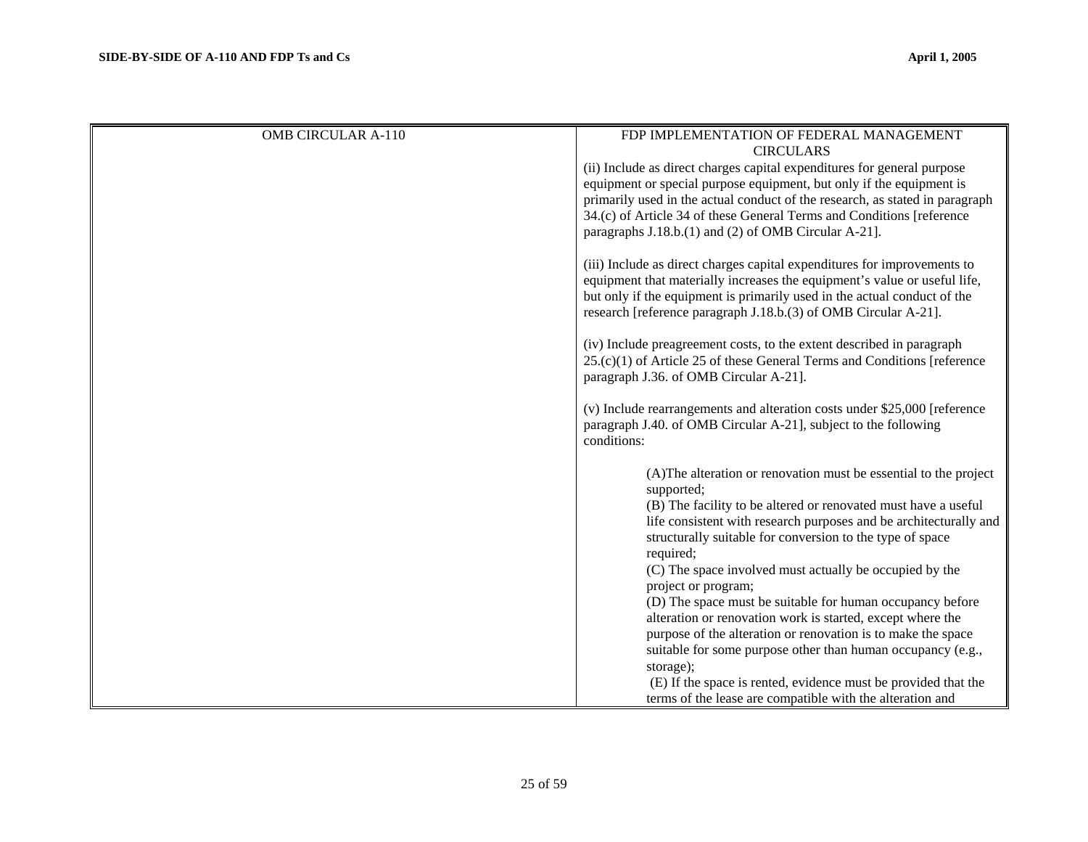| <b>OMB CIRCULAR A-110</b> | FDP IMPLEMENTATION OF FEDERAL MANAGEMENT                                                                                                              |
|---------------------------|-------------------------------------------------------------------------------------------------------------------------------------------------------|
|                           | <b>CIRCULARS</b>                                                                                                                                      |
|                           | (ii) Include as direct charges capital expenditures for general purpose                                                                               |
|                           | equipment or special purpose equipment, but only if the equipment is                                                                                  |
|                           | primarily used in the actual conduct of the research, as stated in paragraph                                                                          |
|                           | 34.(c) of Article 34 of these General Terms and Conditions [reference                                                                                 |
|                           | paragraphs J.18.b.(1) and (2) of OMB Circular A-21].                                                                                                  |
|                           |                                                                                                                                                       |
|                           | (iii) Include as direct charges capital expenditures for improvements to                                                                              |
|                           | equipment that materially increases the equipment's value or useful life,<br>but only if the equipment is primarily used in the actual conduct of the |
|                           | research [reference paragraph J.18.b.(3) of OMB Circular A-21].                                                                                       |
|                           |                                                                                                                                                       |
|                           | (iv) Include preagreement costs, to the extent described in paragraph                                                                                 |
|                           | $25.(c)(1)$ of Article 25 of these General Terms and Conditions [reference                                                                            |
|                           | paragraph J.36. of OMB Circular A-21].                                                                                                                |
|                           |                                                                                                                                                       |
|                           | (v) Include rearrangements and alteration costs under \$25,000 [reference                                                                             |
|                           | paragraph J.40. of OMB Circular A-21], subject to the following<br>conditions:                                                                        |
|                           |                                                                                                                                                       |
|                           | (A) The alteration or renovation must be essential to the project                                                                                     |
|                           | supported;                                                                                                                                            |
|                           | (B) The facility to be altered or renovated must have a useful                                                                                        |
|                           | life consistent with research purposes and be architecturally and                                                                                     |
|                           | structurally suitable for conversion to the type of space                                                                                             |
|                           | required;                                                                                                                                             |
|                           | (C) The space involved must actually be occupied by the                                                                                               |
|                           | project or program;<br>(D) The space must be suitable for human occupancy before                                                                      |
|                           | alteration or renovation work is started, except where the                                                                                            |
|                           | purpose of the alteration or renovation is to make the space                                                                                          |
|                           | suitable for some purpose other than human occupancy (e.g.,                                                                                           |
|                           | storage);                                                                                                                                             |
|                           | (E) If the space is rented, evidence must be provided that the                                                                                        |
|                           | terms of the lease are compatible with the alteration and                                                                                             |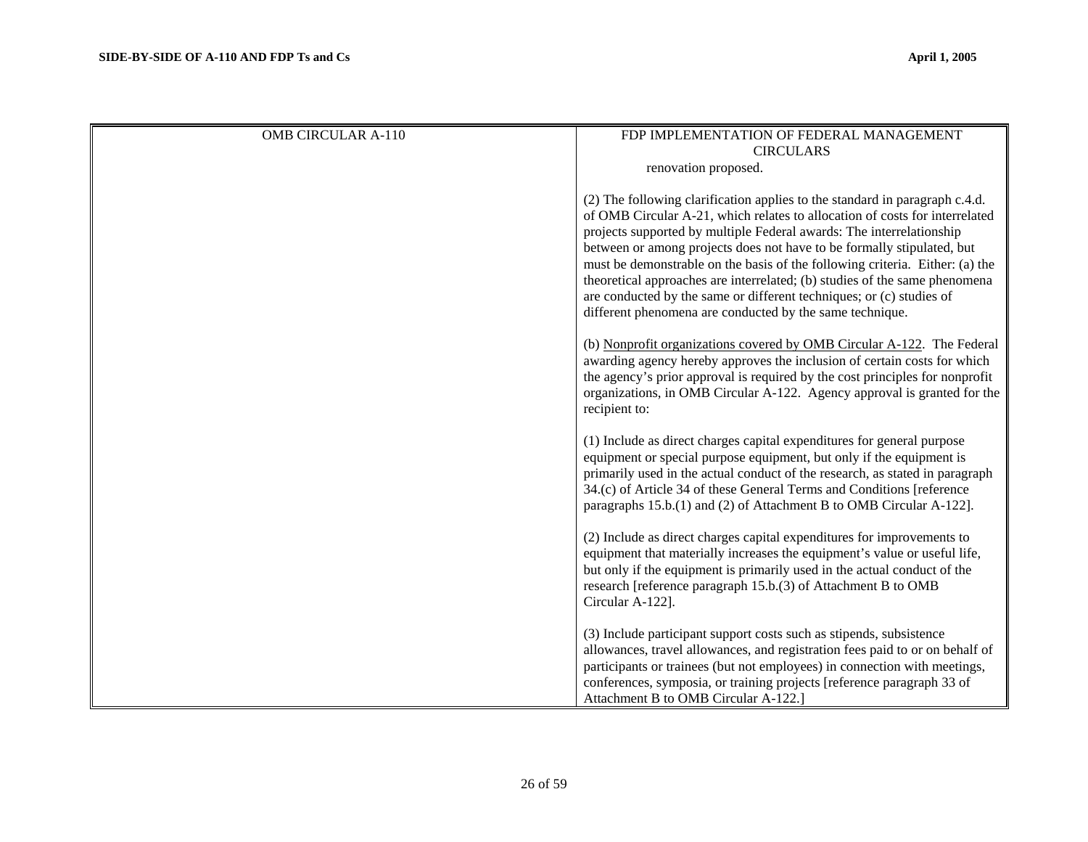| <b>OMB CIRCULAR A-110</b> | FDP IMPLEMENTATION OF FEDERAL MANAGEMENT                                                                                                                                                                                                                                                                                                                                                                                                                                                                                                                                                                       |
|---------------------------|----------------------------------------------------------------------------------------------------------------------------------------------------------------------------------------------------------------------------------------------------------------------------------------------------------------------------------------------------------------------------------------------------------------------------------------------------------------------------------------------------------------------------------------------------------------------------------------------------------------|
|                           | <b>CIRCULARS</b>                                                                                                                                                                                                                                                                                                                                                                                                                                                                                                                                                                                               |
|                           | renovation proposed.                                                                                                                                                                                                                                                                                                                                                                                                                                                                                                                                                                                           |
|                           | (2) The following clarification applies to the standard in paragraph c.4.d.<br>of OMB Circular A-21, which relates to allocation of costs for interrelated<br>projects supported by multiple Federal awards: The interrelationship<br>between or among projects does not have to be formally stipulated, but<br>must be demonstrable on the basis of the following criteria. Either: (a) the<br>theoretical approaches are interrelated; (b) studies of the same phenomena<br>are conducted by the same or different techniques; or (c) studies of<br>different phenomena are conducted by the same technique. |
|                           | (b) Nonprofit organizations covered by OMB Circular A-122. The Federal<br>awarding agency hereby approves the inclusion of certain costs for which<br>the agency's prior approval is required by the cost principles for nonprofit<br>organizations, in OMB Circular A-122. Agency approval is granted for the<br>recipient to:                                                                                                                                                                                                                                                                                |
|                           | (1) Include as direct charges capital expenditures for general purpose<br>equipment or special purpose equipment, but only if the equipment is<br>primarily used in the actual conduct of the research, as stated in paragraph<br>34.(c) of Article 34 of these General Terms and Conditions [reference<br>paragraphs 15.b.(1) and (2) of Attachment B to OMB Circular A-122].                                                                                                                                                                                                                                 |
|                           | (2) Include as direct charges capital expenditures for improvements to<br>equipment that materially increases the equipment's value or useful life,<br>but only if the equipment is primarily used in the actual conduct of the<br>research [reference paragraph 15.b.(3) of Attachment B to OMB<br>Circular A-122].                                                                                                                                                                                                                                                                                           |
|                           | (3) Include participant support costs such as stipends, subsistence<br>allowances, travel allowances, and registration fees paid to or on behalf of<br>participants or trainees (but not employees) in connection with meetings,<br>conferences, symposia, or training projects [reference paragraph 33 of<br>Attachment B to OMB Circular A-122.]                                                                                                                                                                                                                                                             |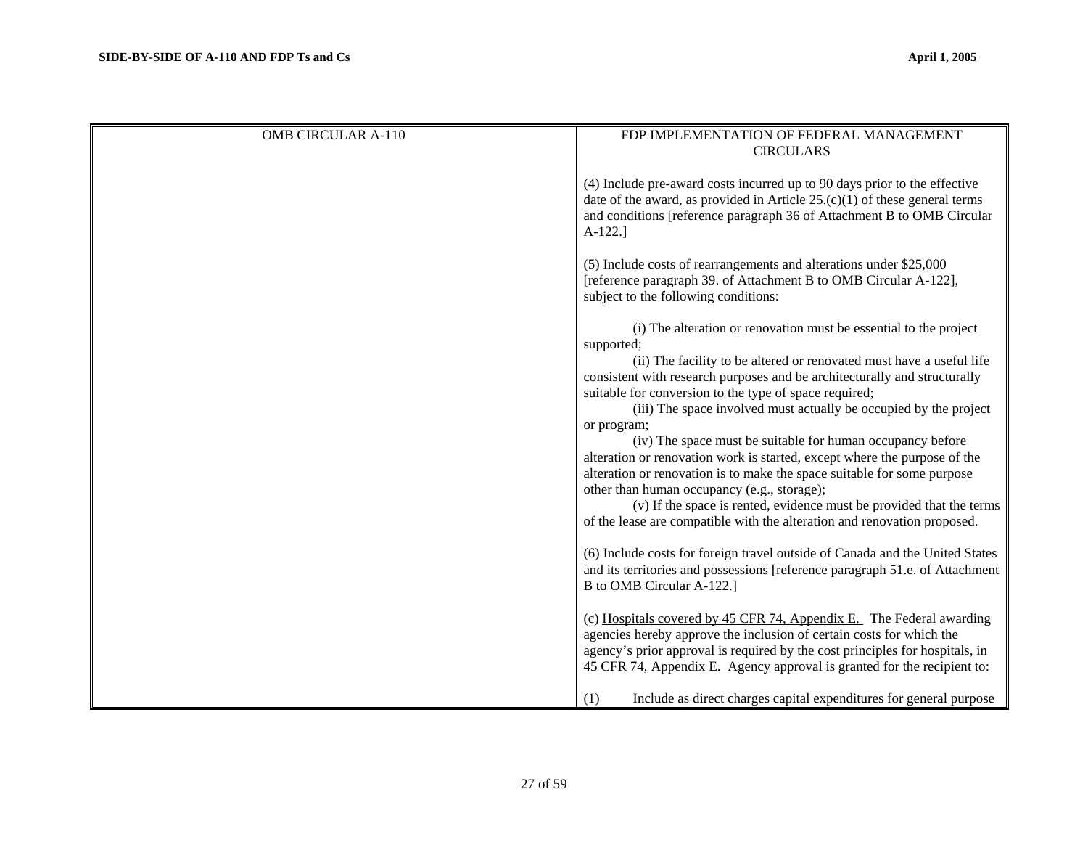| <b>OMB CIRCULAR A-110</b> | FDP IMPLEMENTATION OF FEDERAL MANAGEMENT<br><b>CIRCULARS</b>                                                                                                                                                                                                                                                                                                                                                                                                                                                                                                                                                                                                                                                                                                                                                                                                                                                                                                                                             |
|---------------------------|----------------------------------------------------------------------------------------------------------------------------------------------------------------------------------------------------------------------------------------------------------------------------------------------------------------------------------------------------------------------------------------------------------------------------------------------------------------------------------------------------------------------------------------------------------------------------------------------------------------------------------------------------------------------------------------------------------------------------------------------------------------------------------------------------------------------------------------------------------------------------------------------------------------------------------------------------------------------------------------------------------|
|                           | (4) Include pre-award costs incurred up to 90 days prior to the effective<br>date of the award, as provided in Article $25.(c)(1)$ of these general terms<br>and conditions [reference paragraph 36 of Attachment B to OMB Circular<br>$A-122.$                                                                                                                                                                                                                                                                                                                                                                                                                                                                                                                                                                                                                                                                                                                                                          |
|                           | (5) Include costs of rearrangements and alterations under \$25,000<br>[reference paragraph 39. of Attachment B to OMB Circular A-122],<br>subject to the following conditions:                                                                                                                                                                                                                                                                                                                                                                                                                                                                                                                                                                                                                                                                                                                                                                                                                           |
|                           | (i) The alteration or renovation must be essential to the project<br>supported;<br>(ii) The facility to be altered or renovated must have a useful life<br>consistent with research purposes and be architecturally and structurally<br>suitable for conversion to the type of space required;<br>(iii) The space involved must actually be occupied by the project<br>or program;<br>(iv) The space must be suitable for human occupancy before<br>alteration or renovation work is started, except where the purpose of the<br>alteration or renovation is to make the space suitable for some purpose<br>other than human occupancy (e.g., storage);<br>(v) If the space is rented, evidence must be provided that the terms<br>of the lease are compatible with the alteration and renovation proposed.<br>(6) Include costs for foreign travel outside of Canada and the United States<br>and its territories and possessions [reference paragraph 51.e. of Attachment<br>B to OMB Circular A-122.] |
|                           | (c) Hospitals covered by 45 CFR 74, Appendix E. The Federal awarding<br>agencies hereby approve the inclusion of certain costs for which the<br>agency's prior approval is required by the cost principles for hospitals, in<br>45 CFR 74, Appendix E. Agency approval is granted for the recipient to:                                                                                                                                                                                                                                                                                                                                                                                                                                                                                                                                                                                                                                                                                                  |
|                           | Include as direct charges capital expenditures for general purpose<br>(1)                                                                                                                                                                                                                                                                                                                                                                                                                                                                                                                                                                                                                                                                                                                                                                                                                                                                                                                                |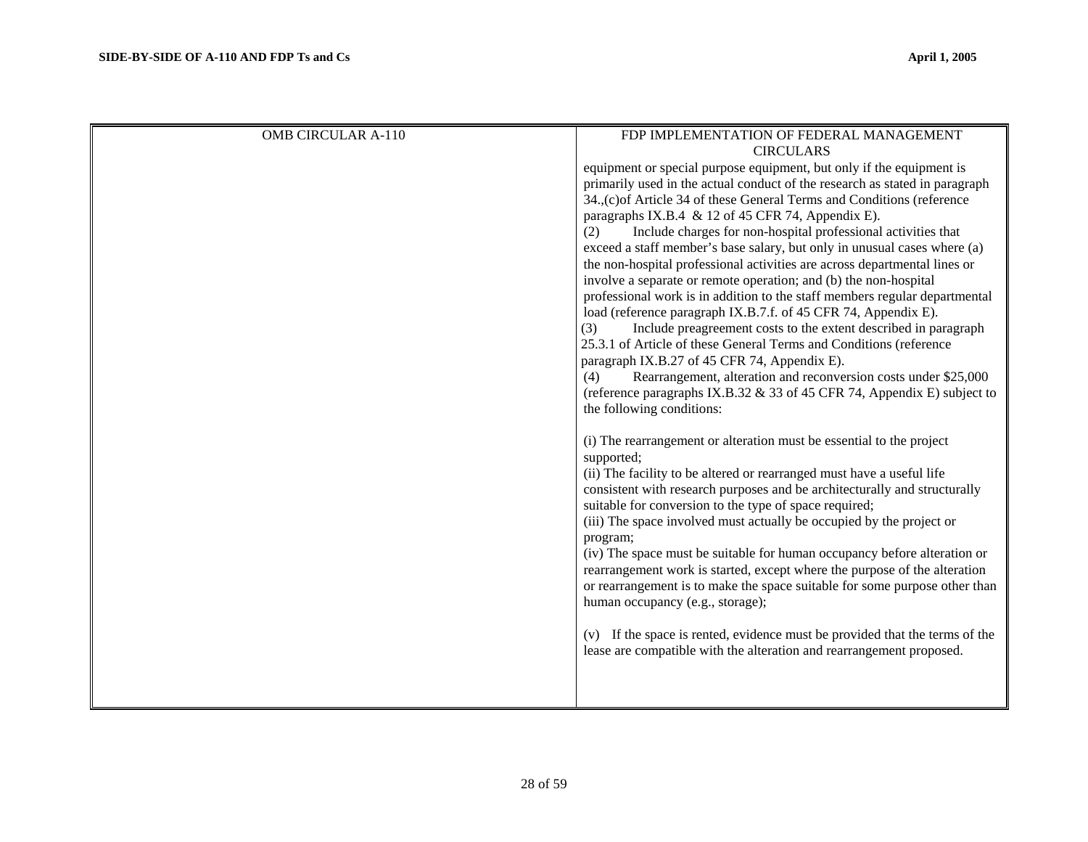| <b>OMB CIRCULAR A-110</b> | FDP IMPLEMENTATION OF FEDERAL MANAGEMENT<br><b>CIRCULARS</b>                                                                        |
|---------------------------|-------------------------------------------------------------------------------------------------------------------------------------|
|                           | equipment or special purpose equipment, but only if the equipment is                                                                |
|                           | primarily used in the actual conduct of the research as stated in paragraph                                                         |
|                           | 34., (c) of Article 34 of these General Terms and Conditions (reference                                                             |
|                           | paragraphs IX.B.4 & 12 of 45 CFR 74, Appendix E).                                                                                   |
|                           | Include charges for non-hospital professional activities that<br>(2)                                                                |
|                           | exceed a staff member's base salary, but only in unusual cases where (a)                                                            |
|                           | the non-hospital professional activities are across departmental lines or                                                           |
|                           | involve a separate or remote operation; and (b) the non-hospital                                                                    |
|                           | professional work is in addition to the staff members regular departmental                                                          |
|                           | load (reference paragraph IX.B.7.f. of 45 CFR 74, Appendix E).                                                                      |
|                           | Include preagreement costs to the extent described in paragraph<br>(3)                                                              |
|                           | 25.3.1 of Article of these General Terms and Conditions (reference                                                                  |
|                           | paragraph IX.B.27 of 45 CFR 74, Appendix E).                                                                                        |
|                           | Rearrangement, alteration and reconversion costs under \$25,000<br>(4)                                                              |
|                           | (reference paragraphs IX.B.32 & 33 of 45 CFR 74, Appendix E) subject to                                                             |
|                           | the following conditions:                                                                                                           |
|                           |                                                                                                                                     |
|                           | (i) The rearrangement or alteration must be essential to the project                                                                |
|                           | supported;                                                                                                                          |
|                           | (ii) The facility to be altered or rearranged must have a useful life                                                               |
|                           | consistent with research purposes and be architecturally and structurally<br>suitable for conversion to the type of space required; |
|                           | (iii) The space involved must actually be occupied by the project or                                                                |
|                           | program;                                                                                                                            |
|                           | (iv) The space must be suitable for human occupancy before alteration or                                                            |
|                           | rearrangement work is started, except where the purpose of the alteration                                                           |
|                           | or rearrangement is to make the space suitable for some purpose other than                                                          |
|                           | human occupancy (e.g., storage);                                                                                                    |
|                           |                                                                                                                                     |
|                           | (v) If the space is rented, evidence must be provided that the terms of the                                                         |
|                           | lease are compatible with the alteration and rearrangement proposed.                                                                |
|                           |                                                                                                                                     |
|                           |                                                                                                                                     |
|                           |                                                                                                                                     |
|                           |                                                                                                                                     |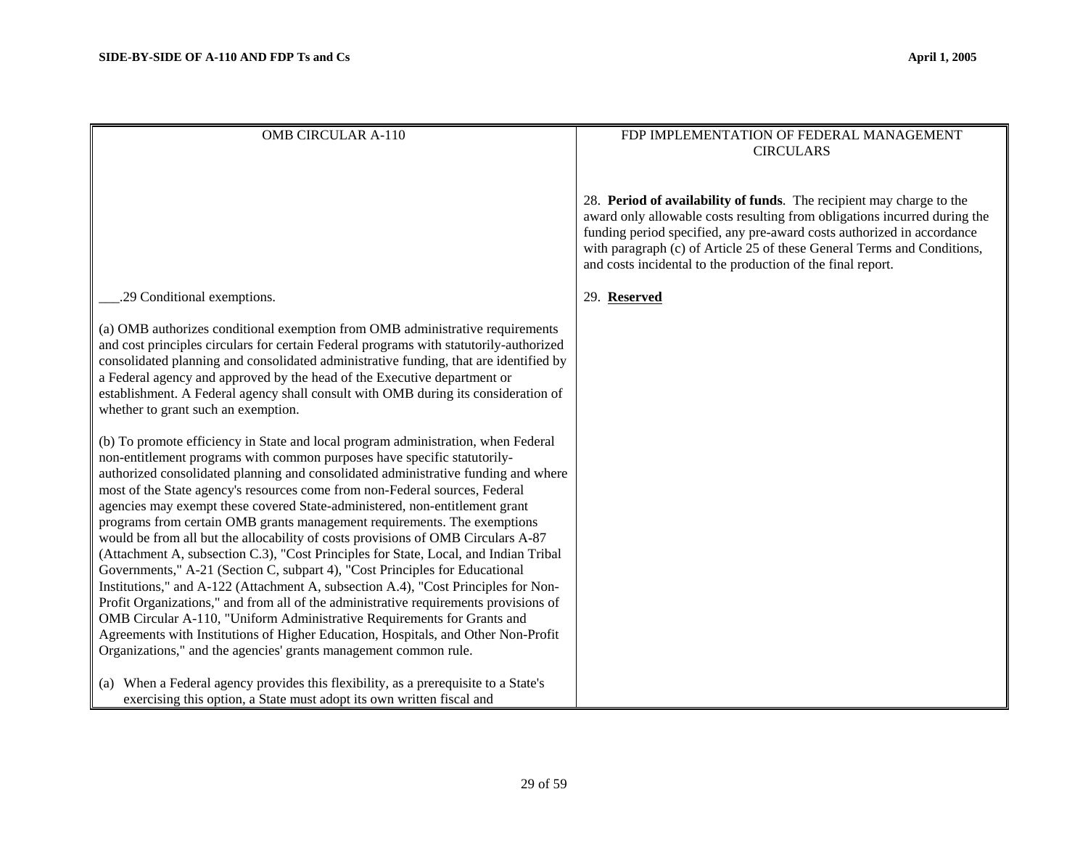| <b>OMB CIRCULAR A-110</b>                                                                                                                                                                                                                                                                                                                                                                                                                                                                                                                                                                                                                                                                                                                                                                                                                                                                                                                                                                                                                                                                                                                                                  | FDP IMPLEMENTATION OF FEDERAL MANAGEMENT                                                                                                                                                                                                                                                                                                                              |
|----------------------------------------------------------------------------------------------------------------------------------------------------------------------------------------------------------------------------------------------------------------------------------------------------------------------------------------------------------------------------------------------------------------------------------------------------------------------------------------------------------------------------------------------------------------------------------------------------------------------------------------------------------------------------------------------------------------------------------------------------------------------------------------------------------------------------------------------------------------------------------------------------------------------------------------------------------------------------------------------------------------------------------------------------------------------------------------------------------------------------------------------------------------------------|-----------------------------------------------------------------------------------------------------------------------------------------------------------------------------------------------------------------------------------------------------------------------------------------------------------------------------------------------------------------------|
|                                                                                                                                                                                                                                                                                                                                                                                                                                                                                                                                                                                                                                                                                                                                                                                                                                                                                                                                                                                                                                                                                                                                                                            | <b>CIRCULARS</b>                                                                                                                                                                                                                                                                                                                                                      |
|                                                                                                                                                                                                                                                                                                                                                                                                                                                                                                                                                                                                                                                                                                                                                                                                                                                                                                                                                                                                                                                                                                                                                                            |                                                                                                                                                                                                                                                                                                                                                                       |
|                                                                                                                                                                                                                                                                                                                                                                                                                                                                                                                                                                                                                                                                                                                                                                                                                                                                                                                                                                                                                                                                                                                                                                            | 28. Period of availability of funds. The recipient may charge to the<br>award only allowable costs resulting from obligations incurred during the<br>funding period specified, any pre-award costs authorized in accordance<br>with paragraph (c) of Article 25 of these General Terms and Conditions,<br>and costs incidental to the production of the final report. |
| .29 Conditional exemptions.                                                                                                                                                                                                                                                                                                                                                                                                                                                                                                                                                                                                                                                                                                                                                                                                                                                                                                                                                                                                                                                                                                                                                | 29. Reserved                                                                                                                                                                                                                                                                                                                                                          |
| (a) OMB authorizes conditional exemption from OMB administrative requirements<br>and cost principles circulars for certain Federal programs with statutorily-authorized<br>consolidated planning and consolidated administrative funding, that are identified by<br>a Federal agency and approved by the head of the Executive department or<br>establishment. A Federal agency shall consult with OMB during its consideration of<br>whether to grant such an exemption.                                                                                                                                                                                                                                                                                                                                                                                                                                                                                                                                                                                                                                                                                                  |                                                                                                                                                                                                                                                                                                                                                                       |
| (b) To promote efficiency in State and local program administration, when Federal<br>non-entitlement programs with common purposes have specific statutorily-<br>authorized consolidated planning and consolidated administrative funding and where<br>most of the State agency's resources come from non-Federal sources, Federal<br>agencies may exempt these covered State-administered, non-entitlement grant<br>programs from certain OMB grants management requirements. The exemptions<br>would be from all but the allocability of costs provisions of OMB Circulars A-87<br>(Attachment A, subsection C.3), "Cost Principles for State, Local, and Indian Tribal<br>Governments," A-21 (Section C, subpart 4), "Cost Principles for Educational<br>Institutions," and A-122 (Attachment A, subsection A.4), "Cost Principles for Non-<br>Profit Organizations," and from all of the administrative requirements provisions of<br>OMB Circular A-110, "Uniform Administrative Requirements for Grants and<br>Agreements with Institutions of Higher Education, Hospitals, and Other Non-Profit<br>Organizations," and the agencies' grants management common rule. |                                                                                                                                                                                                                                                                                                                                                                       |
| (a) When a Federal agency provides this flexibility, as a prerequisite to a State's<br>exercising this option, a State must adopt its own written fiscal and                                                                                                                                                                                                                                                                                                                                                                                                                                                                                                                                                                                                                                                                                                                                                                                                                                                                                                                                                                                                               |                                                                                                                                                                                                                                                                                                                                                                       |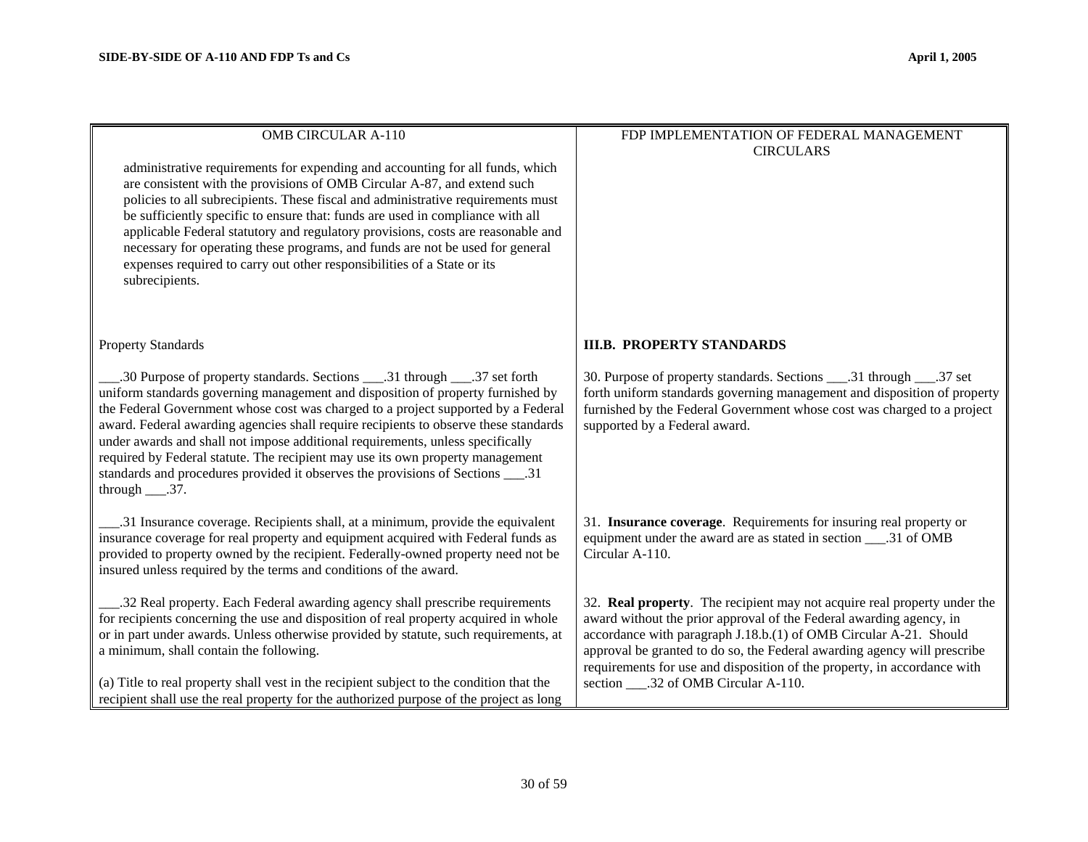| <b>OMB CIRCULAR A-110</b>                                                                                                                                                                                                                                                                                                                                                                                                                                                                                                                                                                                                   | FDP IMPLEMENTATION OF FEDERAL MANAGEMENT<br><b>CIRCULARS</b>                                                                                                                                                                                                                                                                                                                                                            |
|-----------------------------------------------------------------------------------------------------------------------------------------------------------------------------------------------------------------------------------------------------------------------------------------------------------------------------------------------------------------------------------------------------------------------------------------------------------------------------------------------------------------------------------------------------------------------------------------------------------------------------|-------------------------------------------------------------------------------------------------------------------------------------------------------------------------------------------------------------------------------------------------------------------------------------------------------------------------------------------------------------------------------------------------------------------------|
| administrative requirements for expending and accounting for all funds, which<br>are consistent with the provisions of OMB Circular A-87, and extend such<br>policies to all subrecipients. These fiscal and administrative requirements must<br>be sufficiently specific to ensure that: funds are used in compliance with all<br>applicable Federal statutory and regulatory provisions, costs are reasonable and<br>necessary for operating these programs, and funds are not be used for general<br>expenses required to carry out other responsibilities of a State or its<br>subrecipients.                           |                                                                                                                                                                                                                                                                                                                                                                                                                         |
| <b>Property Standards</b>                                                                                                                                                                                                                                                                                                                                                                                                                                                                                                                                                                                                   | <b>III.B. PROPERTY STANDARDS</b>                                                                                                                                                                                                                                                                                                                                                                                        |
| .30 Purpose of property standards. Sections ____.31 through ____.37 set forth<br>uniform standards governing management and disposition of property furnished by<br>the Federal Government whose cost was charged to a project supported by a Federal<br>award. Federal awarding agencies shall require recipients to observe these standards<br>under awards and shall not impose additional requirements, unless specifically<br>required by Federal statute. The recipient may use its own property management<br>standards and procedures provided it observes the provisions of Sections ____.31<br>through $\_\$ .37. | 30. Purpose of property standards. Sections ______. 31 through ______. 37 set<br>forth uniform standards governing management and disposition of property<br>furnished by the Federal Government whose cost was charged to a project<br>supported by a Federal award.                                                                                                                                                   |
| _.31 Insurance coverage. Recipients shall, at a minimum, provide the equivalent<br>insurance coverage for real property and equipment acquired with Federal funds as<br>provided to property owned by the recipient. Federally-owned property need not be<br>insured unless required by the terms and conditions of the award.                                                                                                                                                                                                                                                                                              | 31. Insurance coverage. Requirements for insuring real property or<br>equipment under the award are as stated in section _____.31 of OMB<br>Circular A-110.                                                                                                                                                                                                                                                             |
| 32 Real property. Each Federal awarding agency shall prescribe requirements<br>for recipients concerning the use and disposition of real property acquired in whole<br>or in part under awards. Unless otherwise provided by statute, such requirements, at<br>a minimum, shall contain the following.<br>(a) Title to real property shall vest in the recipient subject to the condition that the                                                                                                                                                                                                                          | 32. Real property. The recipient may not acquire real property under the<br>award without the prior approval of the Federal awarding agency, in<br>accordance with paragraph J.18.b.(1) of OMB Circular A-21. Should<br>approval be granted to do so, the Federal awarding agency will prescribe<br>requirements for use and disposition of the property, in accordance with<br>section _____.32 of OMB Circular A-110. |
| recipient shall use the real property for the authorized purpose of the project as long                                                                                                                                                                                                                                                                                                                                                                                                                                                                                                                                     |                                                                                                                                                                                                                                                                                                                                                                                                                         |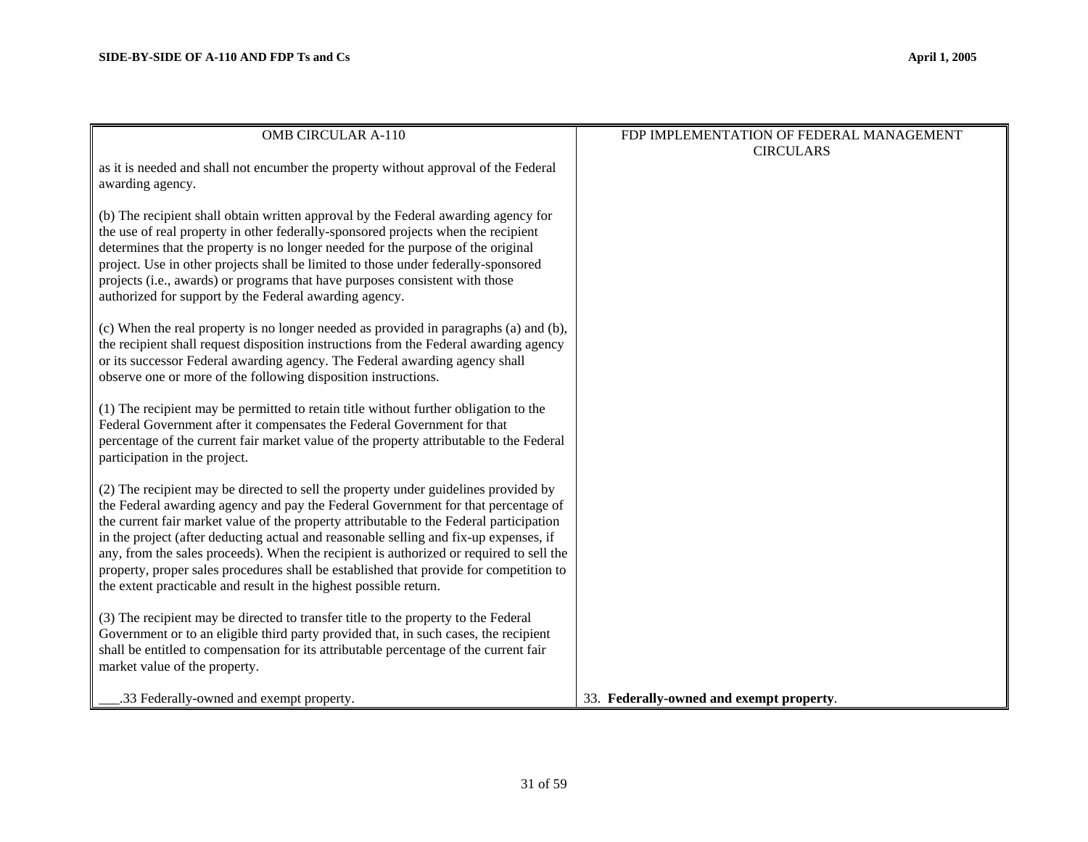| <b>OMB CIRCULAR A-110</b>                                                                                                                                                                                                                                                                                                                                                                                                                                                                                                                                                                                              | FDP IMPLEMENTATION OF FEDERAL MANAGEMENT |
|------------------------------------------------------------------------------------------------------------------------------------------------------------------------------------------------------------------------------------------------------------------------------------------------------------------------------------------------------------------------------------------------------------------------------------------------------------------------------------------------------------------------------------------------------------------------------------------------------------------------|------------------------------------------|
|                                                                                                                                                                                                                                                                                                                                                                                                                                                                                                                                                                                                                        | <b>CIRCULARS</b>                         |
| as it is needed and shall not encumber the property without approval of the Federal<br>awarding agency.                                                                                                                                                                                                                                                                                                                                                                                                                                                                                                                |                                          |
| (b) The recipient shall obtain written approval by the Federal awarding agency for<br>the use of real property in other federally-sponsored projects when the recipient<br>determines that the property is no longer needed for the purpose of the original<br>project. Use in other projects shall be limited to those under federally-sponsored<br>projects (i.e., awards) or programs that have purposes consistent with those<br>authorized for support by the Federal awarding agency.                                                                                                                            |                                          |
| (c) When the real property is no longer needed as provided in paragraphs (a) and (b),<br>the recipient shall request disposition instructions from the Federal awarding agency<br>or its successor Federal awarding agency. The Federal awarding agency shall<br>observe one or more of the following disposition instructions.                                                                                                                                                                                                                                                                                        |                                          |
| (1) The recipient may be permitted to retain title without further obligation to the<br>Federal Government after it compensates the Federal Government for that<br>percentage of the current fair market value of the property attributable to the Federal<br>participation in the project.                                                                                                                                                                                                                                                                                                                            |                                          |
| (2) The recipient may be directed to sell the property under guidelines provided by<br>the Federal awarding agency and pay the Federal Government for that percentage of<br>the current fair market value of the property attributable to the Federal participation<br>in the project (after deducting actual and reasonable selling and fix-up expenses, if<br>any, from the sales proceeds). When the recipient is authorized or required to sell the<br>property, proper sales procedures shall be established that provide for competition to<br>the extent practicable and result in the highest possible return. |                                          |
| (3) The recipient may be directed to transfer title to the property to the Federal<br>Government or to an eligible third party provided that, in such cases, the recipient<br>shall be entitled to compensation for its attributable percentage of the current fair<br>market value of the property.                                                                                                                                                                                                                                                                                                                   |                                          |
| 33 Federally-owned and exempt property.                                                                                                                                                                                                                                                                                                                                                                                                                                                                                                                                                                                | 33. Federally-owned and exempt property. |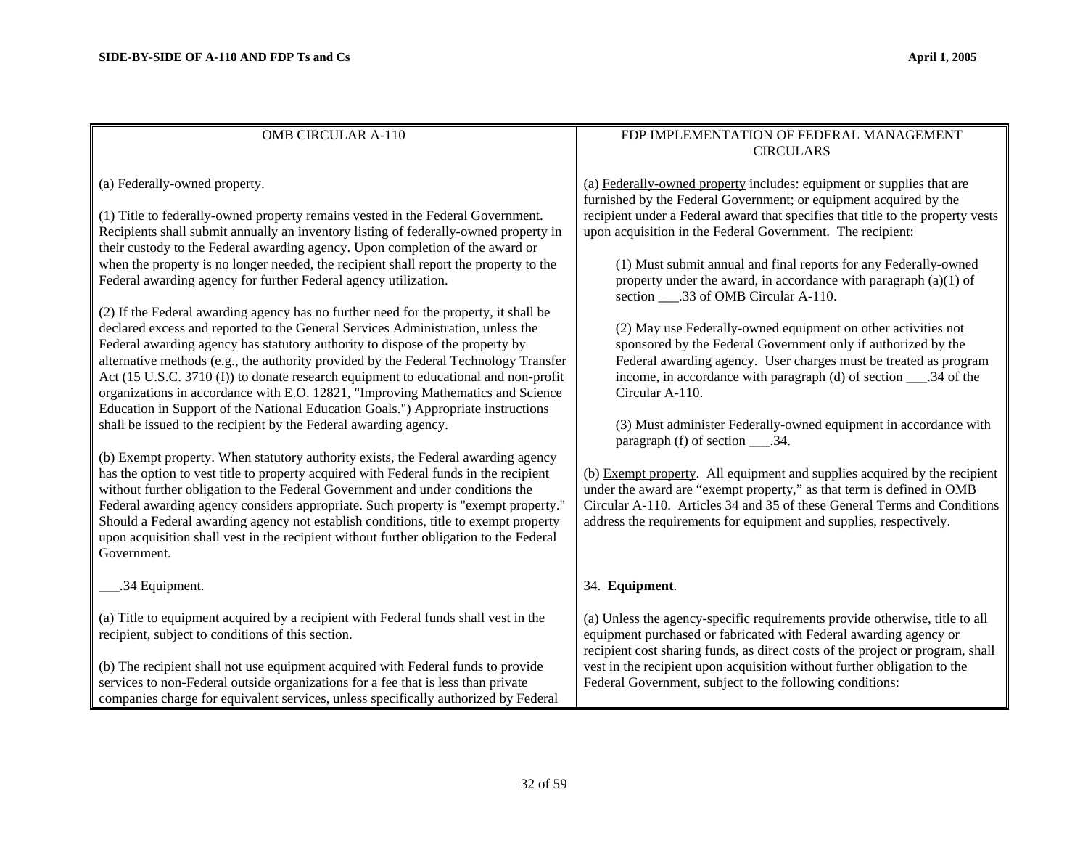| <b>OMB CIRCULAR A-110</b>                                                                                                                                                                                                                                    | FDP IMPLEMENTATION OF FEDERAL MANAGEMENT<br><b>CIRCULARS</b>                                                                                                                                                                       |
|--------------------------------------------------------------------------------------------------------------------------------------------------------------------------------------------------------------------------------------------------------------|------------------------------------------------------------------------------------------------------------------------------------------------------------------------------------------------------------------------------------|
| (a) Federally-owned property.                                                                                                                                                                                                                                | (a) Federally-owned property includes: equipment or supplies that are<br>furnished by the Federal Government; or equipment acquired by the                                                                                         |
| (1) Title to federally-owned property remains vested in the Federal Government.<br>Recipients shall submit annually an inventory listing of federally-owned property in<br>their custody to the Federal awarding agency. Upon completion of the award or     | recipient under a Federal award that specifies that title to the property vests<br>upon acquisition in the Federal Government. The recipient:                                                                                      |
| when the property is no longer needed, the recipient shall report the property to the<br>Federal awarding agency for further Federal agency utilization.                                                                                                     | (1) Must submit annual and final reports for any Federally-owned<br>property under the award, in accordance with paragraph $(a)(1)$ of<br>section ____.33 of OMB Circular A-110.                                                   |
| (2) If the Federal awarding agency has no further need for the property, it shall be<br>declared excess and reported to the General Services Administration, unless the                                                                                      | (2) May use Federally-owned equipment on other activities not                                                                                                                                                                      |
| Federal awarding agency has statutory authority to dispose of the property by<br>alternative methods (e.g., the authority provided by the Federal Technology Transfer<br>Act (15 U.S.C. 3710 (I)) to donate research equipment to educational and non-profit | sponsored by the Federal Government only if authorized by the<br>Federal awarding agency. User charges must be treated as program<br>income, in accordance with paragraph (d) of section _____.34 of the                           |
| organizations in accordance with E.O. 12821, "Improving Mathematics and Science<br>Education in Support of the National Education Goals.") Appropriate instructions<br>shall be issued to the recipient by the Federal awarding agency.                      | Circular A-110.<br>(3) Must administer Federally-owned equipment in accordance with                                                                                                                                                |
| (b) Exempt property. When statutory authority exists, the Federal awarding agency                                                                                                                                                                            | paragraph (f) of section _____.34.                                                                                                                                                                                                 |
| has the option to vest title to property acquired with Federal funds in the recipient<br>without further obligation to the Federal Government and under conditions the<br>Federal awarding agency considers appropriate. Such property is "exempt property." | (b) Exempt property. All equipment and supplies acquired by the recipient<br>under the award are "exempt property," as that term is defined in OMB<br>Circular A-110. Articles 34 and 35 of these General Terms and Conditions     |
| Should a Federal awarding agency not establish conditions, title to exempt property<br>upon acquisition shall vest in the recipient without further obligation to the Federal<br>Government.                                                                 | address the requirements for equipment and supplies, respectively.                                                                                                                                                                 |
| .34 Equipment.                                                                                                                                                                                                                                               | 34. Equipment.                                                                                                                                                                                                                     |
| (a) Title to equipment acquired by a recipient with Federal funds shall vest in the<br>recipient, subject to conditions of this section.                                                                                                                     | (a) Unless the agency-specific requirements provide otherwise, title to all<br>equipment purchased or fabricated with Federal awarding agency or<br>recipient cost sharing funds, as direct costs of the project or program, shall |
| (b) The recipient shall not use equipment acquired with Federal funds to provide<br>services to non-Federal outside organizations for a fee that is less than private<br>companies charge for equivalent services, unless specifically authorized by Federal | vest in the recipient upon acquisition without further obligation to the<br>Federal Government, subject to the following conditions:                                                                                               |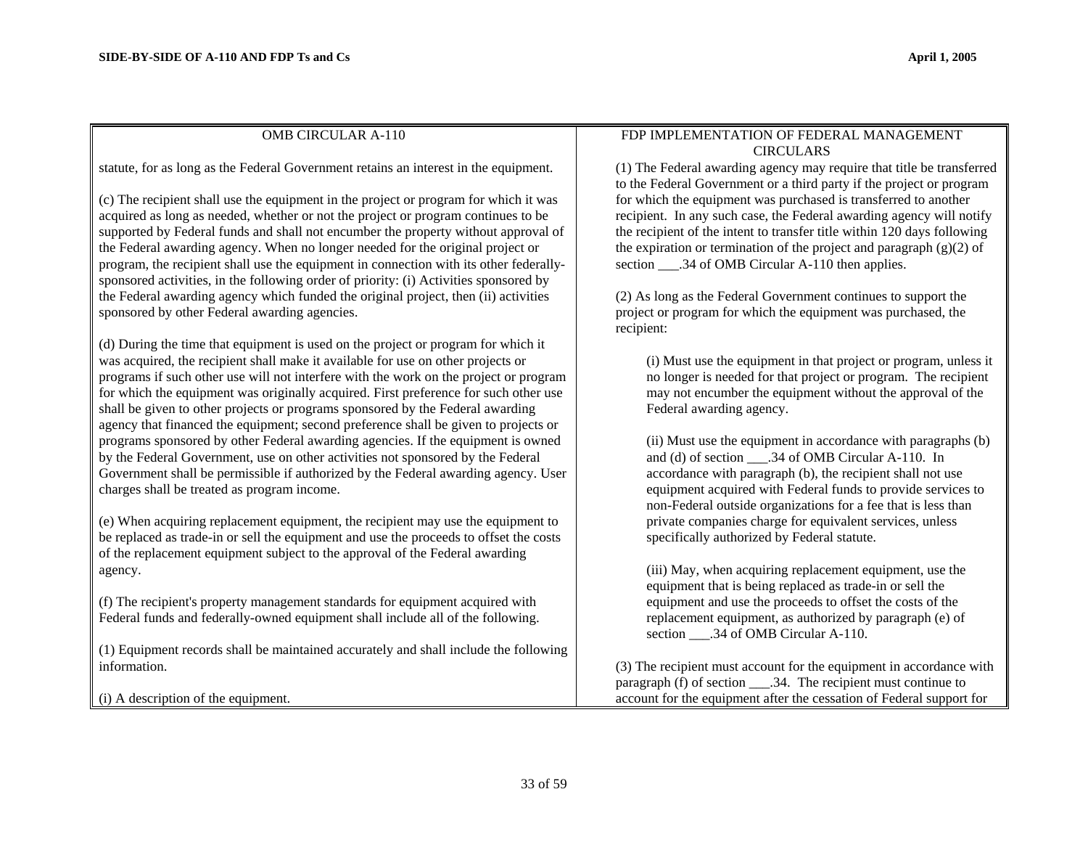statute, for as long as the Federal Government retains an interest in the equipment.

(c) The recipient shall use the equipment in the project or program for which it was acquired as long as needed, whether or not the project or program continues to be supported by Federal funds and shall not encumber the property without approval of the Federal awarding agency. When no longer needed for the original project or program, the recipient shall use the equipment in connection with its other federallysponsored activities, in the following order of priority: (i) Activities sponsored by the Federal awarding agency which funded the original project, then (ii) activities sponsored by other Federal awarding agencies.

(d) During the time that equipment is used on the project or program for which it was acquired, the recipient shall make it available for use on other projects or programs if such other use will not interfere with the work on the project or program for which the equipment was originally acquired. First preference for such other use shall be given to other projects or programs sponsored by the Federal awarding agency that financed the equipment; second preference shall be given to projects or programs sponsored by other Federal awarding agencies. If the equipment is owned by the Federal Government, use on other activities not sponsored by the Federal Government shall be permissible if authorized by the Federal awarding agency. User charges shall be treated as program income.

(e) When acquiring replacement equipment, the recipient may use the equipment to be replaced as trade-in or sell the equipment and use the proceeds to offset the costs of the replacement equipment subject to the approval of the Federal awarding agency.

(f) The recipient's property management standards for equipment acquired with Federal funds and federally-owned equipment shall include all of the following.

(1) Equipment records shall be maintained accurately and shall include the following information.

(i) A description of the equipment.

#### OMB CIRCULAR A-110 FDP IMPLEMENTATION OF FEDERAL MANAGEMENT CIRCULARS

(1) The Federal awarding agency may require that title be transferred to the Federal Government or a third party if the project or program for which the equipment was purchased is transferred to another recipient. In any such case, the Federal awarding agency will notify the recipient of the intent to transfer title within 120 days following the expiration or termination of the project and paragraph  $(g)(2)$  of section \_\_\_\_.34 of OMB Circular A-110 then applies.

(2) As long as the Federal Government continues to support the project or program for which the equipment was purchased, the recipient:

(i) Must use the equipment in that project or program, unless it no longer is needed for that project or program. The recipient may not encumber the equipment without the approval of the Federal awarding agency.

(ii) Must use the equipment in accordance with paragraphs (b) and (d) of section \_\_\_.34 of OMB Circular A-110. In accordance with paragraph (b), the recipient shall not use equipment acquired with Federal funds to provide services to non-Federal outside organizations for a fee that is less than private companies charge for equivalent services, unless specifically authorized by Federal statute.

(iii) May, when acquiring replacement equipment, use the equipment that is being replaced as trade-in or sell the equipment and use the proceeds to offset the costs of the replacement equipment, as authorized by paragraph (e) of section \_\_\_.34 of OMB Circular A-110.

(3) The recipient must account for the equipment in accordance with paragraph (f) of section .34. The recipient must continue to account for the equipment after the cessation of Federal support for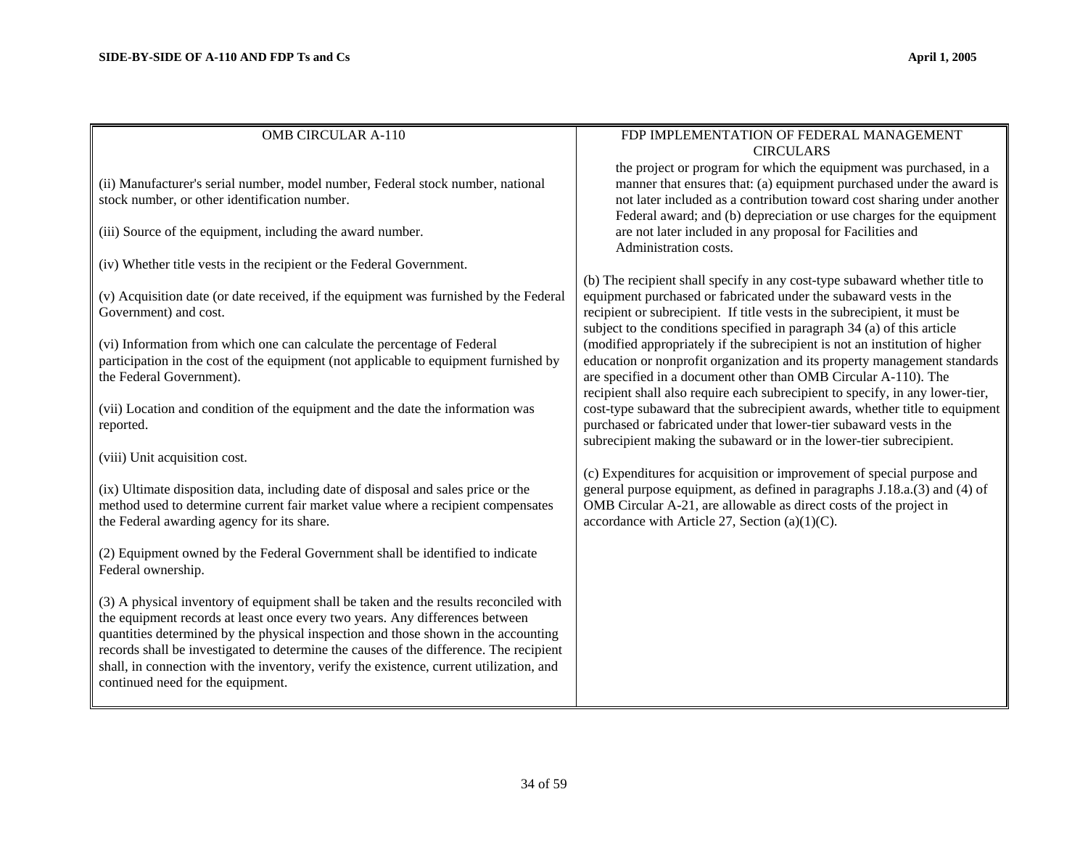| <b>OMB CIRCULAR A-110</b>                                                                                                                                                                                                                                                                                                                                                                                                                                                            | FDP IMPLEMENTATION OF FEDERAL MANAGEMENT                                                                                                                                                                                                                                                                   |
|--------------------------------------------------------------------------------------------------------------------------------------------------------------------------------------------------------------------------------------------------------------------------------------------------------------------------------------------------------------------------------------------------------------------------------------------------------------------------------------|------------------------------------------------------------------------------------------------------------------------------------------------------------------------------------------------------------------------------------------------------------------------------------------------------------|
|                                                                                                                                                                                                                                                                                                                                                                                                                                                                                      | <b>CIRCULARS</b><br>the project or program for which the equipment was purchased, in a                                                                                                                                                                                                                     |
| (ii) Manufacturer's serial number, model number, Federal stock number, national<br>stock number, or other identification number.                                                                                                                                                                                                                                                                                                                                                     | manner that ensures that: (a) equipment purchased under the award is<br>not later included as a contribution toward cost sharing under another                                                                                                                                                             |
| (iii) Source of the equipment, including the award number.                                                                                                                                                                                                                                                                                                                                                                                                                           | Federal award; and (b) depreciation or use charges for the equipment<br>are not later included in any proposal for Facilities and<br>Administration costs.                                                                                                                                                 |
| (iv) Whether title vests in the recipient or the Federal Government.                                                                                                                                                                                                                                                                                                                                                                                                                 |                                                                                                                                                                                                                                                                                                            |
| (v) Acquisition date (or date received, if the equipment was furnished by the Federal<br>Government) and cost.                                                                                                                                                                                                                                                                                                                                                                       | (b) The recipient shall specify in any cost-type subaward whether title to<br>equipment purchased or fabricated under the subaward vests in the<br>recipient or subrecipient. If title vests in the subrecipient, it must be                                                                               |
| (vi) Information from which one can calculate the percentage of Federal<br>participation in the cost of the equipment (not applicable to equipment furnished by<br>the Federal Government).                                                                                                                                                                                                                                                                                          | subject to the conditions specified in paragraph 34 (a) of this article<br>(modified appropriately if the subrecipient is not an institution of higher<br>education or nonprofit organization and its property management standards<br>are specified in a document other than OMB Circular A-110). The     |
| (vii) Location and condition of the equipment and the date the information was<br>reported.                                                                                                                                                                                                                                                                                                                                                                                          | recipient shall also require each subrecipient to specify, in any lower-tier,<br>cost-type subaward that the subrecipient awards, whether title to equipment<br>purchased or fabricated under that lower-tier subaward vests in the<br>subrecipient making the subaward or in the lower-tier subrecipient. |
| (viii) Unit acquisition cost.                                                                                                                                                                                                                                                                                                                                                                                                                                                        |                                                                                                                                                                                                                                                                                                            |
| (ix) Ultimate disposition data, including date of disposal and sales price or the<br>method used to determine current fair market value where a recipient compensates<br>the Federal awarding agency for its share.                                                                                                                                                                                                                                                                  | (c) Expenditures for acquisition or improvement of special purpose and<br>general purpose equipment, as defined in paragraphs J.18.a.(3) and (4) of<br>OMB Circular A-21, are allowable as direct costs of the project in<br>accordance with Article 27, Section $(a)(1)(C)$ .                             |
| (2) Equipment owned by the Federal Government shall be identified to indicate<br>Federal ownership.                                                                                                                                                                                                                                                                                                                                                                                  |                                                                                                                                                                                                                                                                                                            |
| (3) A physical inventory of equipment shall be taken and the results reconciled with<br>the equipment records at least once every two years. Any differences between<br>quantities determined by the physical inspection and those shown in the accounting<br>records shall be investigated to determine the causes of the difference. The recipient<br>shall, in connection with the inventory, verify the existence, current utilization, and<br>continued need for the equipment. |                                                                                                                                                                                                                                                                                                            |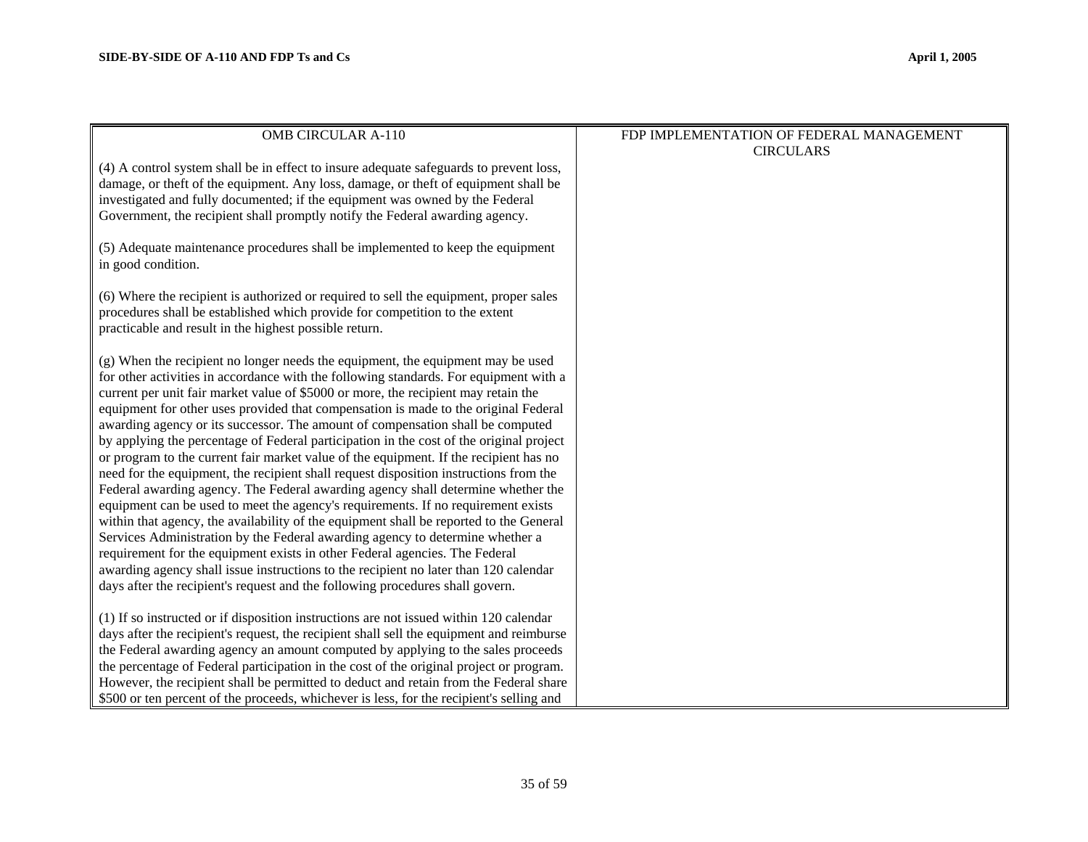| <b>OMB CIRCULAR A-110</b>                                                                | FDP IMPLEMENTATION OF FEDERAL MANAGEMENT |
|------------------------------------------------------------------------------------------|------------------------------------------|
|                                                                                          | <b>CIRCULARS</b>                         |
| (4) A control system shall be in effect to insure adequate safeguards to prevent loss,   |                                          |
| damage, or theft of the equipment. Any loss, damage, or theft of equipment shall be      |                                          |
| investigated and fully documented; if the equipment was owned by the Federal             |                                          |
| Government, the recipient shall promptly notify the Federal awarding agency.             |                                          |
|                                                                                          |                                          |
| (5) Adequate maintenance procedures shall be implemented to keep the equipment           |                                          |
| in good condition.                                                                       |                                          |
|                                                                                          |                                          |
| (6) Where the recipient is authorized or required to sell the equipment, proper sales    |                                          |
| procedures shall be established which provide for competition to the extent              |                                          |
| practicable and result in the highest possible return.                                   |                                          |
|                                                                                          |                                          |
| (g) When the recipient no longer needs the equipment, the equipment may be used          |                                          |
| for other activities in accordance with the following standards. For equipment with a    |                                          |
| current per unit fair market value of \$5000 or more, the recipient may retain the       |                                          |
| equipment for other uses provided that compensation is made to the original Federal      |                                          |
| awarding agency or its successor. The amount of compensation shall be computed           |                                          |
| by applying the percentage of Federal participation in the cost of the original project  |                                          |
|                                                                                          |                                          |
| or program to the current fair market value of the equipment. If the recipient has no    |                                          |
| need for the equipment, the recipient shall request disposition instructions from the    |                                          |
| Federal awarding agency. The Federal awarding agency shall determine whether the         |                                          |
| equipment can be used to meet the agency's requirements. If no requirement exists        |                                          |
| within that agency, the availability of the equipment shall be reported to the General   |                                          |
| Services Administration by the Federal awarding agency to determine whether a            |                                          |
| requirement for the equipment exists in other Federal agencies. The Federal              |                                          |
| awarding agency shall issue instructions to the recipient no later than 120 calendar     |                                          |
| days after the recipient's request and the following procedures shall govern.            |                                          |
|                                                                                          |                                          |
| (1) If so instructed or if disposition instructions are not issued within 120 calendar   |                                          |
| days after the recipient's request, the recipient shall sell the equipment and reimburse |                                          |
| the Federal awarding agency an amount computed by applying to the sales proceeds         |                                          |
| the percentage of Federal participation in the cost of the original project or program.  |                                          |
| However, the recipient shall be permitted to deduct and retain from the Federal share    |                                          |
| \$500 or ten percent of the proceeds, whichever is less, for the recipient's selling and |                                          |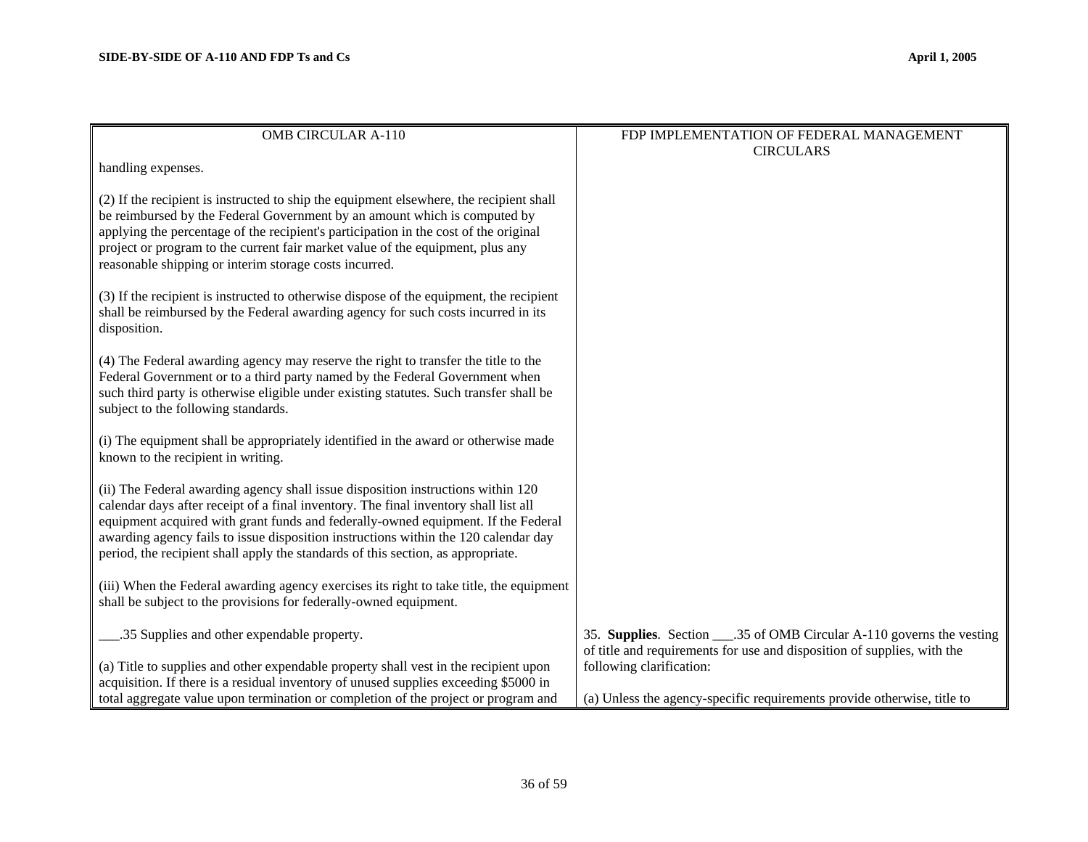| <b>OMB CIRCULAR A-110</b>                                                                                                                                                                                                                                                                                                                                                                                                                | FDP IMPLEMENTATION OF FEDERAL MANAGEMENT                                                                                                            |
|------------------------------------------------------------------------------------------------------------------------------------------------------------------------------------------------------------------------------------------------------------------------------------------------------------------------------------------------------------------------------------------------------------------------------------------|-----------------------------------------------------------------------------------------------------------------------------------------------------|
|                                                                                                                                                                                                                                                                                                                                                                                                                                          | <b>CIRCULARS</b>                                                                                                                                    |
| handling expenses.                                                                                                                                                                                                                                                                                                                                                                                                                       |                                                                                                                                                     |
| (2) If the recipient is instructed to ship the equipment elsewhere, the recipient shall<br>be reimbursed by the Federal Government by an amount which is computed by<br>applying the percentage of the recipient's participation in the cost of the original<br>project or program to the current fair market value of the equipment, plus any<br>reasonable shipping or interim storage costs incurred.                                 |                                                                                                                                                     |
| (3) If the recipient is instructed to otherwise dispose of the equipment, the recipient<br>shall be reimbursed by the Federal awarding agency for such costs incurred in its<br>disposition.                                                                                                                                                                                                                                             |                                                                                                                                                     |
| (4) The Federal awarding agency may reserve the right to transfer the title to the<br>Federal Government or to a third party named by the Federal Government when<br>such third party is otherwise eligible under existing statutes. Such transfer shall be<br>subject to the following standards.                                                                                                                                       |                                                                                                                                                     |
| (i) The equipment shall be appropriately identified in the award or otherwise made<br>known to the recipient in writing.                                                                                                                                                                                                                                                                                                                 |                                                                                                                                                     |
| (ii) The Federal awarding agency shall issue disposition instructions within 120<br>calendar days after receipt of a final inventory. The final inventory shall list all<br>equipment acquired with grant funds and federally-owned equipment. If the Federal<br>awarding agency fails to issue disposition instructions within the 120 calendar day<br>period, the recipient shall apply the standards of this section, as appropriate. |                                                                                                                                                     |
| (iii) When the Federal awarding agency exercises its right to take title, the equipment<br>shall be subject to the provisions for federally-owned equipment.                                                                                                                                                                                                                                                                             |                                                                                                                                                     |
| .35 Supplies and other expendable property.                                                                                                                                                                                                                                                                                                                                                                                              | 35. Supplies. Section _____.35 of OMB Circular A-110 governs the vesting<br>of title and requirements for use and disposition of supplies, with the |
| (a) Title to supplies and other expendable property shall vest in the recipient upon                                                                                                                                                                                                                                                                                                                                                     | following clarification:                                                                                                                            |
| acquisition. If there is a residual inventory of unused supplies exceeding \$5000 in                                                                                                                                                                                                                                                                                                                                                     |                                                                                                                                                     |
| total aggregate value upon termination or completion of the project or program and                                                                                                                                                                                                                                                                                                                                                       | (a) Unless the agency-specific requirements provide otherwise, title to                                                                             |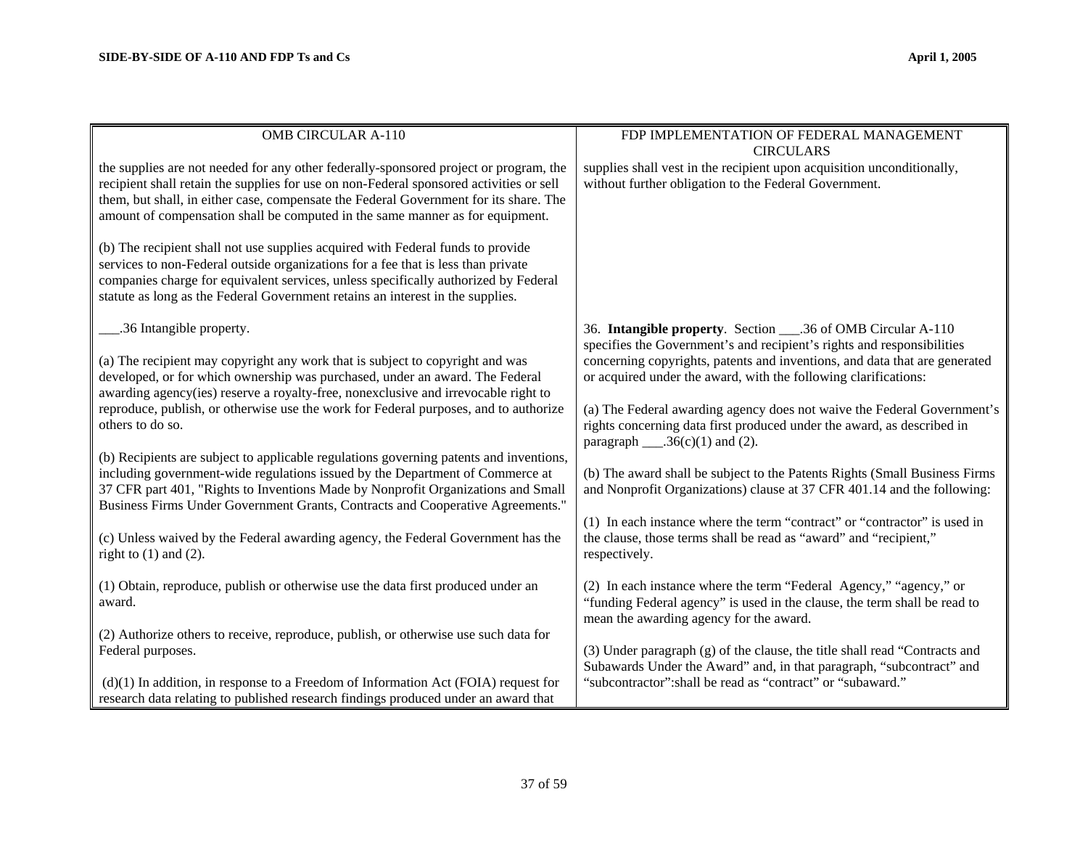| <b>OMB CIRCULAR A-110</b>                                                                                                                                                                                                                                                                                                                                  | FDP IMPLEMENTATION OF FEDERAL MANAGEMENT                                                                                                                                                   |
|------------------------------------------------------------------------------------------------------------------------------------------------------------------------------------------------------------------------------------------------------------------------------------------------------------------------------------------------------------|--------------------------------------------------------------------------------------------------------------------------------------------------------------------------------------------|
|                                                                                                                                                                                                                                                                                                                                                            | <b>CIRCULARS</b>                                                                                                                                                                           |
| the supplies are not needed for any other federally-sponsored project or program, the<br>recipient shall retain the supplies for use on non-Federal sponsored activities or sell<br>them, but shall, in either case, compensate the Federal Government for its share. The<br>amount of compensation shall be computed in the same manner as for equipment. | supplies shall vest in the recipient upon acquisition unconditionally,<br>without further obligation to the Federal Government.                                                            |
| (b) The recipient shall not use supplies acquired with Federal funds to provide<br>services to non-Federal outside organizations for a fee that is less than private<br>companies charge for equivalent services, unless specifically authorized by Federal<br>statute as long as the Federal Government retains an interest in the supplies.              |                                                                                                                                                                                            |
| 36 Intangible property.                                                                                                                                                                                                                                                                                                                                    | 36. Intangible property. Section ____.36 of OMB Circular A-110<br>specifies the Government's and recipient's rights and responsibilities                                                   |
| (a) The recipient may copyright any work that is subject to copyright and was<br>developed, or for which ownership was purchased, under an award. The Federal<br>awarding agency(ies) reserve a royalty-free, nonexclusive and irrevocable right to                                                                                                        | concerning copyrights, patents and inventions, and data that are generated<br>or acquired under the award, with the following clarifications:                                              |
| reproduce, publish, or otherwise use the work for Federal purposes, and to authorize<br>others to do so.                                                                                                                                                                                                                                                   | (a) The Federal awarding agency does not waive the Federal Government's<br>rights concerning data first produced under the award, as described in<br>paragraph ____. $36(c)(1)$ and (2).   |
| (b) Recipients are subject to applicable regulations governing patents and inventions,                                                                                                                                                                                                                                                                     |                                                                                                                                                                                            |
| including government-wide regulations issued by the Department of Commerce at<br>37 CFR part 401, "Rights to Inventions Made by Nonprofit Organizations and Small<br>Business Firms Under Government Grants, Contracts and Cooperative Agreements."                                                                                                        | (b) The award shall be subject to the Patents Rights (Small Business Firms<br>and Nonprofit Organizations) clause at 37 CFR 401.14 and the following:                                      |
|                                                                                                                                                                                                                                                                                                                                                            | (1) In each instance where the term "contract" or "contractor" is used in                                                                                                                  |
| (c) Unless waived by the Federal awarding agency, the Federal Government has the<br>right to $(1)$ and $(2)$ .                                                                                                                                                                                                                                             | the clause, those terms shall be read as "award" and "recipient,"<br>respectively.                                                                                                         |
| (1) Obtain, reproduce, publish or otherwise use the data first produced under an<br>award.                                                                                                                                                                                                                                                                 | (2) In each instance where the term "Federal Agency," "agency," or<br>"funding Federal agency" is used in the clause, the term shall be read to<br>mean the awarding agency for the award. |
| (2) Authorize others to receive, reproduce, publish, or otherwise use such data for                                                                                                                                                                                                                                                                        |                                                                                                                                                                                            |
| Federal purposes.                                                                                                                                                                                                                                                                                                                                          | (3) Under paragraph (g) of the clause, the title shall read "Contracts and<br>Subawards Under the Award" and, in that paragraph, "subcontract" and                                         |
| $(d)(1)$ In addition, in response to a Freedom of Information Act (FOIA) request for                                                                                                                                                                                                                                                                       | "subcontractor":shall be read as "contract" or "subaward."                                                                                                                                 |
| research data relating to published research findings produced under an award that                                                                                                                                                                                                                                                                         |                                                                                                                                                                                            |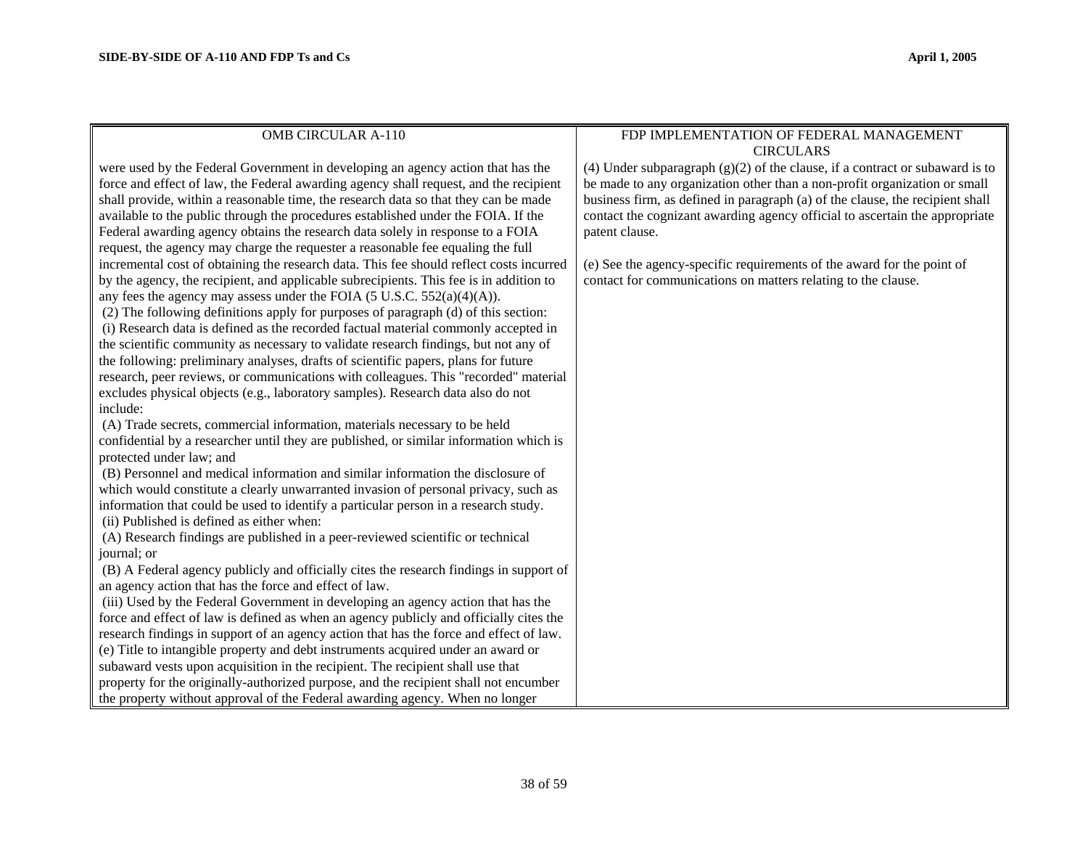| <b>OMB CIRCULAR A-110</b>                                                               | FDP IMPLEMENTATION OF FEDERAL MANAGEMENT                                       |
|-----------------------------------------------------------------------------------------|--------------------------------------------------------------------------------|
|                                                                                         | <b>CIRCULARS</b>                                                               |
| were used by the Federal Government in developing an agency action that has the         | (4) Under subparagraph $(g)(2)$ of the clause, if a contract or subaward is to |
| force and effect of law, the Federal awarding agency shall request, and the recipient   | be made to any organization other than a non-profit organization or small      |
| shall provide, within a reasonable time, the research data so that they can be made     | business firm, as defined in paragraph (a) of the clause, the recipient shall  |
| available to the public through the procedures established under the FOIA. If the       | contact the cognizant awarding agency official to ascertain the appropriate    |
| Federal awarding agency obtains the research data solely in response to a FOIA          | patent clause.                                                                 |
| request, the agency may charge the requester a reasonable fee equaling the full         |                                                                                |
| incremental cost of obtaining the research data. This fee should reflect costs incurred | (e) See the agency-specific requirements of the award for the point of         |
| by the agency, the recipient, and applicable subrecipients. This fee is in addition to  | contact for communications on matters relating to the clause.                  |
| any fees the agency may assess under the FOIA $(5 \text{ U.S.C. } 552(a)(4)(A))$ .      |                                                                                |
| (2) The following definitions apply for purposes of paragraph (d) of this section:      |                                                                                |
| (i) Research data is defined as the recorded factual material commonly accepted in      |                                                                                |
| the scientific community as necessary to validate research findings, but not any of     |                                                                                |
| the following: preliminary analyses, drafts of scientific papers, plans for future      |                                                                                |
| research, peer reviews, or communications with colleagues. This "recorded" material     |                                                                                |
| excludes physical objects (e.g., laboratory samples). Research data also do not         |                                                                                |
| include:                                                                                |                                                                                |
| (A) Trade secrets, commercial information, materials necessary to be held               |                                                                                |
| confidential by a researcher until they are published, or similar information which is  |                                                                                |
| protected under law; and                                                                |                                                                                |
| (B) Personnel and medical information and similar information the disclosure of         |                                                                                |
| which would constitute a clearly unwarranted invasion of personal privacy, such as      |                                                                                |
| information that could be used to identify a particular person in a research study.     |                                                                                |
| (ii) Published is defined as either when:                                               |                                                                                |
| (A) Research findings are published in a peer-reviewed scientific or technical          |                                                                                |
| journal; or                                                                             |                                                                                |
| (B) A Federal agency publicly and officially cites the research findings in support of  |                                                                                |
| an agency action that has the force and effect of law.                                  |                                                                                |
| (iii) Used by the Federal Government in developing an agency action that has the        |                                                                                |
| force and effect of law is defined as when an agency publicly and officially cites the  |                                                                                |
| research findings in support of an agency action that has the force and effect of law.  |                                                                                |
| (e) Title to intangible property and debt instruments acquired under an award or        |                                                                                |
| subaward vests upon acquisition in the recipient. The recipient shall use that          |                                                                                |
| property for the originally-authorized purpose, and the recipient shall not encumber    |                                                                                |
| the property without approval of the Federal awarding agency. When no longer            |                                                                                |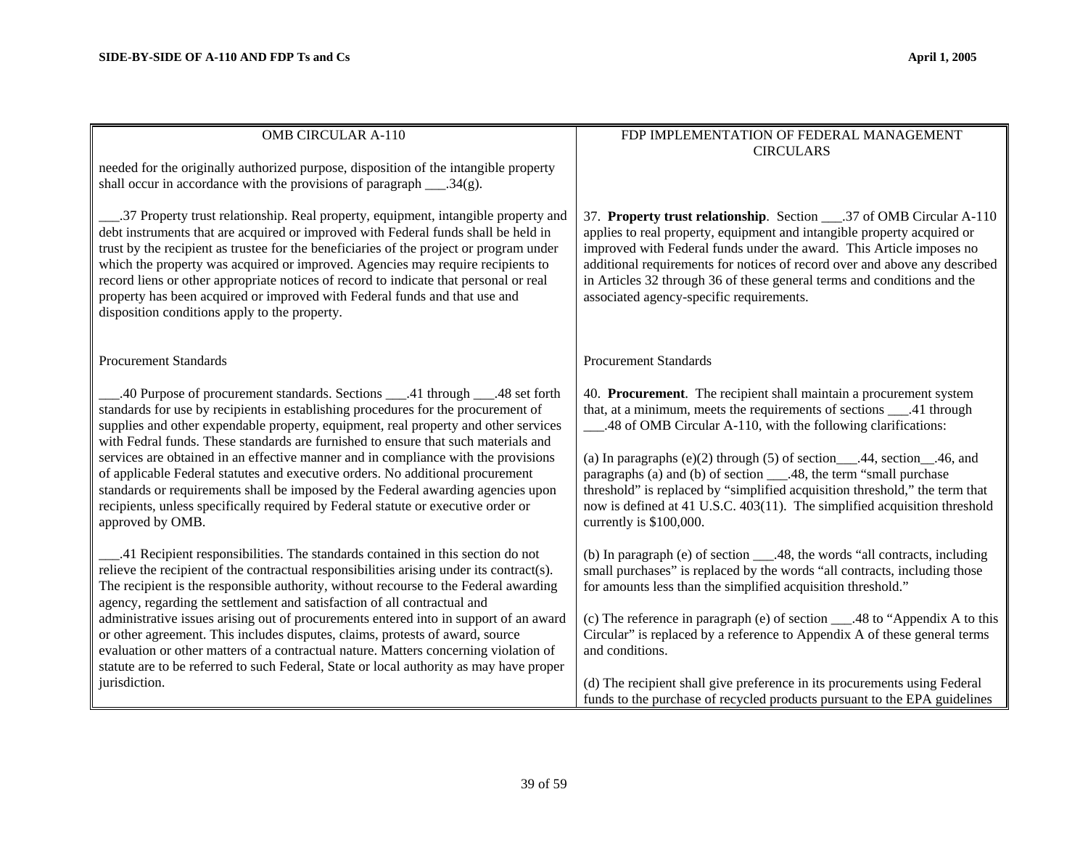| <b>OMB CIRCULAR A-110</b>                                                                                                                                                                                                                                                                                                                                                                                                                                                                                                                                                                                                                                                                                              | FDP IMPLEMENTATION OF FEDERAL MANAGEMENT<br><b>CIRCULARS</b>                                                                                                                                                                                                                                                                                                                                                                                                                                    |
|------------------------------------------------------------------------------------------------------------------------------------------------------------------------------------------------------------------------------------------------------------------------------------------------------------------------------------------------------------------------------------------------------------------------------------------------------------------------------------------------------------------------------------------------------------------------------------------------------------------------------------------------------------------------------------------------------------------------|-------------------------------------------------------------------------------------------------------------------------------------------------------------------------------------------------------------------------------------------------------------------------------------------------------------------------------------------------------------------------------------------------------------------------------------------------------------------------------------------------|
| needed for the originally authorized purpose, disposition of the intangible property<br>shall occur in accordance with the provisions of paragraph $\_\_$ . 34(g).                                                                                                                                                                                                                                                                                                                                                                                                                                                                                                                                                     |                                                                                                                                                                                                                                                                                                                                                                                                                                                                                                 |
| debt instruments that are acquired or improved with Federal funds shall be held in<br>trust by the recipient as trustee for the beneficiaries of the project or program under<br>which the property was acquired or improved. Agencies may require recipients to<br>record liens or other appropriate notices of record to indicate that personal or real<br>property has been acquired or improved with Federal funds and that use and<br>disposition conditions apply to the property.                                                                                                                                                                                                                               | 37. Property trust relationship. Section ____.37 of OMB Circular A-110<br>applies to real property, equipment and intangible property acquired or<br>improved with Federal funds under the award. This Article imposes no<br>additional requirements for notices of record over and above any described<br>in Articles 32 through 36 of these general terms and conditions and the<br>associated agency-specific requirements.                                                                  |
| <b>Procurement Standards</b>                                                                                                                                                                                                                                                                                                                                                                                                                                                                                                                                                                                                                                                                                           | <b>Procurement Standards</b>                                                                                                                                                                                                                                                                                                                                                                                                                                                                    |
| _.40 Purpose of procurement standards. Sections ___.41 through ___.48 set forth<br>standards for use by recipients in establishing procedures for the procurement of<br>supplies and other expendable property, equipment, real property and other services<br>with Fedral funds. These standards are furnished to ensure that such materials and<br>services are obtained in an effective manner and in compliance with the provisions<br>of applicable Federal statutes and executive orders. No additional procurement<br>standards or requirements shall be imposed by the Federal awarding agencies upon<br>recipients, unless specifically required by Federal statute or executive order or<br>approved by OMB. | 40. Procurement. The recipient shall maintain a procurement system<br>that, at a minimum, meets the requirements of sections ____.41 through<br>(a) In paragraphs $(e)(2)$ through $(5)$ of section_____.44, section____.46, and<br>paragraphs (a) and (b) of section _____.48, the term "small purchase<br>threshold" is replaced by "simplified acquisition threshold," the term that<br>now is defined at 41 U.S.C. 403(11). The simplified acquisition threshold<br>currently is \$100,000. |
| relieve the recipient of the contractual responsibilities arising under its contract(s).<br>The recipient is the responsible authority, without recourse to the Federal awarding<br>agency, regarding the settlement and satisfaction of all contractual and<br>administrative issues arising out of procurements entered into in support of an award<br>or other agreement. This includes disputes, claims, protests of award, source                                                                                                                                                                                                                                                                                 | (b) In paragraph (e) of section ____.48, the words "all contracts, including<br>small purchases" is replaced by the words "all contracts, including those<br>for amounts less than the simplified acquisition threshold."<br>(c) The reference in paragraph (e) of section _____.48 to "Appendix A to this<br>Circular" is replaced by a reference to Appendix A of these general terms                                                                                                         |
| evaluation or other matters of a contractual nature. Matters concerning violation of<br>statute are to be referred to such Federal, State or local authority as may have proper<br>jurisdiction.                                                                                                                                                                                                                                                                                                                                                                                                                                                                                                                       | and conditions.<br>(d) The recipient shall give preference in its procurements using Federal<br>funds to the purchase of recycled products pursuant to the EPA guidelines                                                                                                                                                                                                                                                                                                                       |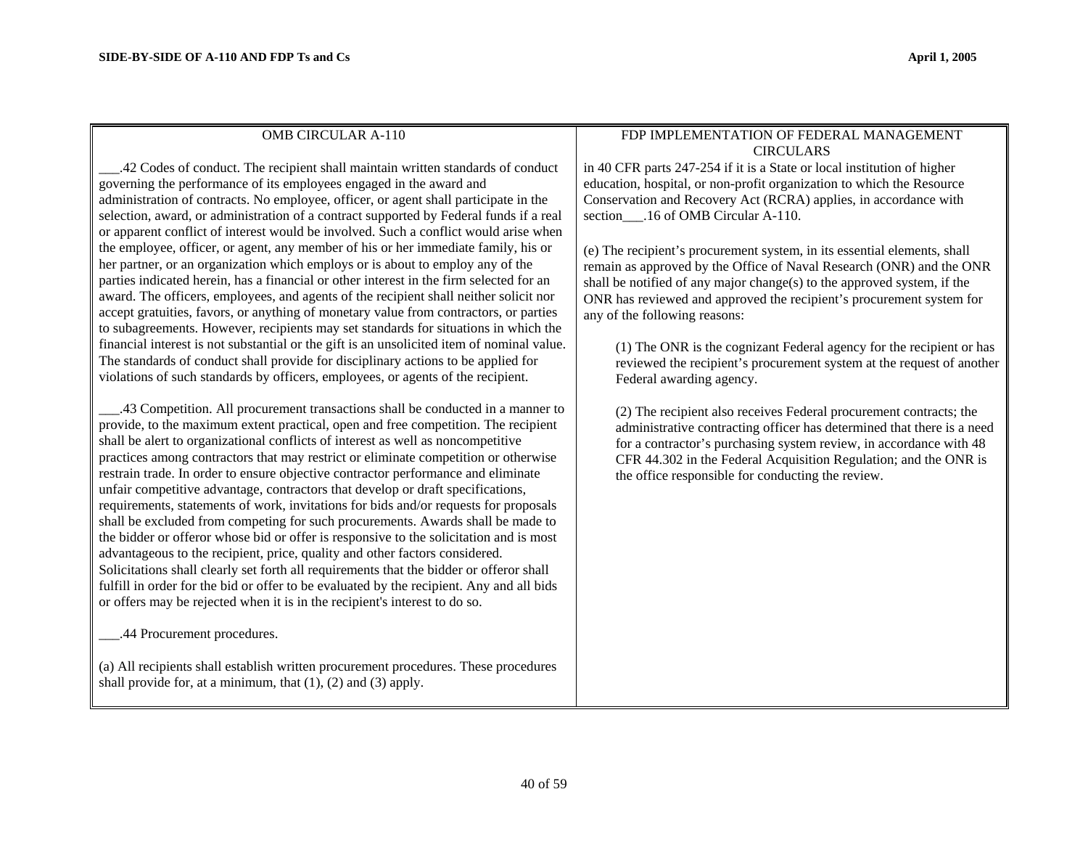| <b>OMB CIRCULAR A-110</b>                                                                                                                                                                                                                                                                                                                                                                                                                                                                                                                                                                                                                                                                                                                                                                                                                                                                                                                                                                                                                                                                                                                                                                                                                                                                                                                                                                                                                                                                                                                                                                                                                                                                                                                                                        | FDP IMPLEMENTATION OF FEDERAL MANAGEMENT                                                                                                                                                                                                                                                                                                                                                                                                                                                                                                                                                                                                                                                                                                                                                                                                                                                                                                                                                                                                                                                                                                              |
|----------------------------------------------------------------------------------------------------------------------------------------------------------------------------------------------------------------------------------------------------------------------------------------------------------------------------------------------------------------------------------------------------------------------------------------------------------------------------------------------------------------------------------------------------------------------------------------------------------------------------------------------------------------------------------------------------------------------------------------------------------------------------------------------------------------------------------------------------------------------------------------------------------------------------------------------------------------------------------------------------------------------------------------------------------------------------------------------------------------------------------------------------------------------------------------------------------------------------------------------------------------------------------------------------------------------------------------------------------------------------------------------------------------------------------------------------------------------------------------------------------------------------------------------------------------------------------------------------------------------------------------------------------------------------------------------------------------------------------------------------------------------------------|-------------------------------------------------------------------------------------------------------------------------------------------------------------------------------------------------------------------------------------------------------------------------------------------------------------------------------------------------------------------------------------------------------------------------------------------------------------------------------------------------------------------------------------------------------------------------------------------------------------------------------------------------------------------------------------------------------------------------------------------------------------------------------------------------------------------------------------------------------------------------------------------------------------------------------------------------------------------------------------------------------------------------------------------------------------------------------------------------------------------------------------------------------|
| .42 Codes of conduct. The recipient shall maintain written standards of conduct<br>governing the performance of its employees engaged in the award and<br>administration of contracts. No employee, officer, or agent shall participate in the<br>selection, award, or administration of a contract supported by Federal funds if a real<br>or apparent conflict of interest would be involved. Such a conflict would arise when<br>the employee, officer, or agent, any member of his or her immediate family, his or<br>her partner, or an organization which employs or is about to employ any of the<br>parties indicated herein, has a financial or other interest in the firm selected for an<br>award. The officers, employees, and agents of the recipient shall neither solicit nor<br>accept gratuities, favors, or anything of monetary value from contractors, or parties<br>to subagreements. However, recipients may set standards for situations in which the<br>financial interest is not substantial or the gift is an unsolicited item of nominal value.<br>The standards of conduct shall provide for disciplinary actions to be applied for<br>violations of such standards by officers, employees, or agents of the recipient.<br>_.43 Competition. All procurement transactions shall be conducted in a manner to<br>provide, to the maximum extent practical, open and free competition. The recipient<br>shall be alert to organizational conflicts of interest as well as noncompetitive<br>practices among contractors that may restrict or eliminate competition or otherwise<br>restrain trade. In order to ensure objective contractor performance and eliminate<br>unfair competitive advantage, contractors that develop or draft specifications, | <b>CIRCULARS</b><br>in 40 CFR parts 247-254 if it is a State or local institution of higher<br>education, hospital, or non-profit organization to which the Resource<br>Conservation and Recovery Act (RCRA) applies, in accordance with<br>section____.16 of OMB Circular A-110.<br>(e) The recipient's procurement system, in its essential elements, shall<br>remain as approved by the Office of Naval Research (ONR) and the ONR<br>shall be notified of any major change(s) to the approved system, if the<br>ONR has reviewed and approved the recipient's procurement system for<br>any of the following reasons:<br>(1) The ONR is the cognizant Federal agency for the recipient or has<br>reviewed the recipient's procurement system at the request of another<br>Federal awarding agency.<br>(2) The recipient also receives Federal procurement contracts; the<br>administrative contracting officer has determined that there is a need<br>for a contractor's purchasing system review, in accordance with 48<br>CFR 44.302 in the Federal Acquisition Regulation; and the ONR is<br>the office responsible for conducting the review. |
| requirements, statements of work, invitations for bids and/or requests for proposals<br>shall be excluded from competing for such procurements. Awards shall be made to                                                                                                                                                                                                                                                                                                                                                                                                                                                                                                                                                                                                                                                                                                                                                                                                                                                                                                                                                                                                                                                                                                                                                                                                                                                                                                                                                                                                                                                                                                                                                                                                          |                                                                                                                                                                                                                                                                                                                                                                                                                                                                                                                                                                                                                                                                                                                                                                                                                                                                                                                                                                                                                                                                                                                                                       |
| the bidder or offeror whose bid or offer is responsive to the solicitation and is most<br>advantageous to the recipient, price, quality and other factors considered.<br>Solicitations shall clearly set forth all requirements that the bidder or offeror shall                                                                                                                                                                                                                                                                                                                                                                                                                                                                                                                                                                                                                                                                                                                                                                                                                                                                                                                                                                                                                                                                                                                                                                                                                                                                                                                                                                                                                                                                                                                 |                                                                                                                                                                                                                                                                                                                                                                                                                                                                                                                                                                                                                                                                                                                                                                                                                                                                                                                                                                                                                                                                                                                                                       |
| fulfill in order for the bid or offer to be evaluated by the recipient. Any and all bids                                                                                                                                                                                                                                                                                                                                                                                                                                                                                                                                                                                                                                                                                                                                                                                                                                                                                                                                                                                                                                                                                                                                                                                                                                                                                                                                                                                                                                                                                                                                                                                                                                                                                         |                                                                                                                                                                                                                                                                                                                                                                                                                                                                                                                                                                                                                                                                                                                                                                                                                                                                                                                                                                                                                                                                                                                                                       |
| or offers may be rejected when it is in the recipient's interest to do so.                                                                                                                                                                                                                                                                                                                                                                                                                                                                                                                                                                                                                                                                                                                                                                                                                                                                                                                                                                                                                                                                                                                                                                                                                                                                                                                                                                                                                                                                                                                                                                                                                                                                                                       |                                                                                                                                                                                                                                                                                                                                                                                                                                                                                                                                                                                                                                                                                                                                                                                                                                                                                                                                                                                                                                                                                                                                                       |
|                                                                                                                                                                                                                                                                                                                                                                                                                                                                                                                                                                                                                                                                                                                                                                                                                                                                                                                                                                                                                                                                                                                                                                                                                                                                                                                                                                                                                                                                                                                                                                                                                                                                                                                                                                                  |                                                                                                                                                                                                                                                                                                                                                                                                                                                                                                                                                                                                                                                                                                                                                                                                                                                                                                                                                                                                                                                                                                                                                       |
| (a) All recipients shall establish written procurement procedures. These procedures<br>shall provide for, at a minimum, that $(1)$ , $(2)$ and $(3)$ apply.                                                                                                                                                                                                                                                                                                                                                                                                                                                                                                                                                                                                                                                                                                                                                                                                                                                                                                                                                                                                                                                                                                                                                                                                                                                                                                                                                                                                                                                                                                                                                                                                                      |                                                                                                                                                                                                                                                                                                                                                                                                                                                                                                                                                                                                                                                                                                                                                                                                                                                                                                                                                                                                                                                                                                                                                       |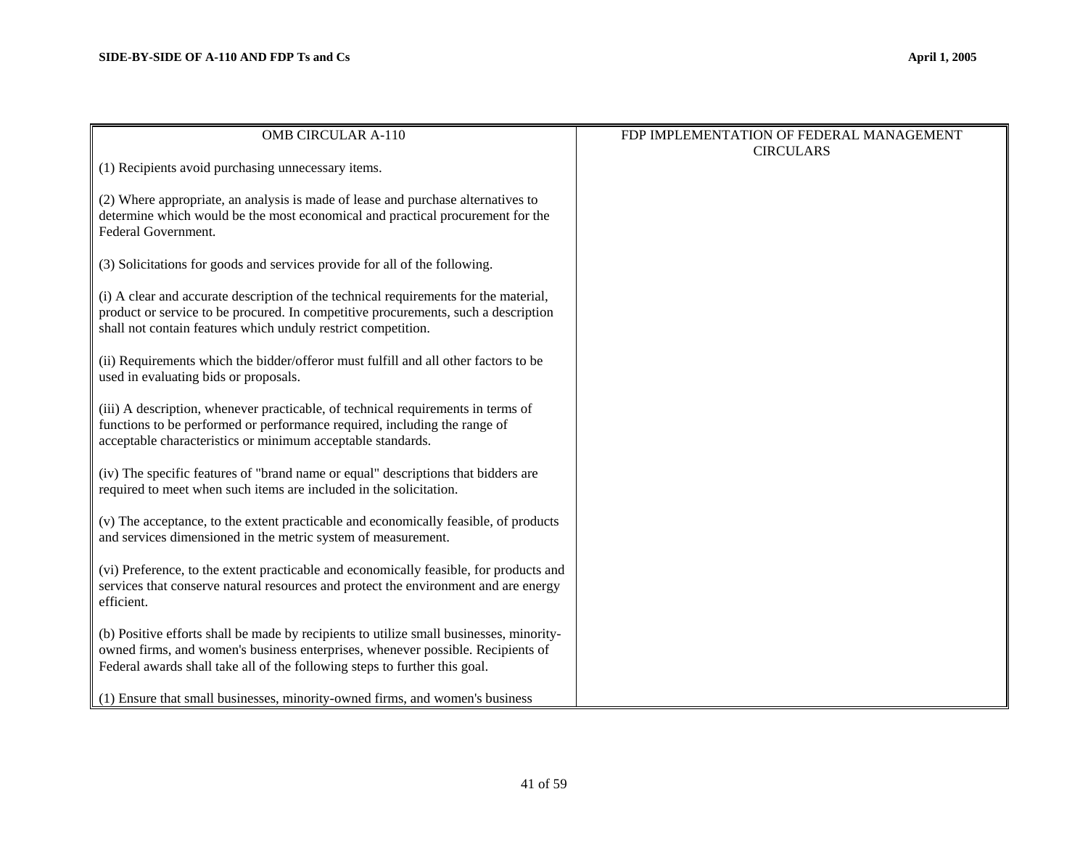| <b>OMB CIRCULAR A-110</b>                                                                                                                                                                                                                                | FDP IMPLEMENTATION OF FEDERAL MANAGEMENT |
|----------------------------------------------------------------------------------------------------------------------------------------------------------------------------------------------------------------------------------------------------------|------------------------------------------|
|                                                                                                                                                                                                                                                          | <b>CIRCULARS</b>                         |
| (1) Recipients avoid purchasing unnecessary items.                                                                                                                                                                                                       |                                          |
| (2) Where appropriate, an analysis is made of lease and purchase alternatives to<br>determine which would be the most economical and practical procurement for the<br>Federal Government.                                                                |                                          |
| (3) Solicitations for goods and services provide for all of the following.                                                                                                                                                                               |                                          |
| (i) A clear and accurate description of the technical requirements for the material,<br>product or service to be procured. In competitive procurements, such a description<br>shall not contain features which unduly restrict competition.              |                                          |
| (ii) Requirements which the bidder/offeror must fulfill and all other factors to be<br>used in evaluating bids or proposals.                                                                                                                             |                                          |
| (iii) A description, whenever practicable, of technical requirements in terms of<br>functions to be performed or performance required, including the range of<br>acceptable characteristics or minimum acceptable standards.                             |                                          |
| (iv) The specific features of "brand name or equal" descriptions that bidders are<br>required to meet when such items are included in the solicitation.                                                                                                  |                                          |
| (v) The acceptance, to the extent practicable and economically feasible, of products<br>and services dimensioned in the metric system of measurement.                                                                                                    |                                          |
| (vi) Preference, to the extent practicable and economically feasible, for products and<br>services that conserve natural resources and protect the environment and are energy<br>efficient.                                                              |                                          |
| (b) Positive efforts shall be made by recipients to utilize small businesses, minority-<br>owned firms, and women's business enterprises, whenever possible. Recipients of<br>Federal awards shall take all of the following steps to further this goal. |                                          |
| (1) Ensure that small businesses, minority-owned firms, and women's business                                                                                                                                                                             |                                          |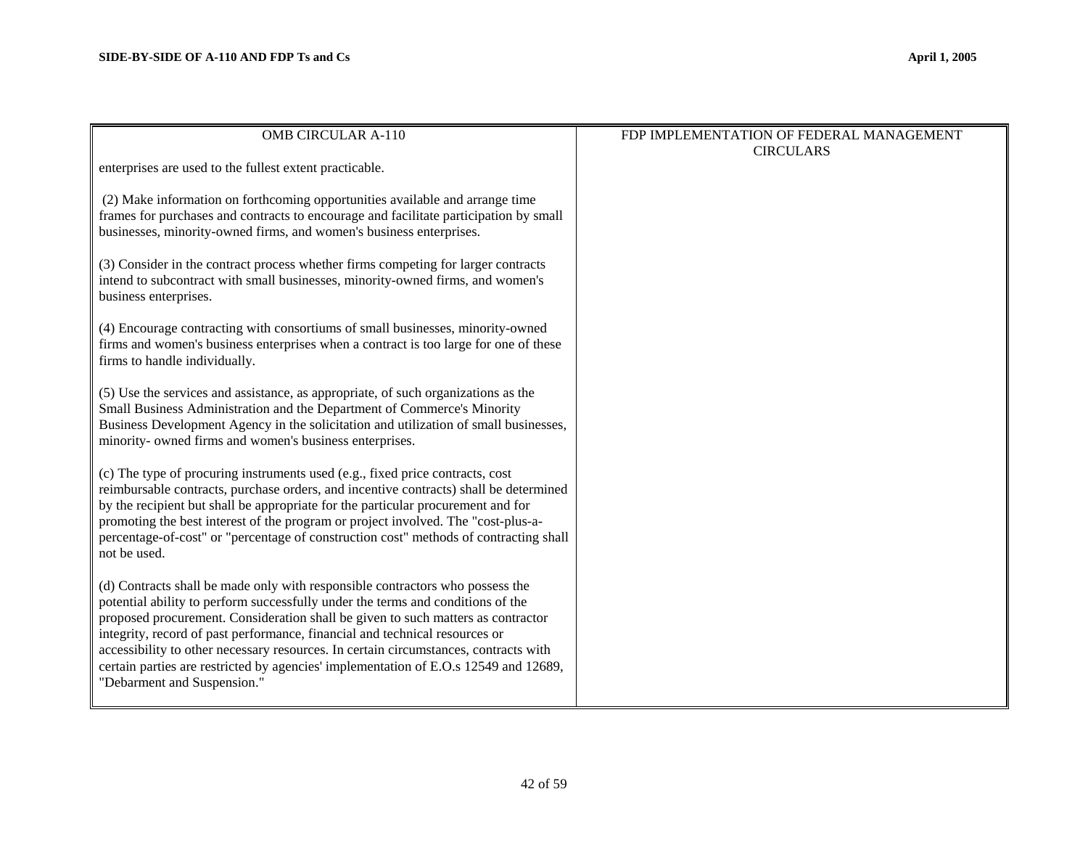| OMB CIRCULAR A-110                                                                                                                                                                                                                                                                                                                                                                                                                                                                                                                                 | FDP IMPLEMENTATION OF FEDERAL MANAGEMENT |
|----------------------------------------------------------------------------------------------------------------------------------------------------------------------------------------------------------------------------------------------------------------------------------------------------------------------------------------------------------------------------------------------------------------------------------------------------------------------------------------------------------------------------------------------------|------------------------------------------|
|                                                                                                                                                                                                                                                                                                                                                                                                                                                                                                                                                    | <b>CIRCULARS</b>                         |
| enterprises are used to the fullest extent practicable.                                                                                                                                                                                                                                                                                                                                                                                                                                                                                            |                                          |
| (2) Make information on forthcoming opportunities available and arrange time<br>frames for purchases and contracts to encourage and facilitate participation by small<br>businesses, minority-owned firms, and women's business enterprises.                                                                                                                                                                                                                                                                                                       |                                          |
| (3) Consider in the contract process whether firms competing for larger contracts<br>intend to subcontract with small businesses, minority-owned firms, and women's<br>business enterprises.                                                                                                                                                                                                                                                                                                                                                       |                                          |
| (4) Encourage contracting with consortiums of small businesses, minority-owned<br>firms and women's business enterprises when a contract is too large for one of these<br>firms to handle individually.                                                                                                                                                                                                                                                                                                                                            |                                          |
| (5) Use the services and assistance, as appropriate, of such organizations as the<br>Small Business Administration and the Department of Commerce's Minority<br>Business Development Agency in the solicitation and utilization of small businesses,<br>minority- owned firms and women's business enterprises.                                                                                                                                                                                                                                    |                                          |
| (c) The type of procuring instruments used (e.g., fixed price contracts, cost<br>reimbursable contracts, purchase orders, and incentive contracts) shall be determined<br>by the recipient but shall be appropriate for the particular procurement and for<br>promoting the best interest of the program or project involved. The "cost-plus-a-<br>percentage-of-cost" or "percentage of construction cost" methods of contracting shall<br>not be used.                                                                                           |                                          |
| (d) Contracts shall be made only with responsible contractors who possess the<br>potential ability to perform successfully under the terms and conditions of the<br>proposed procurement. Consideration shall be given to such matters as contractor<br>integrity, record of past performance, financial and technical resources or<br>accessibility to other necessary resources. In certain circumstances, contracts with<br>certain parties are restricted by agencies' implementation of E.O.s 12549 and 12689,<br>"Debarment and Suspension." |                                          |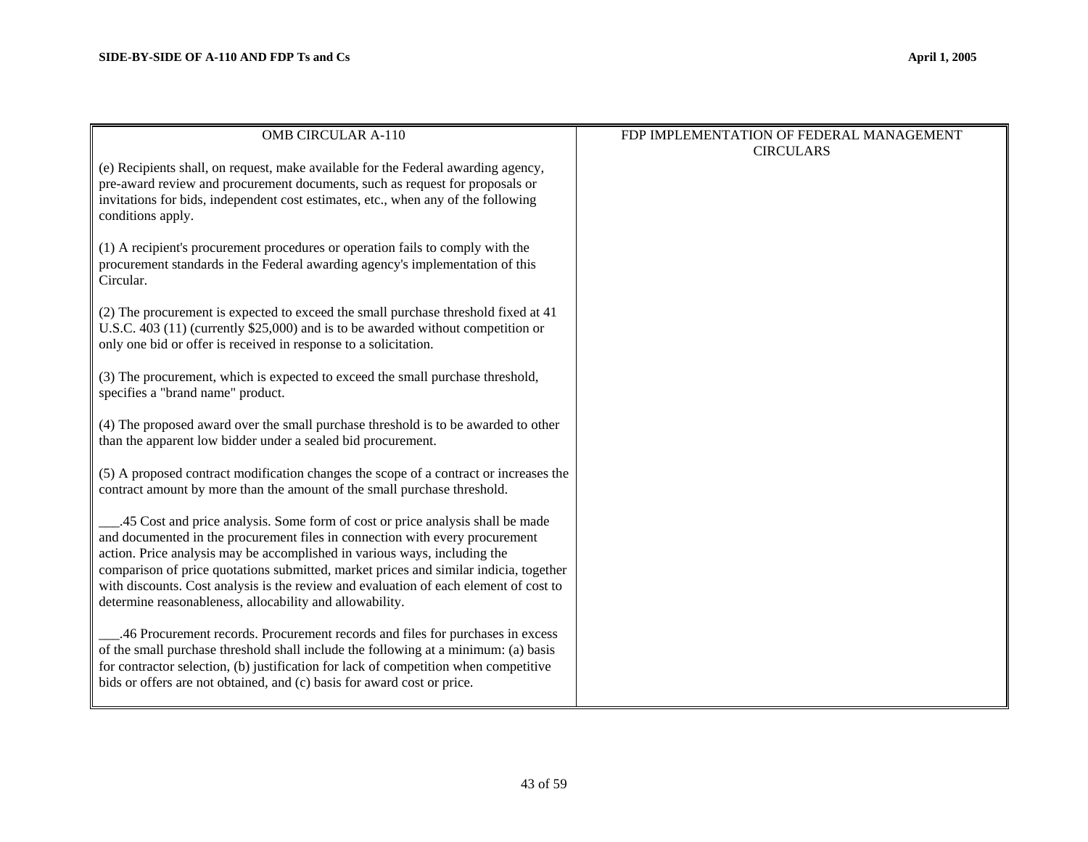| <b>OMB CIRCULAR A-110</b>                                                             | FDP IMPLEMENTATION OF FEDERAL MANAGEMENT |
|---------------------------------------------------------------------------------------|------------------------------------------|
|                                                                                       |                                          |
|                                                                                       | <b>CIRCULARS</b>                         |
| (e) Recipients shall, on request, make available for the Federal awarding agency,     |                                          |
| pre-award review and procurement documents, such as request for proposals or          |                                          |
| invitations for bids, independent cost estimates, etc., when any of the following     |                                          |
| conditions apply.                                                                     |                                          |
|                                                                                       |                                          |
| (1) A recipient's procurement procedures or operation fails to comply with the        |                                          |
| procurement standards in the Federal awarding agency's implementation of this         |                                          |
|                                                                                       |                                          |
| Circular.                                                                             |                                          |
|                                                                                       |                                          |
| (2) The procurement is expected to exceed the small purchase threshold fixed at 41    |                                          |
| U.S.C. 403 (11) (currently \$25,000) and is to be awarded without competition or      |                                          |
| only one bid or offer is received in response to a solicitation.                      |                                          |
|                                                                                       |                                          |
| (3) The procurement, which is expected to exceed the small purchase threshold,        |                                          |
| specifies a "brand name" product.                                                     |                                          |
|                                                                                       |                                          |
| (4) The proposed award over the small purchase threshold is to be awarded to other    |                                          |
| than the apparent low bidder under a sealed bid procurement.                          |                                          |
|                                                                                       |                                          |
| (5) A proposed contract modification changes the scope of a contract or increases the |                                          |
| contract amount by more than the amount of the small purchase threshold.              |                                          |
|                                                                                       |                                          |
| .45 Cost and price analysis. Some form of cost or price analysis shall be made        |                                          |
| and documented in the procurement files in connection with every procurement          |                                          |
|                                                                                       |                                          |
| action. Price analysis may be accomplished in various ways, including the             |                                          |
| comparison of price quotations submitted, market prices and similar indicia, together |                                          |
| with discounts. Cost analysis is the review and evaluation of each element of cost to |                                          |
| determine reasonableness, allocability and allowability.                              |                                          |
|                                                                                       |                                          |
| .46 Procurement records. Procurement records and files for purchases in excess        |                                          |
| of the small purchase threshold shall include the following at a minimum: (a) basis   |                                          |
| for contractor selection, (b) justification for lack of competition when competitive  |                                          |
| bids or offers are not obtained, and (c) basis for award cost or price.               |                                          |
|                                                                                       |                                          |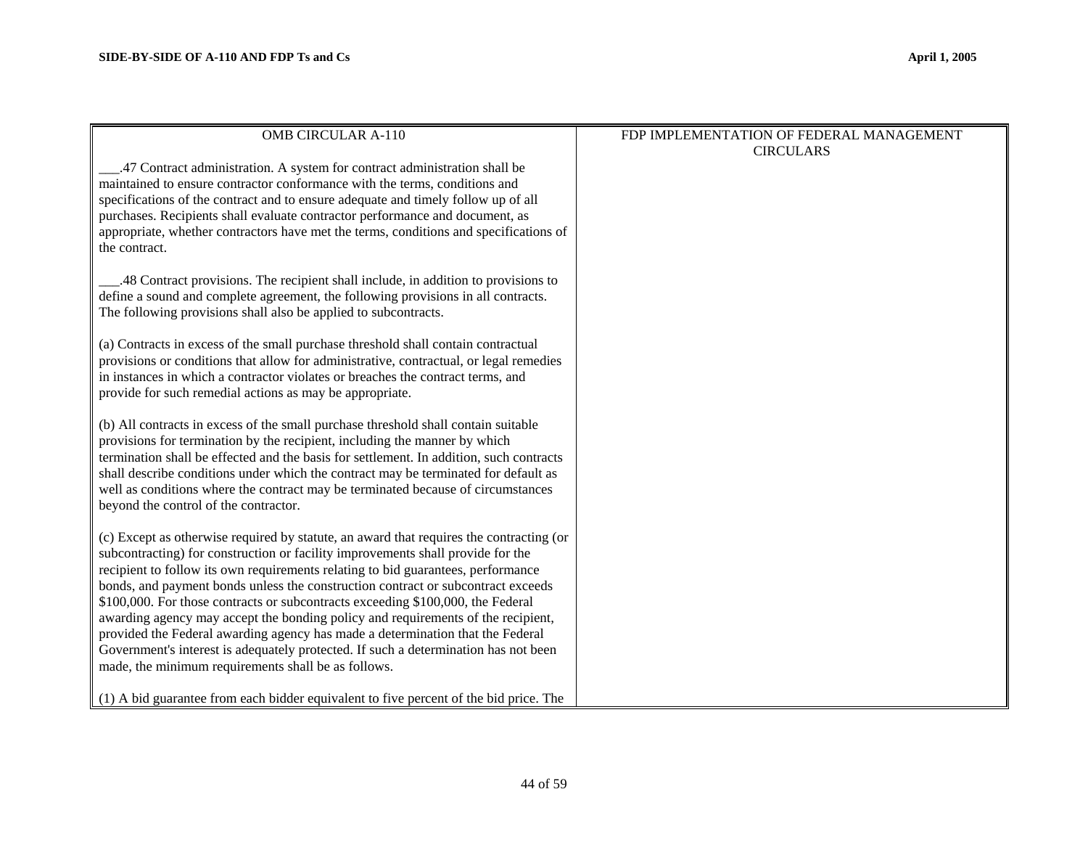| <b>OMB CIRCULAR A-110</b>                                                                                                                                                                                                                                                                                                                                                                                                                                                                                                                                                                                                                                                                                                                                 | FDP IMPLEMENTATION OF FEDERAL MANAGEMENT |
|-----------------------------------------------------------------------------------------------------------------------------------------------------------------------------------------------------------------------------------------------------------------------------------------------------------------------------------------------------------------------------------------------------------------------------------------------------------------------------------------------------------------------------------------------------------------------------------------------------------------------------------------------------------------------------------------------------------------------------------------------------------|------------------------------------------|
|                                                                                                                                                                                                                                                                                                                                                                                                                                                                                                                                                                                                                                                                                                                                                           | <b>CIRCULARS</b>                         |
| .47 Contract administration. A system for contract administration shall be<br>maintained to ensure contractor conformance with the terms, conditions and<br>specifications of the contract and to ensure adequate and timely follow up of all<br>purchases. Recipients shall evaluate contractor performance and document, as<br>appropriate, whether contractors have met the terms, conditions and specifications of<br>the contract.                                                                                                                                                                                                                                                                                                                   |                                          |
| .48 Contract provisions. The recipient shall include, in addition to provisions to<br>define a sound and complete agreement, the following provisions in all contracts.<br>The following provisions shall also be applied to subcontracts.                                                                                                                                                                                                                                                                                                                                                                                                                                                                                                                |                                          |
| (a) Contracts in excess of the small purchase threshold shall contain contractual<br>provisions or conditions that allow for administrative, contractual, or legal remedies<br>in instances in which a contractor violates or breaches the contract terms, and<br>provide for such remedial actions as may be appropriate.                                                                                                                                                                                                                                                                                                                                                                                                                                |                                          |
| (b) All contracts in excess of the small purchase threshold shall contain suitable<br>provisions for termination by the recipient, including the manner by which<br>termination shall be effected and the basis for settlement. In addition, such contracts<br>shall describe conditions under which the contract may be terminated for default as<br>well as conditions where the contract may be terminated because of circumstances<br>beyond the control of the contractor.                                                                                                                                                                                                                                                                           |                                          |
| (c) Except as otherwise required by statute, an award that requires the contracting (or<br>subcontracting) for construction or facility improvements shall provide for the<br>recipient to follow its own requirements relating to bid guarantees, performance<br>bonds, and payment bonds unless the construction contract or subcontract exceeds<br>\$100,000. For those contracts or subcontracts exceeding \$100,000, the Federal<br>awarding agency may accept the bonding policy and requirements of the recipient,<br>provided the Federal awarding agency has made a determination that the Federal<br>Government's interest is adequately protected. If such a determination has not been<br>made, the minimum requirements shall be as follows. |                                          |
| (1) A bid guarantee from each bidder equivalent to five percent of the bid price. The                                                                                                                                                                                                                                                                                                                                                                                                                                                                                                                                                                                                                                                                     |                                          |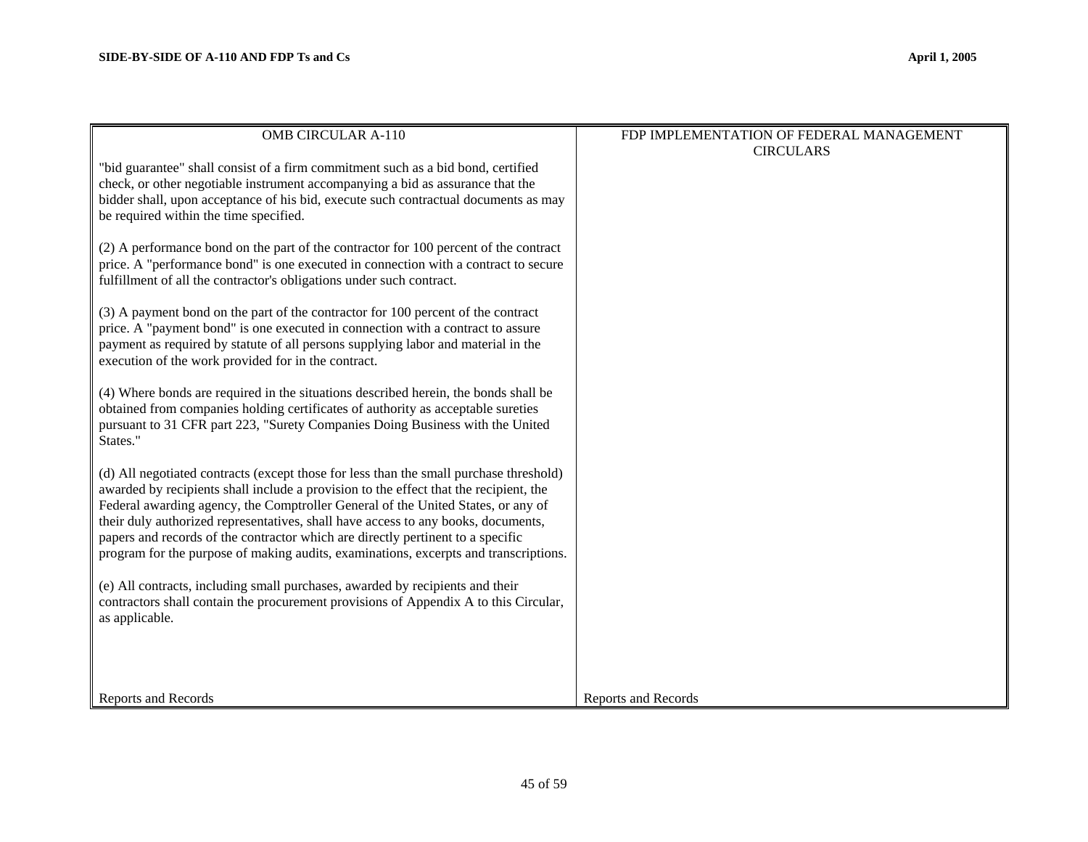| <b>OMB CIRCULAR A-110</b>                                                                                                                                                                                                                                                                                                                                                                                                                                                                                                           | FDP IMPLEMENTATION OF FEDERAL MANAGEMENT |
|-------------------------------------------------------------------------------------------------------------------------------------------------------------------------------------------------------------------------------------------------------------------------------------------------------------------------------------------------------------------------------------------------------------------------------------------------------------------------------------------------------------------------------------|------------------------------------------|
|                                                                                                                                                                                                                                                                                                                                                                                                                                                                                                                                     | <b>CIRCULARS</b>                         |
| "bid guarantee" shall consist of a firm commitment such as a bid bond, certified<br>check, or other negotiable instrument accompanying a bid as assurance that the<br>bidder shall, upon acceptance of his bid, execute such contractual documents as may<br>be required within the time specified.                                                                                                                                                                                                                                 |                                          |
| (2) A performance bond on the part of the contractor for 100 percent of the contract<br>price. A "performance bond" is one executed in connection with a contract to secure<br>fulfillment of all the contractor's obligations under such contract.                                                                                                                                                                                                                                                                                 |                                          |
| (3) A payment bond on the part of the contractor for 100 percent of the contract<br>price. A "payment bond" is one executed in connection with a contract to assure<br>payment as required by statute of all persons supplying labor and material in the<br>execution of the work provided for in the contract.                                                                                                                                                                                                                     |                                          |
| (4) Where bonds are required in the situations described herein, the bonds shall be<br>obtained from companies holding certificates of authority as acceptable sureties<br>pursuant to 31 CFR part 223, "Surety Companies Doing Business with the United<br>States."                                                                                                                                                                                                                                                                |                                          |
| (d) All negotiated contracts (except those for less than the small purchase threshold)<br>awarded by recipients shall include a provision to the effect that the recipient, the<br>Federal awarding agency, the Comptroller General of the United States, or any of<br>their duly authorized representatives, shall have access to any books, documents,<br>papers and records of the contractor which are directly pertinent to a specific<br>program for the purpose of making audits, examinations, excerpts and transcriptions. |                                          |
| (e) All contracts, including small purchases, awarded by recipients and their<br>contractors shall contain the procurement provisions of Appendix A to this Circular,                                                                                                                                                                                                                                                                                                                                                               |                                          |
| as applicable.                                                                                                                                                                                                                                                                                                                                                                                                                                                                                                                      |                                          |
| Reports and Records                                                                                                                                                                                                                                                                                                                                                                                                                                                                                                                 | <b>Reports and Records</b>               |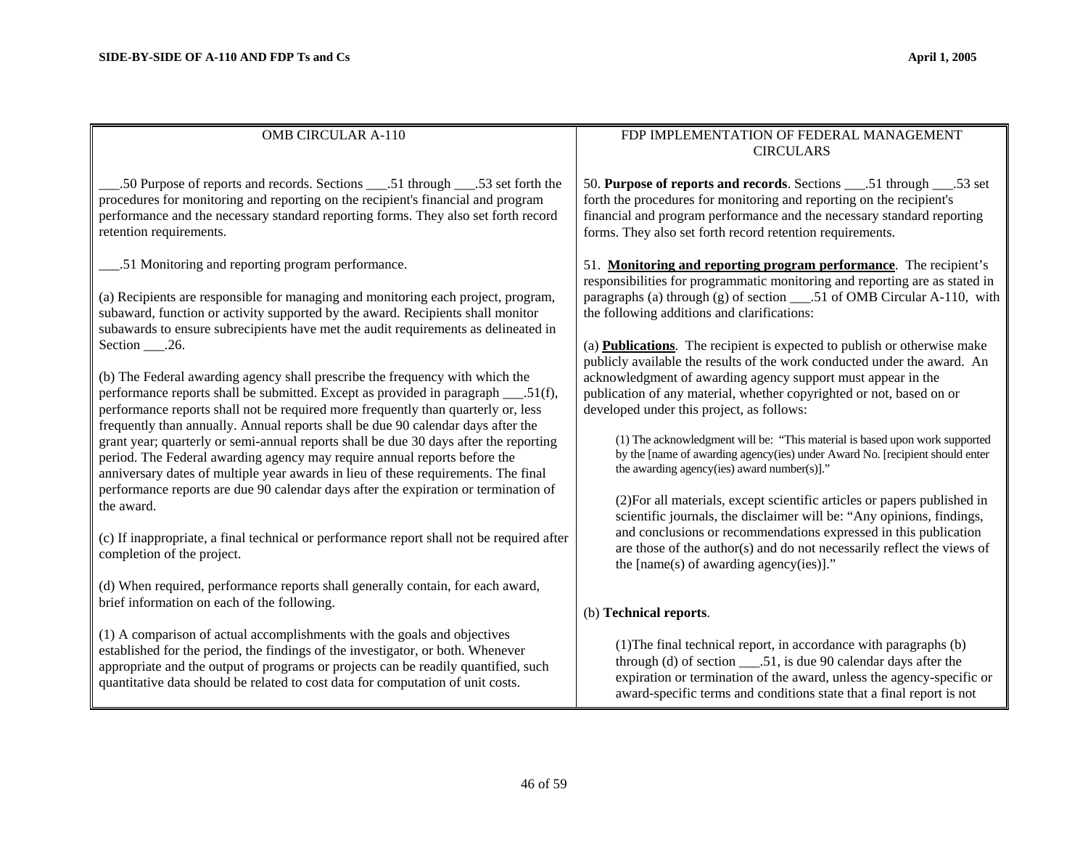| <b>OMB CIRCULAR A-110</b>                                                                                                                                                                                                                                                                                                                                         | FDP IMPLEMENTATION OF FEDERAL MANAGEMENT<br><b>CIRCULARS</b>                                                                                                                                                                                                                                                                                      |
|-------------------------------------------------------------------------------------------------------------------------------------------------------------------------------------------------------------------------------------------------------------------------------------------------------------------------------------------------------------------|---------------------------------------------------------------------------------------------------------------------------------------------------------------------------------------------------------------------------------------------------------------------------------------------------------------------------------------------------|
| _.50 Purpose of reports and records. Sections ____.51 through ____.53 set forth the<br>procedures for monitoring and reporting on the recipient's financial and program<br>performance and the necessary standard reporting forms. They also set forth record<br>retention requirements.                                                                          | 50. Purpose of reports and records. Sections ____.51 through ____.53 set<br>forth the procedures for monitoring and reporting on the recipient's<br>financial and program performance and the necessary standard reporting<br>forms. They also set forth record retention requirements.                                                           |
| .51 Monitoring and reporting program performance.<br>(a) Recipients are responsible for managing and monitoring each project, program,<br>subaward, function or activity supported by the award. Recipients shall monitor<br>subawards to ensure subrecipients have met the audit requirements as delineated in                                                   | 51. Monitoring and reporting program performance. The recipient's<br>responsibilities for programmatic monitoring and reporting are as stated in<br>paragraphs (a) through (g) of section ______.51 of OMB Circular A-110, with<br>the following additions and clarifications:                                                                    |
| Section _____.26.<br>(b) The Federal awarding agency shall prescribe the frequency with which the<br>performance reports shall be submitted. Except as provided in paragraph ____.51(f),<br>performance reports shall not be required more frequently than quarterly or, less<br>frequently than annually. Annual reports shall be due 90 calendar days after the | (a) <b>Publications</b> . The recipient is expected to publish or otherwise make<br>publicly available the results of the work conducted under the award. An<br>acknowledgment of awarding agency support must appear in the<br>publication of any material, whether copyrighted or not, based on or<br>developed under this project, as follows: |
| grant year; quarterly or semi-annual reports shall be due 30 days after the reporting<br>period. The Federal awarding agency may require annual reports before the<br>anniversary dates of multiple year awards in lieu of these requirements. The final<br>performance reports are due 90 calendar days after the expiration or termination of                   | (1) The acknowledgment will be: "This material is based upon work supported<br>by the [name of awarding agency(ies) under Award No. [recipient should enter<br>the awarding agency(ies) award number(s)]."                                                                                                                                        |
| the award.<br>(c) If inappropriate, a final technical or performance report shall not be required after<br>completion of the project.                                                                                                                                                                                                                             | (2) For all materials, except scientific articles or papers published in<br>scientific journals, the disclaimer will be: "Any opinions, findings,<br>and conclusions or recommendations expressed in this publication<br>are those of the author(s) and do not necessarily reflect the views of<br>the $[name(s)$ of awarding agency(ies)]."      |
| (d) When required, performance reports shall generally contain, for each award,<br>brief information on each of the following.                                                                                                                                                                                                                                    | (b) Technical reports.                                                                                                                                                                                                                                                                                                                            |
| (1) A comparison of actual accomplishments with the goals and objectives<br>established for the period, the findings of the investigator, or both. Whenever<br>appropriate and the output of programs or projects can be readily quantified, such<br>quantitative data should be related to cost data for computation of unit costs.                              | (1) The final technical report, in accordance with paragraphs (b)<br>through (d) of section ____.51, is due 90 calendar days after the<br>expiration or termination of the award, unless the agency-specific or<br>award-specific terms and conditions state that a final report is not                                                           |
|                                                                                                                                                                                                                                                                                                                                                                   |                                                                                                                                                                                                                                                                                                                                                   |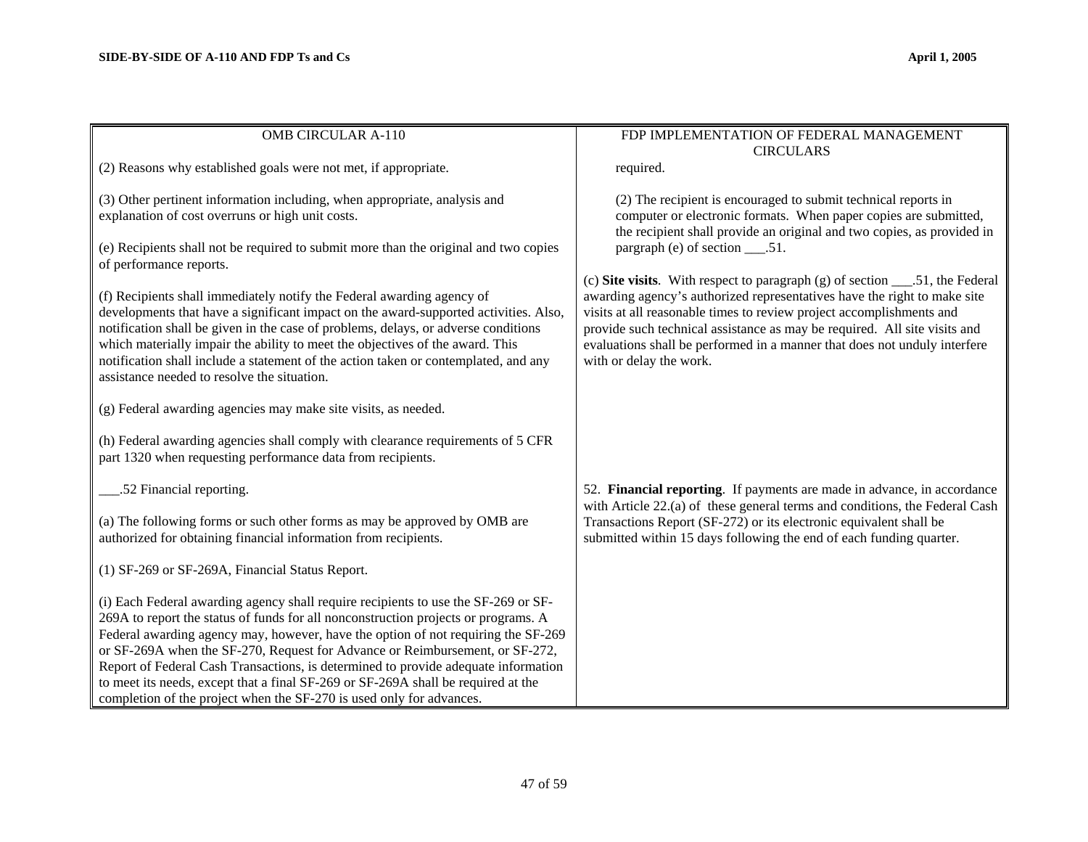| <b>OMB CIRCULAR A-110</b>                                                                                                                                                                                                                                                                                                                                                                                                                                                                                                                                                                                                                                                                                                       | FDP IMPLEMENTATION OF FEDERAL MANAGEMENT                                                                                                                                                                                                                                                                                                                                                                                                                                                                                                                                                                                                                                         |
|---------------------------------------------------------------------------------------------------------------------------------------------------------------------------------------------------------------------------------------------------------------------------------------------------------------------------------------------------------------------------------------------------------------------------------------------------------------------------------------------------------------------------------------------------------------------------------------------------------------------------------------------------------------------------------------------------------------------------------|----------------------------------------------------------------------------------------------------------------------------------------------------------------------------------------------------------------------------------------------------------------------------------------------------------------------------------------------------------------------------------------------------------------------------------------------------------------------------------------------------------------------------------------------------------------------------------------------------------------------------------------------------------------------------------|
|                                                                                                                                                                                                                                                                                                                                                                                                                                                                                                                                                                                                                                                                                                                                 | <b>CIRCULARS</b>                                                                                                                                                                                                                                                                                                                                                                                                                                                                                                                                                                                                                                                                 |
| (2) Reasons why established goals were not met, if appropriate.                                                                                                                                                                                                                                                                                                                                                                                                                                                                                                                                                                                                                                                                 | required.                                                                                                                                                                                                                                                                                                                                                                                                                                                                                                                                                                                                                                                                        |
| (3) Other pertinent information including, when appropriate, analysis and<br>explanation of cost overruns or high unit costs.<br>(e) Recipients shall not be required to submit more than the original and two copies<br>of performance reports.<br>(f) Recipients shall immediately notify the Federal awarding agency of<br>developments that have a significant impact on the award-supported activities. Also,<br>notification shall be given in the case of problems, delays, or adverse conditions<br>which materially impair the ability to meet the objectives of the award. This<br>notification shall include a statement of the action taken or contemplated, and any<br>assistance needed to resolve the situation. | (2) The recipient is encouraged to submit technical reports in<br>computer or electronic formats. When paper copies are submitted,<br>the recipient shall provide an original and two copies, as provided in<br>pargraph (e) of section _____.51.<br>(c) Site visits. With respect to paragraph $(g)$ of section $\_\_51$ , the Federal<br>awarding agency's authorized representatives have the right to make site<br>visits at all reasonable times to review project accomplishments and<br>provide such technical assistance as may be required. All site visits and<br>evaluations shall be performed in a manner that does not unduly interfere<br>with or delay the work. |
| (g) Federal awarding agencies may make site visits, as needed.                                                                                                                                                                                                                                                                                                                                                                                                                                                                                                                                                                                                                                                                  |                                                                                                                                                                                                                                                                                                                                                                                                                                                                                                                                                                                                                                                                                  |
| (h) Federal awarding agencies shall comply with clearance requirements of 5 CFR<br>part 1320 when requesting performance data from recipients.                                                                                                                                                                                                                                                                                                                                                                                                                                                                                                                                                                                  |                                                                                                                                                                                                                                                                                                                                                                                                                                                                                                                                                                                                                                                                                  |
| .52 Financial reporting.                                                                                                                                                                                                                                                                                                                                                                                                                                                                                                                                                                                                                                                                                                        | 52. Financial reporting. If payments are made in advance, in accordance                                                                                                                                                                                                                                                                                                                                                                                                                                                                                                                                                                                                          |
| (a) The following forms or such other forms as may be approved by OMB are<br>authorized for obtaining financial information from recipients.                                                                                                                                                                                                                                                                                                                                                                                                                                                                                                                                                                                    | with Article 22.(a) of these general terms and conditions, the Federal Cash<br>Transactions Report (SF-272) or its electronic equivalent shall be<br>submitted within 15 days following the end of each funding quarter.                                                                                                                                                                                                                                                                                                                                                                                                                                                         |
| (1) SF-269 or SF-269A, Financial Status Report.                                                                                                                                                                                                                                                                                                                                                                                                                                                                                                                                                                                                                                                                                 |                                                                                                                                                                                                                                                                                                                                                                                                                                                                                                                                                                                                                                                                                  |
| (i) Each Federal awarding agency shall require recipients to use the SF-269 or SF-<br>269A to report the status of funds for all nonconstruction projects or programs. A<br>Federal awarding agency may, however, have the option of not requiring the SF-269<br>or SF-269A when the SF-270, Request for Advance or Reimbursement, or SF-272,<br>Report of Federal Cash Transactions, is determined to provide adequate information<br>to meet its needs, except that a final SF-269 or SF-269A shall be required at the<br>completion of the project when the SF-270 is used only for advances.                                                                                                                                |                                                                                                                                                                                                                                                                                                                                                                                                                                                                                                                                                                                                                                                                                  |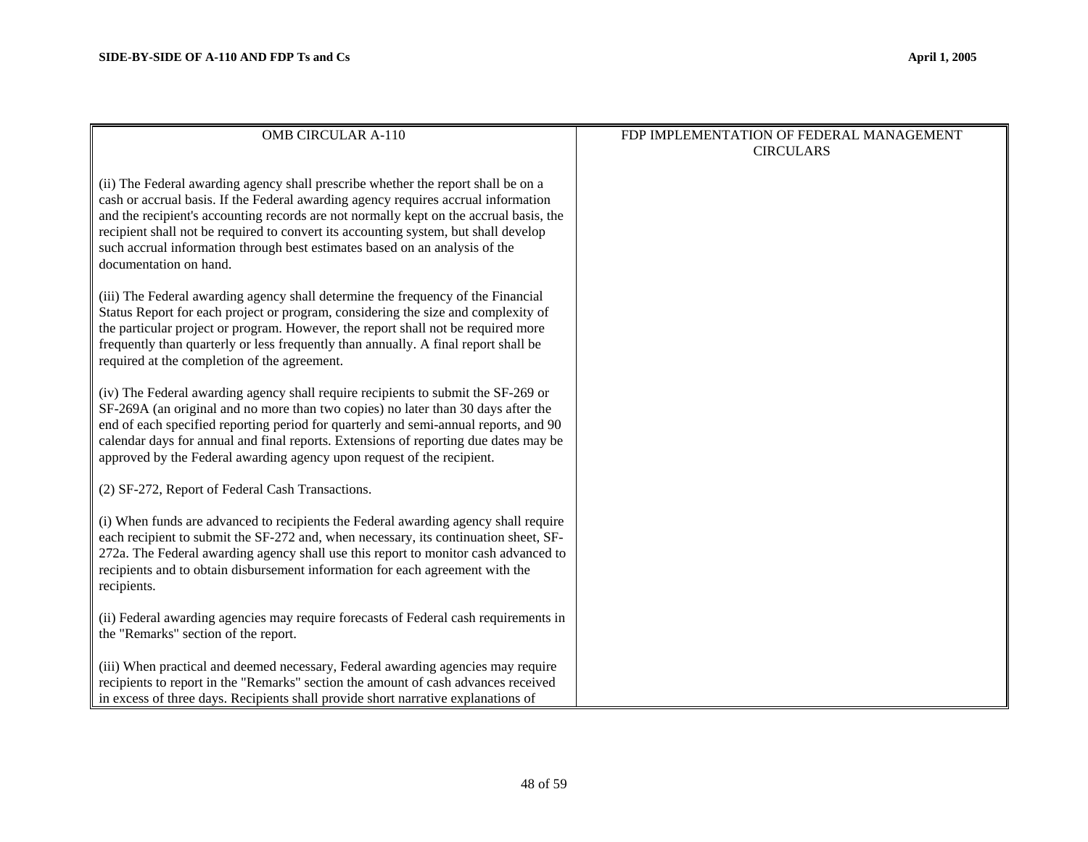| <b>OMB CIRCULAR A-110</b>                                                                                                                                                                                                                                                                                                                                                                                                                                         | FDP IMPLEMENTATION OF FEDERAL MANAGEMENT |
|-------------------------------------------------------------------------------------------------------------------------------------------------------------------------------------------------------------------------------------------------------------------------------------------------------------------------------------------------------------------------------------------------------------------------------------------------------------------|------------------------------------------|
|                                                                                                                                                                                                                                                                                                                                                                                                                                                                   | <b>CIRCULARS</b>                         |
| (ii) The Federal awarding agency shall prescribe whether the report shall be on a<br>cash or accrual basis. If the Federal awarding agency requires accrual information<br>and the recipient's accounting records are not normally kept on the accrual basis, the<br>recipient shall not be required to convert its accounting system, but shall develop<br>such accrual information through best estimates based on an analysis of the<br>documentation on hand. |                                          |
| (iii) The Federal awarding agency shall determine the frequency of the Financial<br>Status Report for each project or program, considering the size and complexity of<br>the particular project or program. However, the report shall not be required more<br>frequently than quarterly or less frequently than annually. A final report shall be<br>required at the completion of the agreement.                                                                 |                                          |
| (iv) The Federal awarding agency shall require recipients to submit the SF-269 or<br>SF-269A (an original and no more than two copies) no later than 30 days after the<br>end of each specified reporting period for quarterly and semi-annual reports, and 90<br>calendar days for annual and final reports. Extensions of reporting due dates may be<br>approved by the Federal awarding agency upon request of the recipient.                                  |                                          |
| (2) SF-272, Report of Federal Cash Transactions.                                                                                                                                                                                                                                                                                                                                                                                                                  |                                          |
| (i) When funds are advanced to recipients the Federal awarding agency shall require<br>each recipient to submit the SF-272 and, when necessary, its continuation sheet, SF-<br>272a. The Federal awarding agency shall use this report to monitor cash advanced to<br>recipients and to obtain disbursement information for each agreement with the<br>recipients.                                                                                                |                                          |
| (ii) Federal awarding agencies may require forecasts of Federal cash requirements in<br>the "Remarks" section of the report.                                                                                                                                                                                                                                                                                                                                      |                                          |
| (iii) When practical and deemed necessary, Federal awarding agencies may require<br>recipients to report in the "Remarks" section the amount of cash advances received<br>in excess of three days. Recipients shall provide short narrative explanations of                                                                                                                                                                                                       |                                          |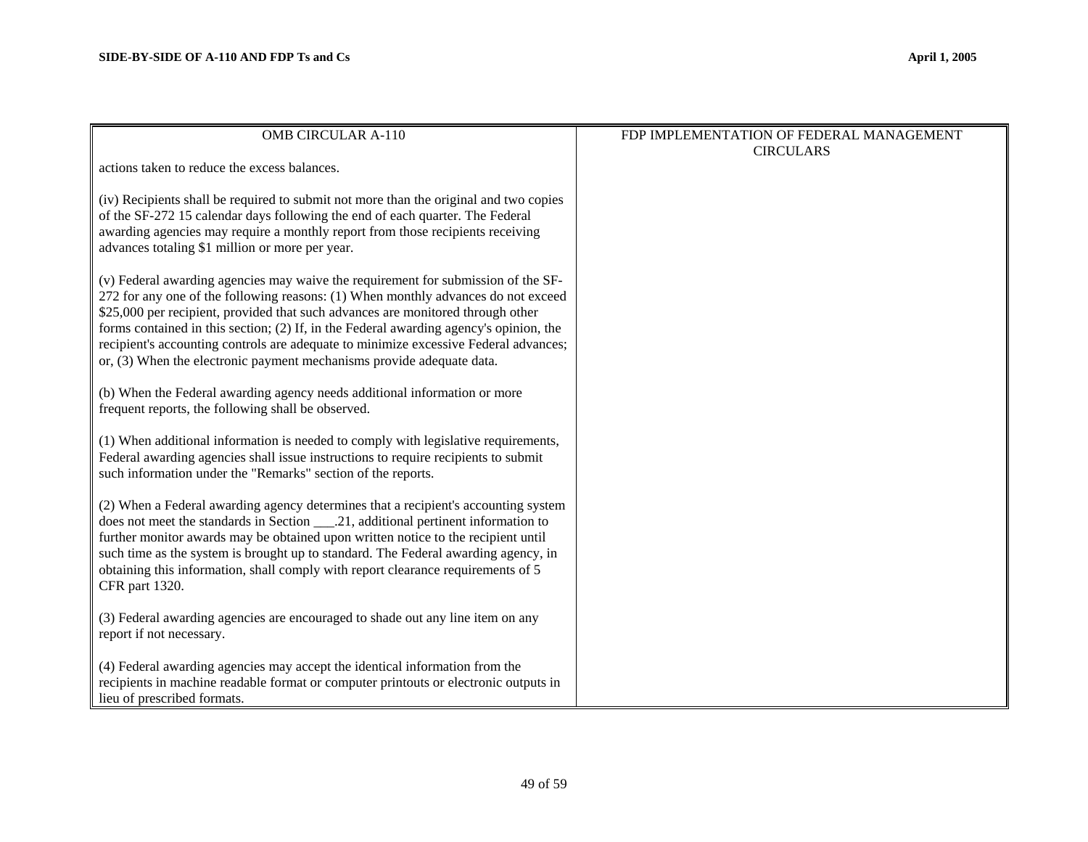| <b>OMB CIRCULAR A-110</b>                                                                                                                                                                                                                                                                                                                                                                                                                                                                                            | FDP IMPLEMENTATION OF FEDERAL MANAGEMENT<br><b>CIRCULARS</b> |
|----------------------------------------------------------------------------------------------------------------------------------------------------------------------------------------------------------------------------------------------------------------------------------------------------------------------------------------------------------------------------------------------------------------------------------------------------------------------------------------------------------------------|--------------------------------------------------------------|
| actions taken to reduce the excess balances.                                                                                                                                                                                                                                                                                                                                                                                                                                                                         |                                                              |
| (iv) Recipients shall be required to submit not more than the original and two copies<br>of the SF-272 15 calendar days following the end of each quarter. The Federal<br>awarding agencies may require a monthly report from those recipients receiving<br>advances totaling \$1 million or more per year.                                                                                                                                                                                                          |                                                              |
| (v) Federal awarding agencies may waive the requirement for submission of the SF-<br>272 for any one of the following reasons: (1) When monthly advances do not exceed<br>\$25,000 per recipient, provided that such advances are monitored through other<br>forms contained in this section; (2) If, in the Federal awarding agency's opinion, the<br>recipient's accounting controls are adequate to minimize excessive Federal advances;<br>or, (3) When the electronic payment mechanisms provide adequate data. |                                                              |
| (b) When the Federal awarding agency needs additional information or more<br>frequent reports, the following shall be observed.                                                                                                                                                                                                                                                                                                                                                                                      |                                                              |
| (1) When additional information is needed to comply with legislative requirements,<br>Federal awarding agencies shall issue instructions to require recipients to submit<br>such information under the "Remarks" section of the reports.                                                                                                                                                                                                                                                                             |                                                              |
| (2) When a Federal awarding agency determines that a recipient's accounting system<br>does not meet the standards in Section ______.21, additional pertinent information to<br>further monitor awards may be obtained upon written notice to the recipient until<br>such time as the system is brought up to standard. The Federal awarding agency, in<br>obtaining this information, shall comply with report clearance requirements of 5<br>CFR part 1320.                                                         |                                                              |
| (3) Federal awarding agencies are encouraged to shade out any line item on any<br>report if not necessary.                                                                                                                                                                                                                                                                                                                                                                                                           |                                                              |
| (4) Federal awarding agencies may accept the identical information from the<br>recipients in machine readable format or computer printouts or electronic outputs in<br>lieu of prescribed formats.                                                                                                                                                                                                                                                                                                                   |                                                              |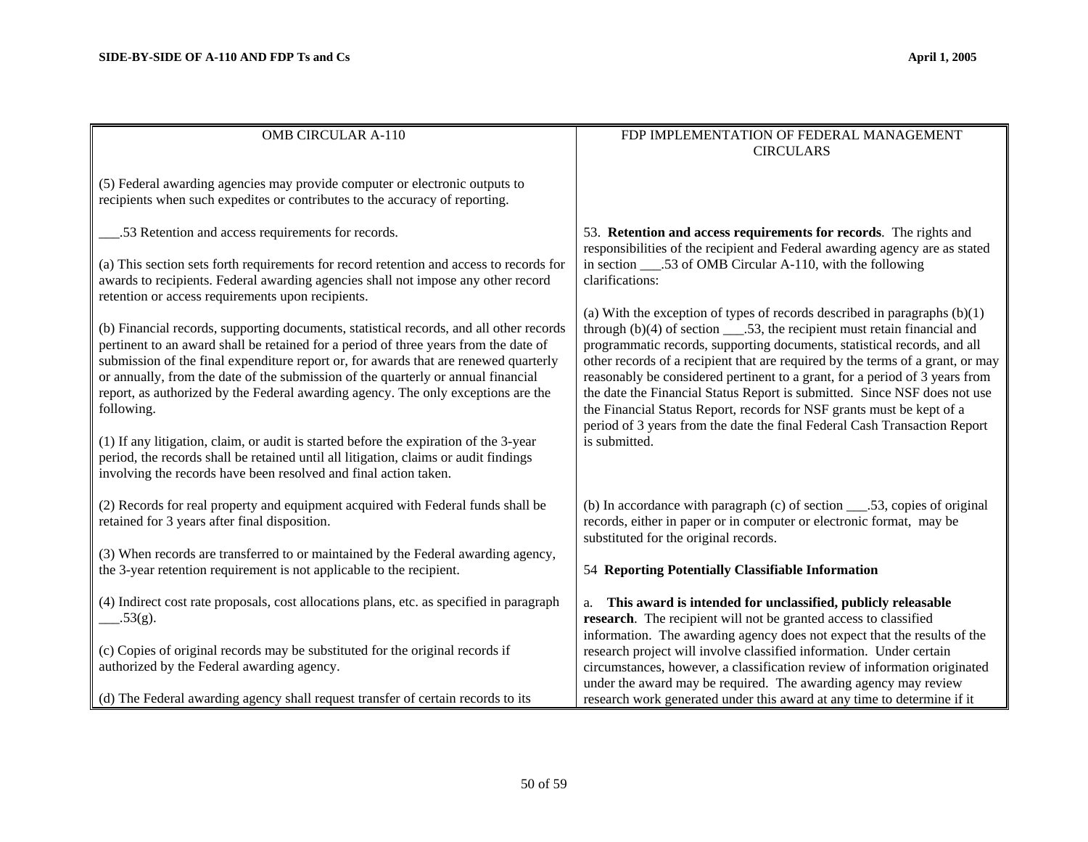| <b>OMB CIRCULAR A-110</b>                                                                                                                                                                                                                                                                                                                                                                                                                                       | FDP IMPLEMENTATION OF FEDERAL MANAGEMENT<br><b>CIRCULARS</b>                                                                                                                                                                                                                                                                                                                                                                                                                       |
|-----------------------------------------------------------------------------------------------------------------------------------------------------------------------------------------------------------------------------------------------------------------------------------------------------------------------------------------------------------------------------------------------------------------------------------------------------------------|------------------------------------------------------------------------------------------------------------------------------------------------------------------------------------------------------------------------------------------------------------------------------------------------------------------------------------------------------------------------------------------------------------------------------------------------------------------------------------|
| (5) Federal awarding agencies may provide computer or electronic outputs to<br>recipients when such expedites or contributes to the accuracy of reporting.                                                                                                                                                                                                                                                                                                      |                                                                                                                                                                                                                                                                                                                                                                                                                                                                                    |
| .53 Retention and access requirements for records.                                                                                                                                                                                                                                                                                                                                                                                                              | 53. Retention and access requirements for records. The rights and<br>responsibilities of the recipient and Federal awarding agency are as stated                                                                                                                                                                                                                                                                                                                                   |
| (a) This section sets forth requirements for record retention and access to records for<br>awards to recipients. Federal awarding agencies shall not impose any other record                                                                                                                                                                                                                                                                                    | in section _____.53 of OMB Circular A-110, with the following<br>clarifications:                                                                                                                                                                                                                                                                                                                                                                                                   |
| retention or access requirements upon recipients.                                                                                                                                                                                                                                                                                                                                                                                                               | (a) With the exception of types of records described in paragraphs $(b)(1)$                                                                                                                                                                                                                                                                                                                                                                                                        |
| (b) Financial records, supporting documents, statistical records, and all other records<br>pertinent to an award shall be retained for a period of three years from the date of<br>submission of the final expenditure report or, for awards that are renewed quarterly<br>or annually, from the date of the submission of the quarterly or annual financial<br>report, as authorized by the Federal awarding agency. The only exceptions are the<br>following. | through $(b)(4)$ of section $\_\_$ .53, the recipient must retain financial and<br>programmatic records, supporting documents, statistical records, and all<br>other records of a recipient that are required by the terms of a grant, or may<br>reasonably be considered pertinent to a grant, for a period of 3 years from<br>the date the Financial Status Report is submitted. Since NSF does not use<br>the Financial Status Report, records for NSF grants must be kept of a |
| (1) If any litigation, claim, or audit is started before the expiration of the 3-year<br>period, the records shall be retained until all litigation, claims or audit findings<br>involving the records have been resolved and final action taken.                                                                                                                                                                                                               | period of 3 years from the date the final Federal Cash Transaction Report<br>is submitted.                                                                                                                                                                                                                                                                                                                                                                                         |
| (2) Records for real property and equipment acquired with Federal funds shall be<br>retained for 3 years after final disposition.                                                                                                                                                                                                                                                                                                                               | (b) In accordance with paragraph (c) of section ____.53, copies of original<br>records, either in paper or in computer or electronic format, may be<br>substituted for the original records.                                                                                                                                                                                                                                                                                       |
| (3) When records are transferred to or maintained by the Federal awarding agency,<br>the 3-year retention requirement is not applicable to the recipient.                                                                                                                                                                                                                                                                                                       | 54 Reporting Potentially Classifiable Information                                                                                                                                                                                                                                                                                                                                                                                                                                  |
| (4) Indirect cost rate proposals, cost allocations plans, etc. as specified in paragraph<br>$-.53(g).$                                                                                                                                                                                                                                                                                                                                                          | a. This award is intended for unclassified, publicly releasable<br>research. The recipient will not be granted access to classified                                                                                                                                                                                                                                                                                                                                                |
| (c) Copies of original records may be substituted for the original records if<br>authorized by the Federal awarding agency.                                                                                                                                                                                                                                                                                                                                     | information. The awarding agency does not expect that the results of the<br>research project will involve classified information. Under certain<br>circumstances, however, a classification review of information originated<br>under the award may be required. The awarding agency may review                                                                                                                                                                                    |
| (d) The Federal awarding agency shall request transfer of certain records to its                                                                                                                                                                                                                                                                                                                                                                                | research work generated under this award at any time to determine if it                                                                                                                                                                                                                                                                                                                                                                                                            |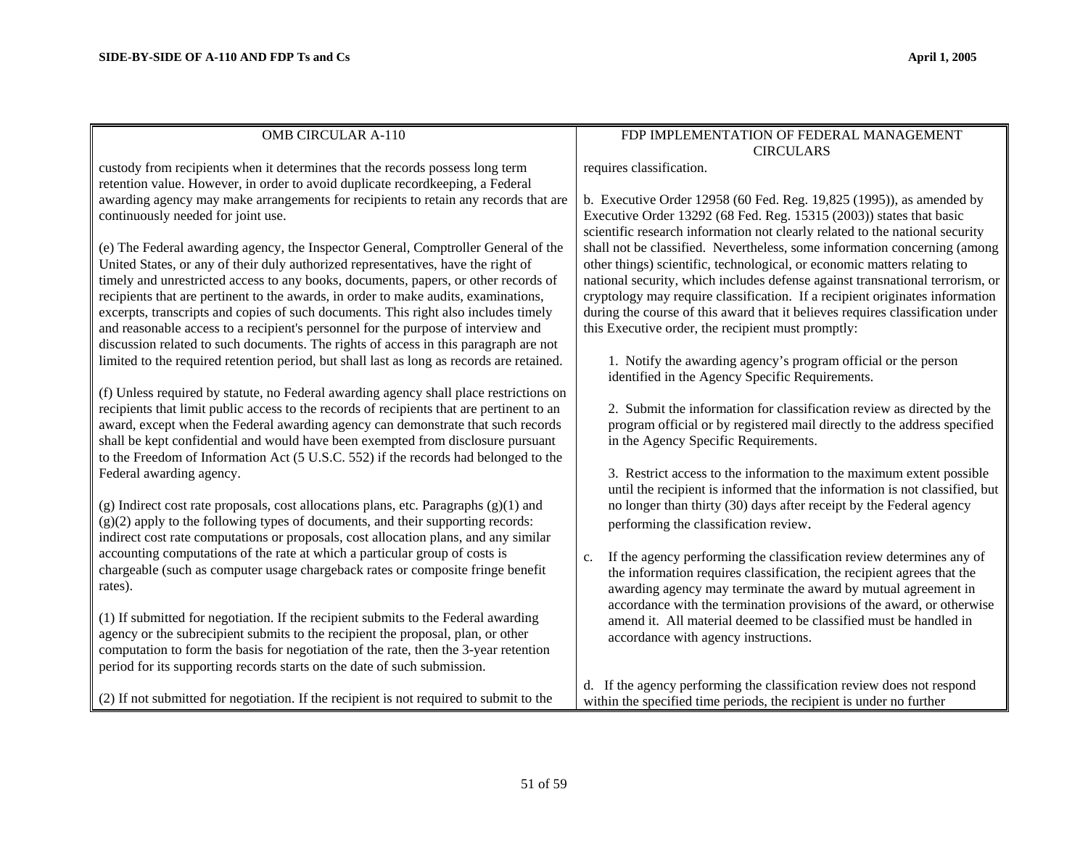| <b>OMB CIRCULAR A-110</b>                                                                                                                                                     | FDP IMPLEMENTATION OF FEDERAL MANAGEMENT                                                                                                                  |
|-------------------------------------------------------------------------------------------------------------------------------------------------------------------------------|-----------------------------------------------------------------------------------------------------------------------------------------------------------|
|                                                                                                                                                                               | <b>CIRCULARS</b>                                                                                                                                          |
| custody from recipients when it determines that the records possess long term<br>retention value. However, in order to avoid duplicate recordkeeping, a Federal               | requires classification.                                                                                                                                  |
| awarding agency may make arrangements for recipients to retain any records that are                                                                                           | b. Executive Order 12958 (60 Fed. Reg. 19,825 (1995)), as amended by                                                                                      |
| continuously needed for joint use.                                                                                                                                            | Executive Order 13292 (68 Fed. Reg. 15315 (2003)) states that basic                                                                                       |
| (e) The Federal awarding agency, the Inspector General, Comptroller General of the                                                                                            | scientific research information not clearly related to the national security<br>shall not be classified. Nevertheless, some information concerning (among |
| United States, or any of their duly authorized representatives, have the right of                                                                                             | other things) scientific, technological, or economic matters relating to                                                                                  |
| timely and unrestricted access to any books, documents, papers, or other records of                                                                                           | national security, which includes defense against transnational terrorism, or                                                                             |
| recipients that are pertinent to the awards, in order to make audits, examinations,                                                                                           | cryptology may require classification. If a recipient originates information                                                                              |
| excerpts, transcripts and copies of such documents. This right also includes timely<br>and reasonable access to a recipient's personnel for the purpose of interview and      | during the course of this award that it believes requires classification under<br>this Executive order, the recipient must promptly:                      |
| discussion related to such documents. The rights of access in this paragraph are not                                                                                          |                                                                                                                                                           |
| limited to the required retention period, but shall last as long as records are retained.                                                                                     | 1. Notify the awarding agency's program official or the person                                                                                            |
|                                                                                                                                                                               | identified in the Agency Specific Requirements.                                                                                                           |
| (f) Unless required by statute, no Federal awarding agency shall place restrictions on                                                                                        |                                                                                                                                                           |
| recipients that limit public access to the records of recipients that are pertinent to an<br>award, except when the Federal awarding agency can demonstrate that such records | 2. Submit the information for classification review as directed by the<br>program official or by registered mail directly to the address specified        |
| shall be kept confidential and would have been exempted from disclosure pursuant                                                                                              | in the Agency Specific Requirements.                                                                                                                      |
| to the Freedom of Information Act (5 U.S.C. 552) if the records had belonged to the                                                                                           |                                                                                                                                                           |
| Federal awarding agency.                                                                                                                                                      | 3. Restrict access to the information to the maximum extent possible                                                                                      |
|                                                                                                                                                                               | until the recipient is informed that the information is not classified, but<br>no longer than thirty (30) days after receipt by the Federal agency        |
| $(g)$ Indirect cost rate proposals, cost allocations plans, etc. Paragraphs $(g)(1)$ and<br>$(g)(2)$ apply to the following types of documents, and their supporting records: | performing the classification review.                                                                                                                     |
| indirect cost rate computations or proposals, cost allocation plans, and any similar                                                                                          |                                                                                                                                                           |
| accounting computations of the rate at which a particular group of costs is                                                                                                   | If the agency performing the classification review determines any of<br>c.                                                                                |
| chargeable (such as computer usage chargeback rates or composite fringe benefit                                                                                               | the information requires classification, the recipient agrees that the                                                                                    |
| rates).                                                                                                                                                                       | awarding agency may terminate the award by mutual agreement in                                                                                            |
| (1) If submitted for negotiation. If the recipient submits to the Federal awarding                                                                                            | accordance with the termination provisions of the award, or otherwise<br>amend it. All material deemed to be classified must be handled in                |
| agency or the subrecipient submits to the recipient the proposal, plan, or other                                                                                              | accordance with agency instructions.                                                                                                                      |
| computation to form the basis for negotiation of the rate, then the 3-year retention                                                                                          |                                                                                                                                                           |
| period for its supporting records starts on the date of such submission.                                                                                                      |                                                                                                                                                           |
| (2) If not submitted for negotiation. If the recipient is not required to submit to the                                                                                       | d. If the agency performing the classification review does not respond                                                                                    |
|                                                                                                                                                                               | within the specified time periods, the recipient is under no further                                                                                      |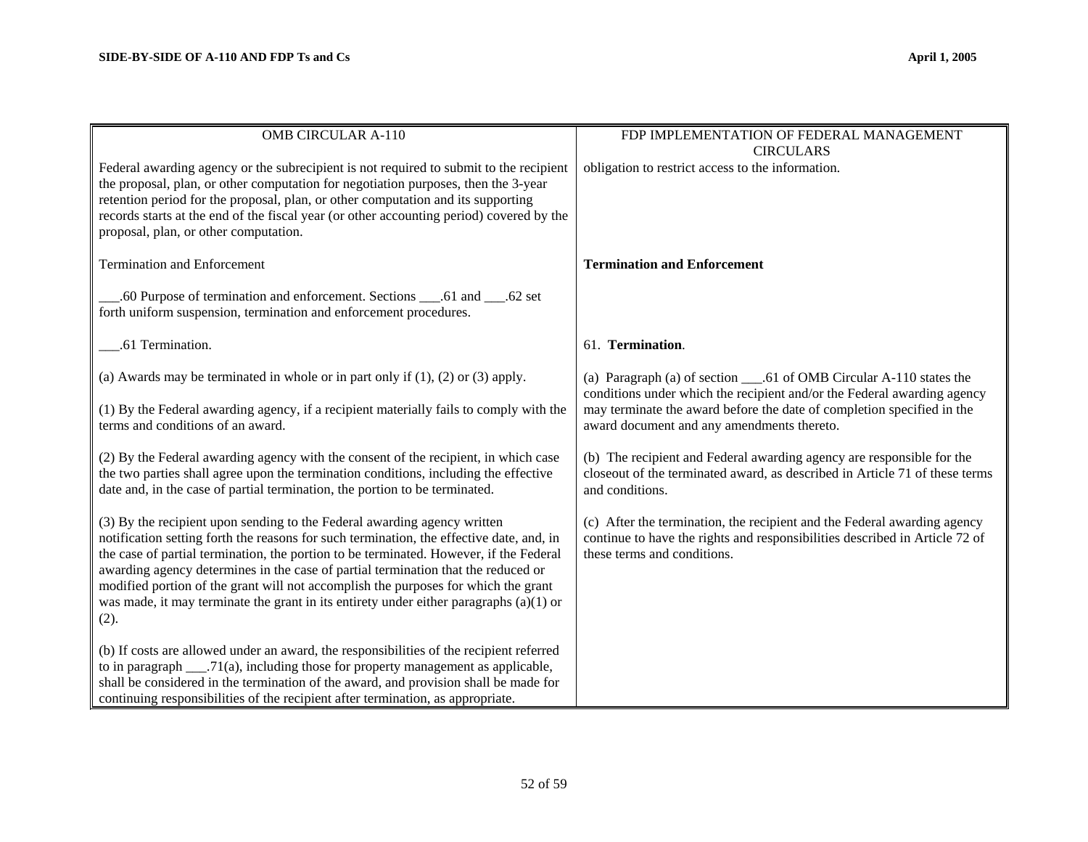| <b>OMB CIRCULAR A-110</b>                                                                                                                                                                                                                                                                                                                                                                                                                                                                                                                     | FDP IMPLEMENTATION OF FEDERAL MANAGEMENT<br><b>CIRCULARS</b>                                                                                                                           |
|-----------------------------------------------------------------------------------------------------------------------------------------------------------------------------------------------------------------------------------------------------------------------------------------------------------------------------------------------------------------------------------------------------------------------------------------------------------------------------------------------------------------------------------------------|----------------------------------------------------------------------------------------------------------------------------------------------------------------------------------------|
| Federal awarding agency or the subrecipient is not required to submit to the recipient<br>the proposal, plan, or other computation for negotiation purposes, then the 3-year<br>retention period for the proposal, plan, or other computation and its supporting<br>records starts at the end of the fiscal year (or other accounting period) covered by the<br>proposal, plan, or other computation.                                                                                                                                         | obligation to restrict access to the information.                                                                                                                                      |
| <b>Termination and Enforcement</b>                                                                                                                                                                                                                                                                                                                                                                                                                                                                                                            | <b>Termination and Enforcement</b>                                                                                                                                                     |
| .60 Purpose of termination and enforcement. Sections ____.61 and ____.62 set<br>forth uniform suspension, termination and enforcement procedures.                                                                                                                                                                                                                                                                                                                                                                                             |                                                                                                                                                                                        |
| .61 Termination.                                                                                                                                                                                                                                                                                                                                                                                                                                                                                                                              | 61. Termination.                                                                                                                                                                       |
| (a) Awards may be terminated in whole or in part only if $(1)$ , $(2)$ or $(3)$ apply.                                                                                                                                                                                                                                                                                                                                                                                                                                                        | (a) Paragraph (a) of section _____.61 of OMB Circular A-110 states the<br>conditions under which the recipient and/or the Federal awarding agency                                      |
| (1) By the Federal awarding agency, if a recipient materially fails to comply with the<br>terms and conditions of an award.                                                                                                                                                                                                                                                                                                                                                                                                                   | may terminate the award before the date of completion specified in the<br>award document and any amendments thereto.                                                                   |
| (2) By the Federal awarding agency with the consent of the recipient, in which case<br>the two parties shall agree upon the termination conditions, including the effective<br>date and, in the case of partial termination, the portion to be terminated.                                                                                                                                                                                                                                                                                    | (b) The recipient and Federal awarding agency are responsible for the<br>closeout of the terminated award, as described in Article 71 of these terms<br>and conditions.                |
| (3) By the recipient upon sending to the Federal awarding agency written<br>notification setting forth the reasons for such termination, the effective date, and, in<br>the case of partial termination, the portion to be terminated. However, if the Federal<br>awarding agency determines in the case of partial termination that the reduced or<br>modified portion of the grant will not accomplish the purposes for which the grant<br>was made, it may terminate the grant in its entirety under either paragraphs $(a)(1)$ or<br>(2). | (c) After the termination, the recipient and the Federal awarding agency<br>continue to have the rights and responsibilities described in Article 72 of<br>these terms and conditions. |
| (b) If costs are allowed under an award, the responsibilities of the recipient referred<br>to in paragraph $\_\_$ .71(a), including those for property management as applicable,<br>shall be considered in the termination of the award, and provision shall be made for<br>continuing responsibilities of the recipient after termination, as appropriate.                                                                                                                                                                                   |                                                                                                                                                                                        |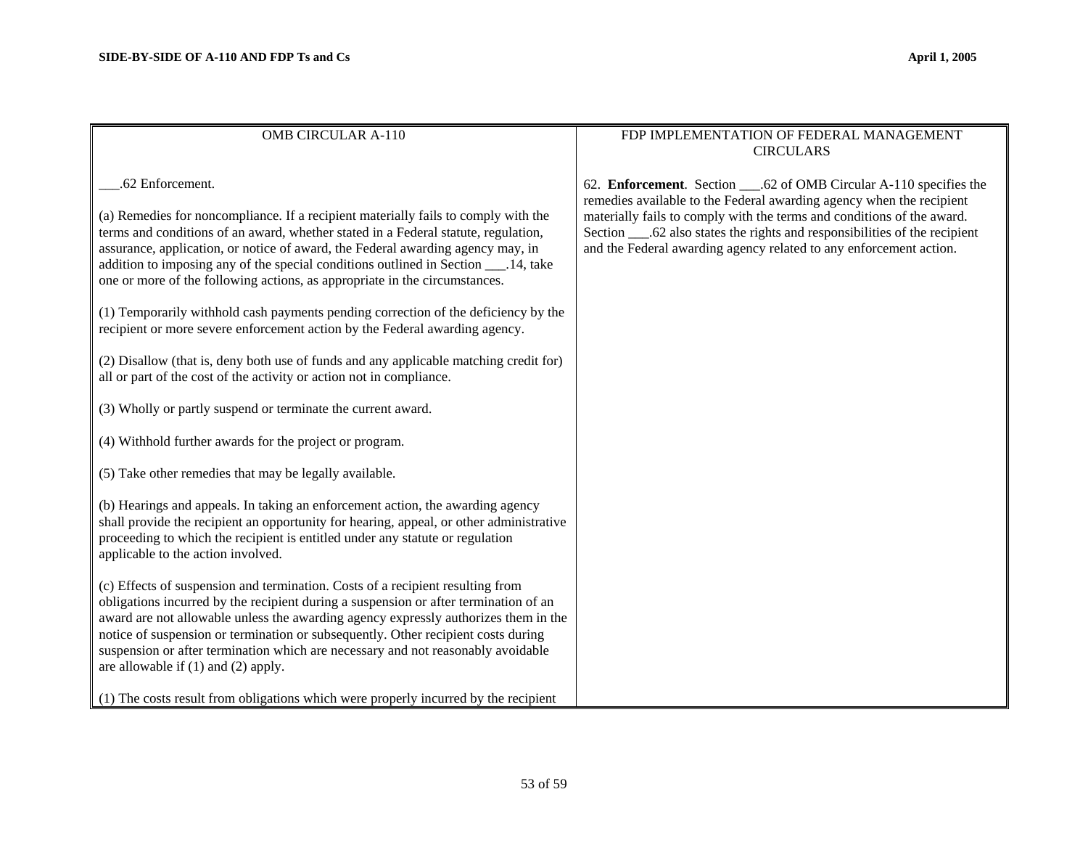| <b>OMB CIRCULAR A-110</b>                                                                                                                                                                                                                                                                                                                                                                                                                                                         | FDP IMPLEMENTATION OF FEDERAL MANAGEMENT                                                                                                                                                                                                                                                              |
|-----------------------------------------------------------------------------------------------------------------------------------------------------------------------------------------------------------------------------------------------------------------------------------------------------------------------------------------------------------------------------------------------------------------------------------------------------------------------------------|-------------------------------------------------------------------------------------------------------------------------------------------------------------------------------------------------------------------------------------------------------------------------------------------------------|
|                                                                                                                                                                                                                                                                                                                                                                                                                                                                                   | <b>CIRCULARS</b>                                                                                                                                                                                                                                                                                      |
| .62 Enforcement.                                                                                                                                                                                                                                                                                                                                                                                                                                                                  | 62. Enforcement. Section _____.62 of OMB Circular A-110 specifies the                                                                                                                                                                                                                                 |
| (a) Remedies for noncompliance. If a recipient materially fails to comply with the<br>terms and conditions of an award, whether stated in a Federal statute, regulation,<br>assurance, application, or notice of award, the Federal awarding agency may, in<br>addition to imposing any of the special conditions outlined in Section _____.14, take<br>one or more of the following actions, as appropriate in the circumstances.                                                | remedies available to the Federal awarding agency when the recipient<br>materially fails to comply with the terms and conditions of the award.<br>Section _____.62 also states the rights and responsibilities of the recipient<br>and the Federal awarding agency related to any enforcement action. |
| (1) Temporarily withhold cash payments pending correction of the deficiency by the<br>recipient or more severe enforcement action by the Federal awarding agency.                                                                                                                                                                                                                                                                                                                 |                                                                                                                                                                                                                                                                                                       |
| (2) Disallow (that is, deny both use of funds and any applicable matching credit for)<br>all or part of the cost of the activity or action not in compliance.                                                                                                                                                                                                                                                                                                                     |                                                                                                                                                                                                                                                                                                       |
| (3) Wholly or partly suspend or terminate the current award.                                                                                                                                                                                                                                                                                                                                                                                                                      |                                                                                                                                                                                                                                                                                                       |
| (4) Withhold further awards for the project or program.                                                                                                                                                                                                                                                                                                                                                                                                                           |                                                                                                                                                                                                                                                                                                       |
| (5) Take other remedies that may be legally available.                                                                                                                                                                                                                                                                                                                                                                                                                            |                                                                                                                                                                                                                                                                                                       |
| (b) Hearings and appeals. In taking an enforcement action, the awarding agency<br>shall provide the recipient an opportunity for hearing, appeal, or other administrative<br>proceeding to which the recipient is entitled under any statute or regulation<br>applicable to the action involved.                                                                                                                                                                                  |                                                                                                                                                                                                                                                                                                       |
| (c) Effects of suspension and termination. Costs of a recipient resulting from<br>obligations incurred by the recipient during a suspension or after termination of an<br>award are not allowable unless the awarding agency expressly authorizes them in the<br>notice of suspension or termination or subsequently. Other recipient costs during<br>suspension or after termination which are necessary and not reasonably avoidable<br>are allowable if $(1)$ and $(2)$ apply. |                                                                                                                                                                                                                                                                                                       |
| (1) The costs result from obligations which were properly incurred by the recipient                                                                                                                                                                                                                                                                                                                                                                                               |                                                                                                                                                                                                                                                                                                       |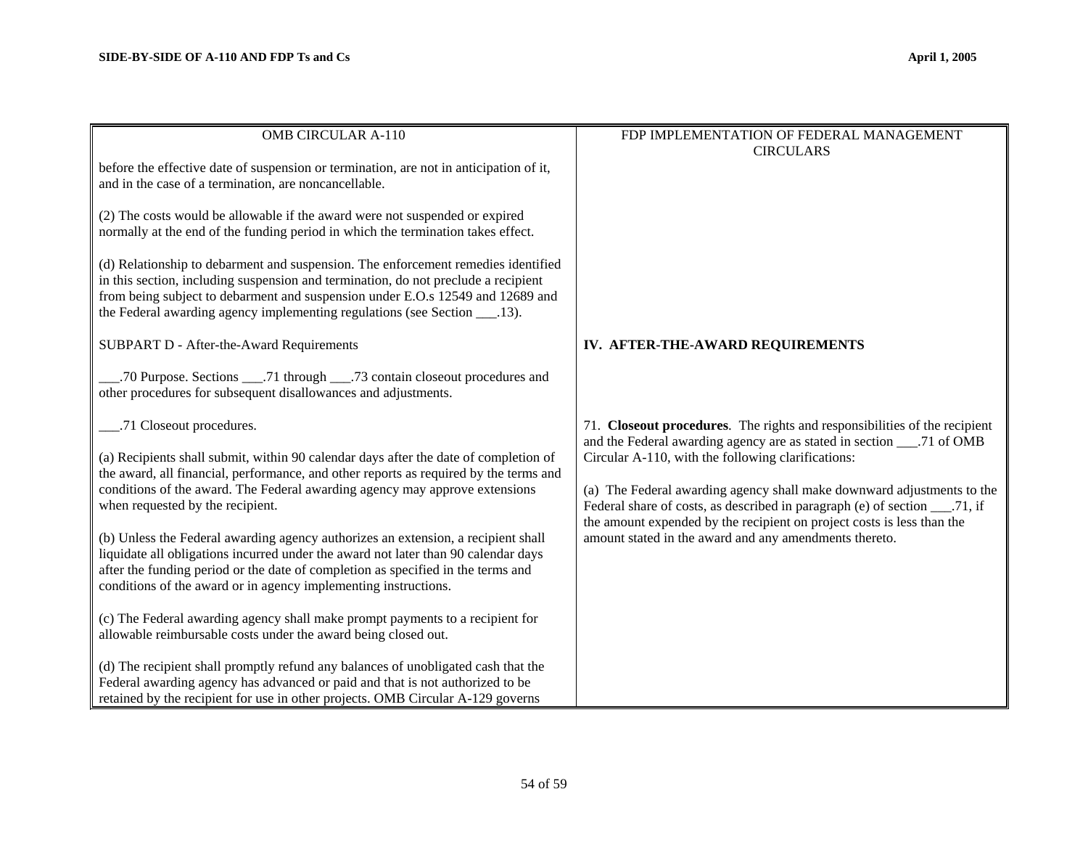| <b>OMB CIRCULAR A-110</b>                                                                                                                                                                                                                                                                                                                                                                                                                                                                                                                                                                   | FDP IMPLEMENTATION OF FEDERAL MANAGEMENT                                                                                                                                                                                                                                                                                                                                                                                                                                                                  |
|---------------------------------------------------------------------------------------------------------------------------------------------------------------------------------------------------------------------------------------------------------------------------------------------------------------------------------------------------------------------------------------------------------------------------------------------------------------------------------------------------------------------------------------------------------------------------------------------|-----------------------------------------------------------------------------------------------------------------------------------------------------------------------------------------------------------------------------------------------------------------------------------------------------------------------------------------------------------------------------------------------------------------------------------------------------------------------------------------------------------|
| before the effective date of suspension or termination, are not in anticipation of it,<br>and in the case of a termination, are noncancellable.                                                                                                                                                                                                                                                                                                                                                                                                                                             | <b>CIRCULARS</b>                                                                                                                                                                                                                                                                                                                                                                                                                                                                                          |
| (2) The costs would be allowable if the award were not suspended or expired<br>normally at the end of the funding period in which the termination takes effect.                                                                                                                                                                                                                                                                                                                                                                                                                             |                                                                                                                                                                                                                                                                                                                                                                                                                                                                                                           |
| (d) Relationship to debarment and suspension. The enforcement remedies identified<br>in this section, including suspension and termination, do not preclude a recipient<br>from being subject to debarment and suspension under E.O.s 12549 and 12689 and<br>the Federal awarding agency implementing regulations (see Section ______.13).                                                                                                                                                                                                                                                  |                                                                                                                                                                                                                                                                                                                                                                                                                                                                                                           |
| <b>SUBPART D - After-the-Award Requirements</b>                                                                                                                                                                                                                                                                                                                                                                                                                                                                                                                                             | IV. AFTER-THE-AWARD REQUIREMENTS                                                                                                                                                                                                                                                                                                                                                                                                                                                                          |
| _.70 Purpose. Sections ____.71 through ____.73 contain closeout procedures and<br>other procedures for subsequent disallowances and adjustments.                                                                                                                                                                                                                                                                                                                                                                                                                                            |                                                                                                                                                                                                                                                                                                                                                                                                                                                                                                           |
| .71 Closeout procedures.<br>(a) Recipients shall submit, within 90 calendar days after the date of completion of<br>the award, all financial, performance, and other reports as required by the terms and<br>conditions of the award. The Federal awarding agency may approve extensions<br>when requested by the recipient.<br>(b) Unless the Federal awarding agency authorizes an extension, a recipient shall<br>liquidate all obligations incurred under the award not later than 90 calendar days<br>after the funding period or the date of completion as specified in the terms and | 71. Closeout procedures. The rights and responsibilities of the recipient<br>and the Federal awarding agency are as stated in section ____.71 of OMB<br>Circular A-110, with the following clarifications:<br>(a) The Federal awarding agency shall make downward adjustments to the<br>Federal share of costs, as described in paragraph (e) of section _____.71, if<br>the amount expended by the recipient on project costs is less than the<br>amount stated in the award and any amendments thereto. |
| conditions of the award or in agency implementing instructions.<br>(c) The Federal awarding agency shall make prompt payments to a recipient for<br>allowable reimbursable costs under the award being closed out.                                                                                                                                                                                                                                                                                                                                                                          |                                                                                                                                                                                                                                                                                                                                                                                                                                                                                                           |
| (d) The recipient shall promptly refund any balances of unobligated cash that the<br>Federal awarding agency has advanced or paid and that is not authorized to be<br>retained by the recipient for use in other projects. OMB Circular A-129 governs                                                                                                                                                                                                                                                                                                                                       |                                                                                                                                                                                                                                                                                                                                                                                                                                                                                                           |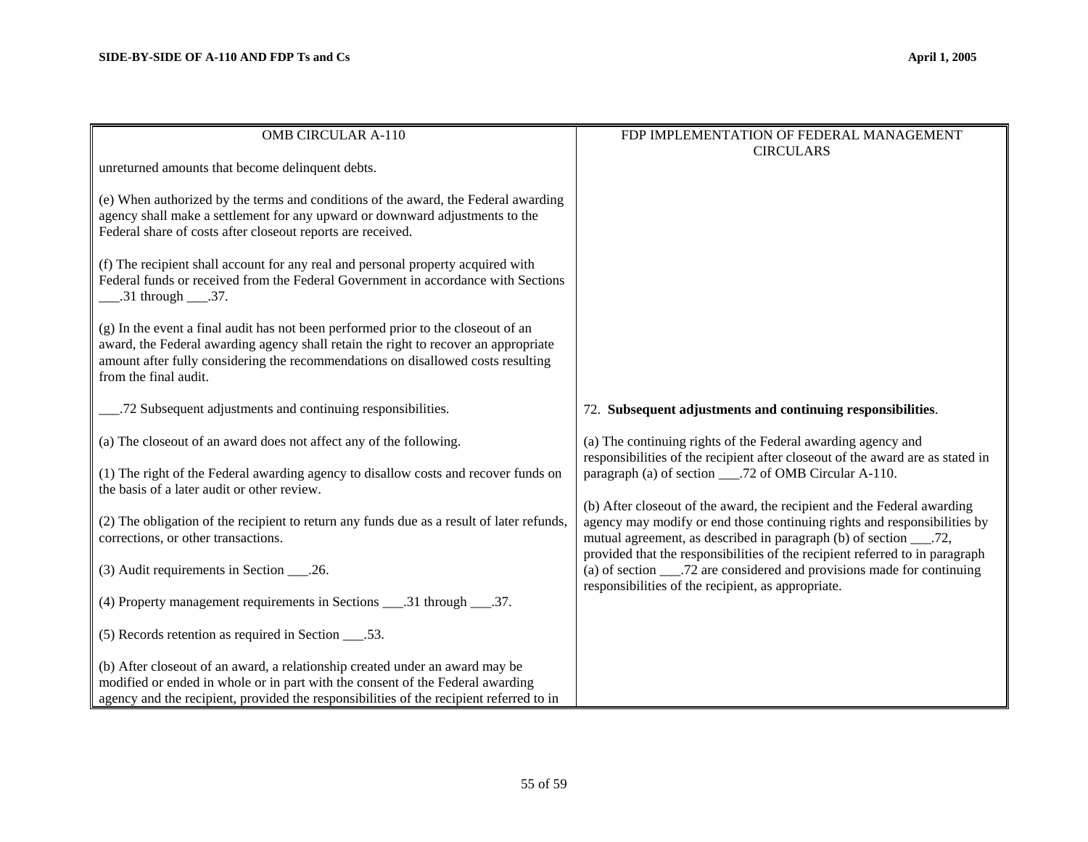| <b>OMB CIRCULAR A-110</b>                                                                                                                                                                                                                                                             | FDP IMPLEMENTATION OF FEDERAL MANAGEMENT                                                                                                                                                                                                                                                                   |
|---------------------------------------------------------------------------------------------------------------------------------------------------------------------------------------------------------------------------------------------------------------------------------------|------------------------------------------------------------------------------------------------------------------------------------------------------------------------------------------------------------------------------------------------------------------------------------------------------------|
|                                                                                                                                                                                                                                                                                       | <b>CIRCULARS</b>                                                                                                                                                                                                                                                                                           |
| unreturned amounts that become delinquent debts.                                                                                                                                                                                                                                      |                                                                                                                                                                                                                                                                                                            |
| (e) When authorized by the terms and conditions of the award, the Federal awarding<br>agency shall make a settlement for any upward or downward adjustments to the<br>Federal share of costs after closeout reports are received.                                                     |                                                                                                                                                                                                                                                                                                            |
| (f) The recipient shall account for any real and personal property acquired with<br>Federal funds or received from the Federal Government in accordance with Sections                                                                                                                 |                                                                                                                                                                                                                                                                                                            |
| (g) In the event a final audit has not been performed prior to the closeout of an<br>award, the Federal awarding agency shall retain the right to recover an appropriate<br>amount after fully considering the recommendations on disallowed costs resulting<br>from the final audit. |                                                                                                                                                                                                                                                                                                            |
|                                                                                                                                                                                                                                                                                       | 72. Subsequent adjustments and continuing responsibilities.                                                                                                                                                                                                                                                |
| (a) The closeout of an award does not affect any of the following.                                                                                                                                                                                                                    | (a) The continuing rights of the Federal awarding agency and<br>responsibilities of the recipient after closeout of the award are as stated in                                                                                                                                                             |
| (1) The right of the Federal awarding agency to disallow costs and recover funds on<br>the basis of a later audit or other review.                                                                                                                                                    | paragraph (a) of section ____.72 of OMB Circular A-110.                                                                                                                                                                                                                                                    |
| (2) The obligation of the recipient to return any funds due as a result of later refunds,<br>corrections, or other transactions.                                                                                                                                                      | (b) After closeout of the award, the recipient and the Federal awarding<br>agency may modify or end those continuing rights and responsibilities by<br>mutual agreement, as described in paragraph (b) of section ____.72,<br>provided that the responsibilities of the recipient referred to in paragraph |
| (3) Audit requirements in Section ____.26.                                                                                                                                                                                                                                            | (a) of section _____.72 are considered and provisions made for continuing<br>responsibilities of the recipient, as appropriate.                                                                                                                                                                            |
| (4) Property management requirements in Sections _____.31 through _____.37.                                                                                                                                                                                                           |                                                                                                                                                                                                                                                                                                            |
| (5) Records retention as required in Section ______.53.                                                                                                                                                                                                                               |                                                                                                                                                                                                                                                                                                            |
| (b) After closeout of an award, a relationship created under an award may be<br>modified or ended in whole or in part with the consent of the Federal awarding<br>agency and the recipient, provided the responsibilities of the recipient referred to in                             |                                                                                                                                                                                                                                                                                                            |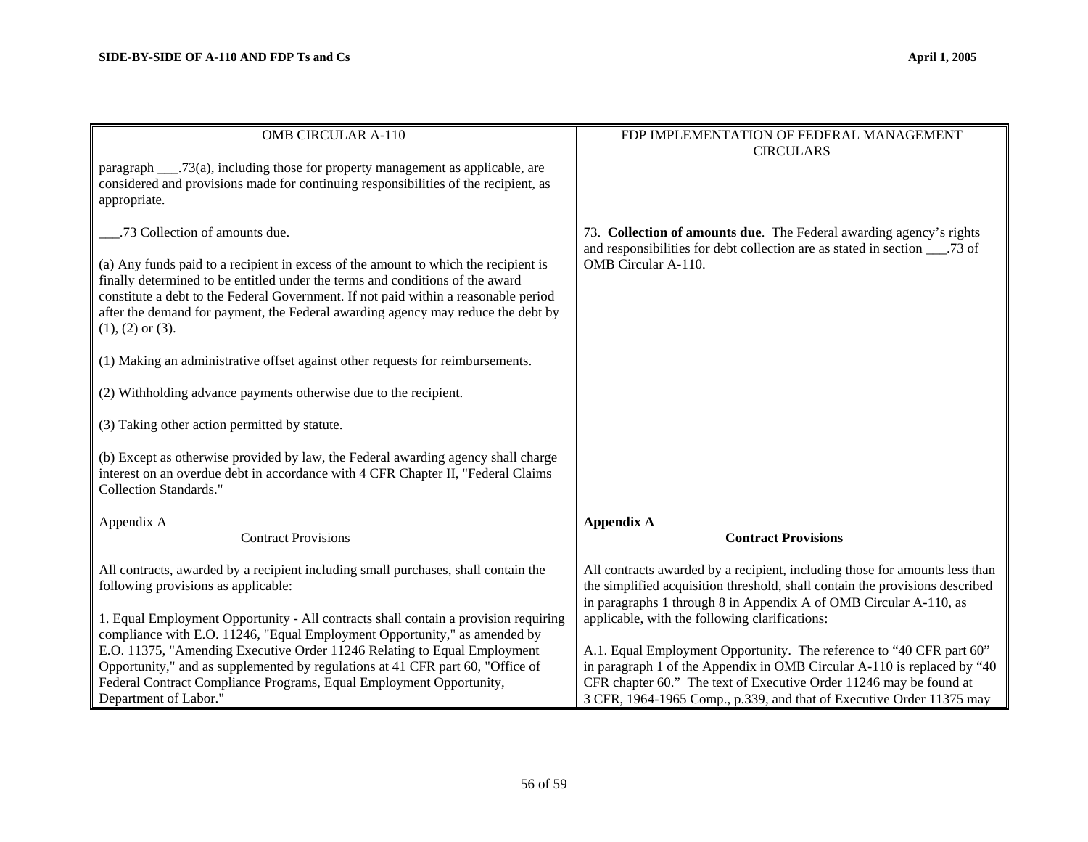| <b>OMB CIRCULAR A-110</b>                                                                                                                                                                                                                                                                                                                                                                                 | FDP IMPLEMENTATION OF FEDERAL MANAGEMENT                                                                                                                                                                                         |
|-----------------------------------------------------------------------------------------------------------------------------------------------------------------------------------------------------------------------------------------------------------------------------------------------------------------------------------------------------------------------------------------------------------|----------------------------------------------------------------------------------------------------------------------------------------------------------------------------------------------------------------------------------|
| paragraph $\_\_$ . 73(a), including those for property management as applicable, are<br>considered and provisions made for continuing responsibilities of the recipient, as<br>appropriate.                                                                                                                                                                                                               | <b>CIRCULARS</b>                                                                                                                                                                                                                 |
| .73 Collection of amounts due.<br>(a) Any funds paid to a recipient in excess of the amount to which the recipient is<br>finally determined to be entitled under the terms and conditions of the award<br>constitute a debt to the Federal Government. If not paid within a reasonable period<br>after the demand for payment, the Federal awarding agency may reduce the debt by<br>$(1), (2)$ or $(3).$ | 73. Collection of amounts due. The Federal awarding agency's rights<br>and responsibilities for debt collection are as stated in section _____.73 of<br>OMB Circular A-110.                                                      |
| (1) Making an administrative offset against other requests for reimbursements.                                                                                                                                                                                                                                                                                                                            |                                                                                                                                                                                                                                  |
| (2) Withholding advance payments otherwise due to the recipient.                                                                                                                                                                                                                                                                                                                                          |                                                                                                                                                                                                                                  |
| (3) Taking other action permitted by statute.                                                                                                                                                                                                                                                                                                                                                             |                                                                                                                                                                                                                                  |
| (b) Except as otherwise provided by law, the Federal awarding agency shall charge<br>interest on an overdue debt in accordance with 4 CFR Chapter II, "Federal Claims<br><b>Collection Standards."</b>                                                                                                                                                                                                    |                                                                                                                                                                                                                                  |
| Appendix A                                                                                                                                                                                                                                                                                                                                                                                                | <b>Appendix A</b>                                                                                                                                                                                                                |
| <b>Contract Provisions</b>                                                                                                                                                                                                                                                                                                                                                                                | <b>Contract Provisions</b>                                                                                                                                                                                                       |
| All contracts, awarded by a recipient including small purchases, shall contain the<br>following provisions as applicable:                                                                                                                                                                                                                                                                                 | All contracts awarded by a recipient, including those for amounts less than<br>the simplified acquisition threshold, shall contain the provisions described<br>in paragraphs 1 through 8 in Appendix A of OMB Circular A-110, as |
| 1. Equal Employment Opportunity - All contracts shall contain a provision requiring<br>compliance with E.O. 11246, "Equal Employment Opportunity," as amended by                                                                                                                                                                                                                                          | applicable, with the following clarifications:                                                                                                                                                                                   |
| E.O. 11375, "Amending Executive Order 11246 Relating to Equal Employment                                                                                                                                                                                                                                                                                                                                  | A.1. Equal Employment Opportunity. The reference to "40 CFR part 60"                                                                                                                                                             |
| Opportunity," and as supplemented by regulations at 41 CFR part 60, "Office of<br>Federal Contract Compliance Programs, Equal Employment Opportunity,                                                                                                                                                                                                                                                     | in paragraph 1 of the Appendix in OMB Circular A-110 is replaced by "40<br>CFR chapter 60." The text of Executive Order 11246 may be found at                                                                                    |
| Department of Labor."                                                                                                                                                                                                                                                                                                                                                                                     | 3 CFR, 1964-1965 Comp., p.339, and that of Executive Order 11375 may                                                                                                                                                             |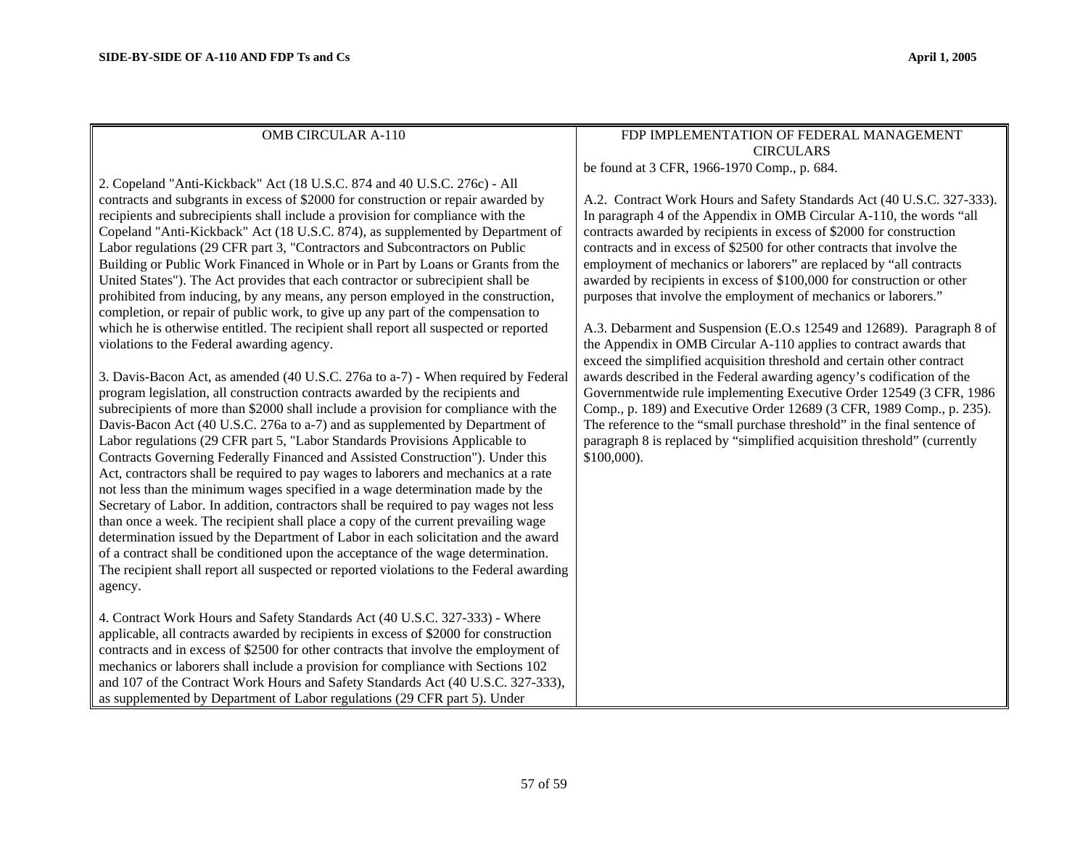| <b>OMB CIRCULAR A-110</b>                                                               | FDP IMPLEMENTATION OF FEDERAL MANAGEMENT                                 |
|-----------------------------------------------------------------------------------------|--------------------------------------------------------------------------|
|                                                                                         | <b>CIRCULARS</b>                                                         |
|                                                                                         | be found at 3 CFR, 1966-1970 Comp., p. 684.                              |
| 2. Copeland "Anti-Kickback" Act (18 U.S.C. 874 and 40 U.S.C. 276c) - All                |                                                                          |
| contracts and subgrants in excess of \$2000 for construction or repair awarded by       | A.2. Contract Work Hours and Safety Standards Act (40 U.S.C. 327-333).   |
| recipients and subrecipients shall include a provision for compliance with the          | In paragraph 4 of the Appendix in OMB Circular A-110, the words "all     |
| Copeland "Anti-Kickback" Act (18 U.S.C. 874), as supplemented by Department of          | contracts awarded by recipients in excess of \$2000 for construction     |
| Labor regulations (29 CFR part 3, "Contractors and Subcontractors on Public             | contracts and in excess of \$2500 for other contracts that involve the   |
| Building or Public Work Financed in Whole or in Part by Loans or Grants from the        | employment of mechanics or laborers" are replaced by "all contracts      |
| United States"). The Act provides that each contractor or subrecipient shall be         | awarded by recipients in excess of \$100,000 for construction or other   |
| prohibited from inducing, by any means, any person employed in the construction,        | purposes that involve the employment of mechanics or laborers."          |
| completion, or repair of public work, to give up any part of the compensation to        |                                                                          |
| which he is otherwise entitled. The recipient shall report all suspected or reported    | A.3. Debarment and Suspension (E.O.s 12549 and 12689). Paragraph 8 of    |
| violations to the Federal awarding agency.                                              | the Appendix in OMB Circular A-110 applies to contract awards that       |
|                                                                                         | exceed the simplified acquisition threshold and certain other contract   |
| 3. Davis-Bacon Act, as amended (40 U.S.C. 276a to a-7) - When required by Federal       | awards described in the Federal awarding agency's codification of the    |
| program legislation, all construction contracts awarded by the recipients and           | Governmentwide rule implementing Executive Order 12549 (3 CFR, 1986      |
| subrecipients of more than \$2000 shall include a provision for compliance with the     | Comp., p. 189) and Executive Order 12689 (3 CFR, 1989 Comp., p. 235).    |
| Davis-Bacon Act (40 U.S.C. 276a to a-7) and as supplemented by Department of            | The reference to the "small purchase threshold" in the final sentence of |
| Labor regulations (29 CFR part 5, "Labor Standards Provisions Applicable to             | paragraph 8 is replaced by "simplified acquisition threshold" (currently |
| Contracts Governing Federally Financed and Assisted Construction"). Under this          | \$100,000).                                                              |
| Act, contractors shall be required to pay wages to laborers and mechanics at a rate     |                                                                          |
| not less than the minimum wages specified in a wage determination made by the           |                                                                          |
| Secretary of Labor. In addition, contractors shall be required to pay wages not less    |                                                                          |
| than once a week. The recipient shall place a copy of the current prevailing wage       |                                                                          |
| determination issued by the Department of Labor in each solicitation and the award      |                                                                          |
| of a contract shall be conditioned upon the acceptance of the wage determination.       |                                                                          |
| The recipient shall report all suspected or reported violations to the Federal awarding |                                                                          |
| agency.                                                                                 |                                                                          |
|                                                                                         |                                                                          |
| 4. Contract Work Hours and Safety Standards Act (40 U.S.C. 327-333) - Where             |                                                                          |
| applicable, all contracts awarded by recipients in excess of \$2000 for construction    |                                                                          |
| contracts and in excess of \$2500 for other contracts that involve the employment of    |                                                                          |
| mechanics or laborers shall include a provision for compliance with Sections 102        |                                                                          |
| and 107 of the Contract Work Hours and Safety Standards Act (40 U.S.C. 327-333),        |                                                                          |
| as supplemented by Department of Labor regulations (29 CFR part 5). Under               |                                                                          |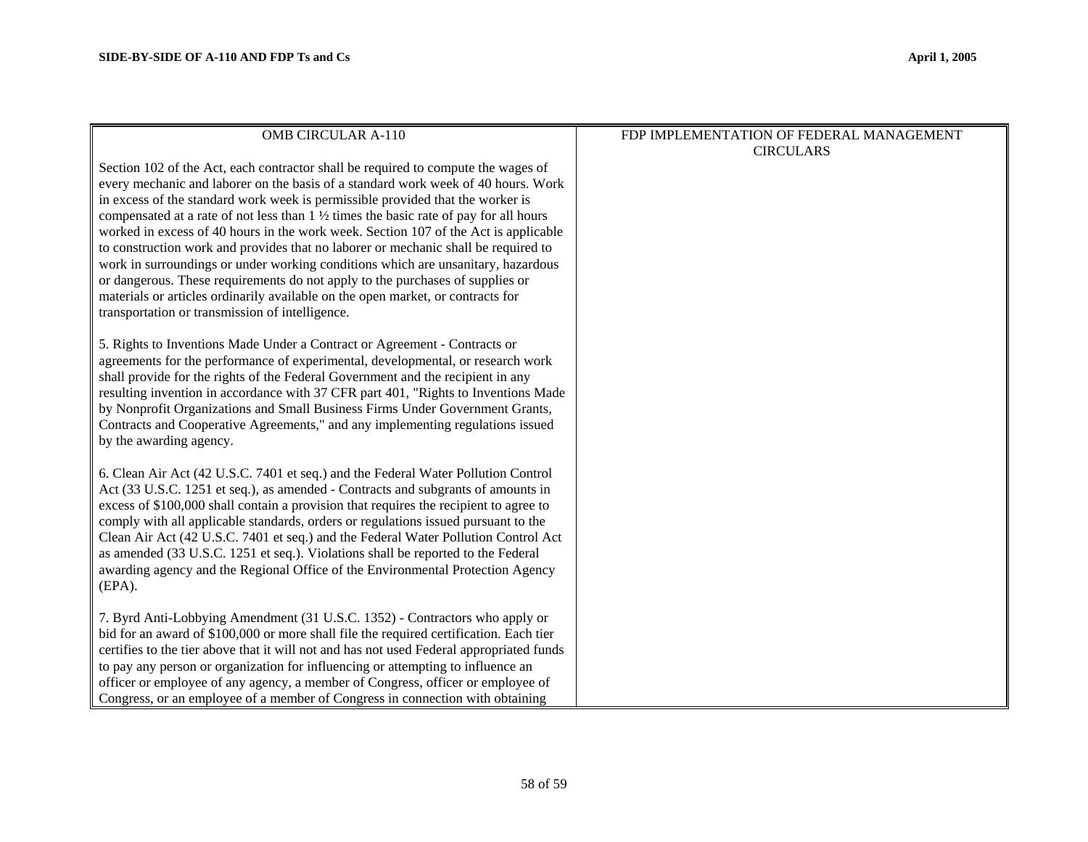| <b>OMB CIRCULAR A-110</b>                                                                                                                                                                                                                                                                                                                                                                                                                                                                                                                                                                                                                                                                                                                                                                                                                           | FDP IMPLEMENTATION OF FEDERAL MANAGEMENT |
|-----------------------------------------------------------------------------------------------------------------------------------------------------------------------------------------------------------------------------------------------------------------------------------------------------------------------------------------------------------------------------------------------------------------------------------------------------------------------------------------------------------------------------------------------------------------------------------------------------------------------------------------------------------------------------------------------------------------------------------------------------------------------------------------------------------------------------------------------------|------------------------------------------|
|                                                                                                                                                                                                                                                                                                                                                                                                                                                                                                                                                                                                                                                                                                                                                                                                                                                     | <b>CIRCULARS</b>                         |
| Section 102 of the Act, each contractor shall be required to compute the wages of<br>every mechanic and laborer on the basis of a standard work week of 40 hours. Work<br>in excess of the standard work week is permissible provided that the worker is<br>compensated at a rate of not less than $1\frac{1}{2}$ times the basic rate of pay for all hours<br>worked in excess of 40 hours in the work week. Section 107 of the Act is applicable<br>to construction work and provides that no laborer or mechanic shall be required to<br>work in surroundings or under working conditions which are unsanitary, hazardous<br>or dangerous. These requirements do not apply to the purchases of supplies or<br>materials or articles ordinarily available on the open market, or contracts for<br>transportation or transmission of intelligence. |                                          |
| 5. Rights to Inventions Made Under a Contract or Agreement - Contracts or<br>agreements for the performance of experimental, developmental, or research work<br>shall provide for the rights of the Federal Government and the recipient in any<br>resulting invention in accordance with 37 CFR part 401, "Rights to Inventions Made<br>by Nonprofit Organizations and Small Business Firms Under Government Grants,<br>Contracts and Cooperative Agreements," and any implementing regulations issued<br>by the awarding agency.                                                                                                                                                                                                                                                                                                                  |                                          |
| 6. Clean Air Act (42 U.S.C. 7401 et seq.) and the Federal Water Pollution Control<br>Act (33 U.S.C. 1251 et seq.), as amended - Contracts and subgrants of amounts in<br>excess of \$100,000 shall contain a provision that requires the recipient to agree to<br>comply with all applicable standards, orders or regulations issued pursuant to the<br>Clean Air Act (42 U.S.C. 7401 et seq.) and the Federal Water Pollution Control Act<br>as amended (33 U.S.C. 1251 et seq.). Violations shall be reported to the Federal<br>awarding agency and the Regional Office of the Environmental Protection Agency<br>$(EPA)$ .                                                                                                                                                                                                                       |                                          |
| 7. Byrd Anti-Lobbying Amendment (31 U.S.C. 1352) - Contractors who apply or<br>bid for an award of \$100,000 or more shall file the required certification. Each tier<br>certifies to the tier above that it will not and has not used Federal appropriated funds<br>to pay any person or organization for influencing or attempting to influence an<br>officer or employee of any agency, a member of Congress, officer or employee of<br>Congress, or an employee of a member of Congress in connection with obtaining                                                                                                                                                                                                                                                                                                                            |                                          |